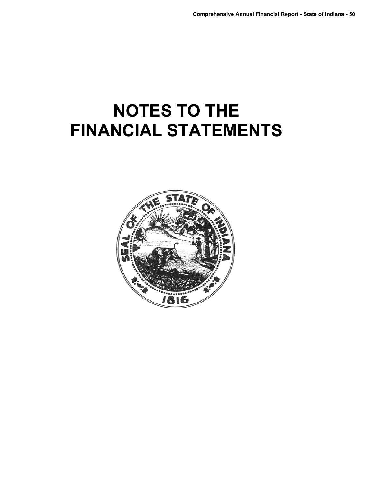# **NOTES TO THE FINANCIAL STATEMENTS**

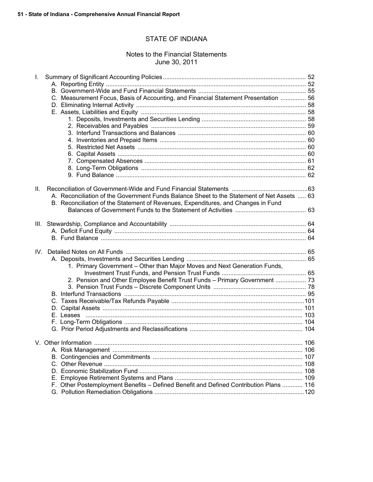## STATE OF INDIANA

## Notes to the Financial Statements June 30, 2011

| L.   |                                                                                            |  |
|------|--------------------------------------------------------------------------------------------|--|
|      |                                                                                            |  |
|      |                                                                                            |  |
|      | C. Measurement Focus, Basis of Accounting, and Financial Statement Presentation  56        |  |
|      |                                                                                            |  |
|      |                                                                                            |  |
|      |                                                                                            |  |
|      |                                                                                            |  |
|      |                                                                                            |  |
|      |                                                                                            |  |
|      |                                                                                            |  |
|      |                                                                                            |  |
|      |                                                                                            |  |
|      |                                                                                            |  |
|      |                                                                                            |  |
|      |                                                                                            |  |
| Ш.   |                                                                                            |  |
|      | A. Reconciliation of the Government Funds Balance Sheet to the Statement of Net Assets  63 |  |
|      | B. Reconciliation of the Statement of Revenues, Expenditures, and Changes in Fund          |  |
|      |                                                                                            |  |
|      |                                                                                            |  |
| III. |                                                                                            |  |
|      |                                                                                            |  |
|      |                                                                                            |  |
|      |                                                                                            |  |
|      |                                                                                            |  |
|      |                                                                                            |  |
|      | 1. Primary Government - Other than Major Moves and Next Generation Funds,                  |  |
|      |                                                                                            |  |
|      | 2. Pension and Other Employee Benefit Trust Funds - Primary Government  73                 |  |
|      |                                                                                            |  |
|      |                                                                                            |  |
|      |                                                                                            |  |
|      |                                                                                            |  |
|      |                                                                                            |  |
|      |                                                                                            |  |
|      |                                                                                            |  |
|      |                                                                                            |  |
|      |                                                                                            |  |
|      |                                                                                            |  |
|      |                                                                                            |  |
|      |                                                                                            |  |
|      |                                                                                            |  |
|      |                                                                                            |  |
|      | F. Other Postemployment Benefits - Defined Benefit and Defined Contribution Plans  116     |  |
|      |                                                                                            |  |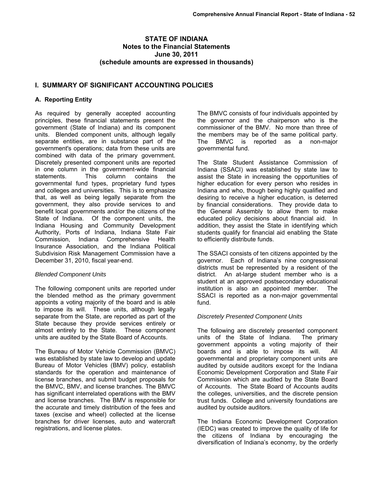## **STATE OF INDIANA Notes to the Financial Statements June 30, 2011 (schedule amounts are expressed in thousands)**

## **I. SUMMARY OF SIGNIFICANT ACCOUNTING POLICIES**

## **A. Reporting Entity**

As required by generally accepted accounting principles, these financial statements present the government (State of Indiana) and its component units. Blended component units, although legally separate entities, are in substance part of the government's operations; data from these units are combined with data of the primary government. Discretely presented component units are reported in one column in the government-wide financial statements. This column contains the governmental fund types, proprietary fund types and colleges and universities. This is to emphasize that, as well as being legally separate from the government, they also provide services to and benefit local governments and/or the citizens of the State of Indiana. Of the component units, the Indiana Housing and Community Development Authority, Ports of Indiana, Indiana State Fair Commission, Indiana Comprehensive Health Insurance Association, and the Indiana Political Subdivision Risk Management Commission have a December 31, 2010, fiscal year-end.

## *Blended Component Units*

The following component units are reported under the blended method as the primary government appoints a voting majority of the board and is able to impose its will. These units, although legally separate from the State, are reported as part of the State because they provide services entirely or almost entirely to the State. These component units are audited by the State Board of Accounts.

The Bureau of Motor Vehicle Commission (BMVC) was established by state law to develop and update Bureau of Motor Vehicles (BMV) policy, establish standards for the operation and maintenance of license branches, and submit budget proposals for the BMVC, BMV, and license branches. The BMVC has significant interrelated operations with the BMV and license branches. The BMV is responsible for the accurate and timely distribution of the fees and taxes (excise and wheel) collected at the license branches for driver licenses, auto and watercraft registrations, and license plates.

The BMVC consists of four individuals appointed by the governor and the chairperson who is the commissioner of the BMV. No more than three of the members may be of the same political party. The BMVC is reported as a non-major governmental fund.

The State Student Assistance Commission of Indiana (SSACI) was established by state law to assist the State in increasing the opportunities of higher education for every person who resides in Indiana and who, though being highly qualified and desiring to receive a higher education, is deterred by financial considerations. They provide data to the General Assembly to allow them to make educated policy decisions about financial aid. In addition, they assist the State in identifying which students qualify for financial aid enabling the State to efficiently distribute funds.

The SSACI consists of ten citizens appointed by the governor. Each of Indiana's nine congressional districts must be represented by a resident of the district. An at-large student member who is a student at an approved postsecondary educational institution is also an appointed member. The SSACI is reported as a non-major governmental fund.

## *Discretely Presented Component Units*

The following are discretely presented component units of the State of Indiana. The primary government appoints a voting majority of their boards and is able to impose its will. All governmental and proprietary component units are audited by outside auditors except for the Indiana Economic Development Corporation and State Fair Commission which are audited by the State Board of Accounts. The State Board of Accounts audits the colleges, universities, and the discrete pension trust funds. College and university foundations are audited by outside auditors.

The Indiana Economic Development Corporation (IEDC) was created to improve the quality of life for the citizens of Indiana by encouraging the diversification of Indiana's economy, by the orderly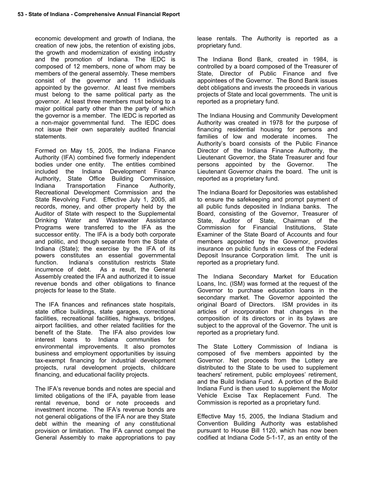economic development and growth of Indiana, the creation of new jobs, the retention of existing jobs, the growth and modernization of existing industry and the promotion of Indiana. The IEDC is composed of 12 members, none of whom may be members of the general assembly. These members consist of the governor and 11 individuals appointed by the governor. At least five members must belong to the same political party as the governor. At least three members must belong to a major political party other than the party of which the governor is a member. The IEDC is reported as a non-major governmental fund. The IEDC does not issue their own separately audited financial statements.

Formed on May 15, 2005, the Indiana Finance Authority (IFA) combined five formerly independent bodies under one entity. The entities combined included the Indiana Development Finance Authority, State Office Building Commission, Indiana Transportation Finance Authority, Recreational Development Commission and the State Revolving Fund. Effective July 1, 2005, all records, money, and other property held by the Auditor of State with respect to the Supplemental Drinking Water and Wastewater Assistance Programs were transferred to the IFA as the successor entity. The IFA is a body both corporate and politic, and though separate from the State of Indiana (State); the exercise by the IFA of its powers constitutes an essential governmental function. Indiana's constitution restricts State incurrence of debt. As a result, the General Assembly created the IFA and authorized it to issue revenue bonds and other obligations to finance projects for lease to the State.

The IFA finances and refinances state hospitals, state office buildings, state garages, correctional facilities, recreational facilities, highways, bridges, airport facilities, and other related facilities for the benefit of the State. The IFA also provides low interest loans to Indiana communities for environmental improvements. It also promotes business and employment opportunities by issuing tax-exempt financing for industrial development projects, rural development projects, childcare financing, and educational facility projects.

The IFA's revenue bonds and notes are special and limited obligations of the IFA, payable from lease rental revenue, bond or note proceeds and investment income. The IFA's revenue bonds are not general obligations of the IFA nor are they State debt within the meaning of any constitutional provision or limitation. The IFA cannot compel the General Assembly to make appropriations to pay

lease rentals. The Authority is reported as a proprietary fund.

The Indiana Bond Bank, created in 1984, is controlled by a board composed of the Treasurer of State, Director of Public Finance and five appointees of the Governor. The Bond Bank issues debt obligations and invests the proceeds in various projects of State and local governments. The unit is reported as a proprietary fund.

The Indiana Housing and Community Development Authority was created in 1978 for the purpose of financing residential housing for persons and families of low and moderate incomes. The Authority's board consists of the Public Finance Director of the Indiana Finance Authority, the Lieutenant Governor, the State Treasurer and four persons appointed by the Governor. The Lieutenant Governor chairs the board. The unit is reported as a proprietary fund.

The Indiana Board for Depositories was established to ensure the safekeeping and prompt payment of all public funds deposited in Indiana banks. The Board, consisting of the Governor, Treasurer of State, Auditor of State, Chairman of the Commission for Financial Institutions, State Examiner of the State Board of Accounts and four members appointed by the Governor, provides insurance on public funds in excess of the Federal Deposit Insurance Corporation limit. The unit is reported as a proprietary fund.

The Indiana Secondary Market for Education Loans, Inc. (ISM) was formed at the request of the Governor to purchase education loans in the secondary market. The Governor appointed the original Board of Directors. ISM provides in its articles of incorporation that changes in the composition of its directors or in its bylaws are subject to the approval of the Governor. The unit is reported as a proprietary fund.

The State Lottery Commission of Indiana is composed of five members appointed by the Governor. Net proceeds from the Lottery are distributed to the State to be used to supplement teachers' retirement, public employees' retirement, and the Build Indiana Fund. A portion of the Build Indiana Fund is then used to supplement the Motor Vehicle Excise Tax Replacement Fund. The Commission is reported as a proprietary fund.

Effective May 15, 2005, the Indiana Stadium and Convention Building Authority was established pursuant to House Bill 1120, which has now been codified at Indiana Code 5-1-17, as an entity of the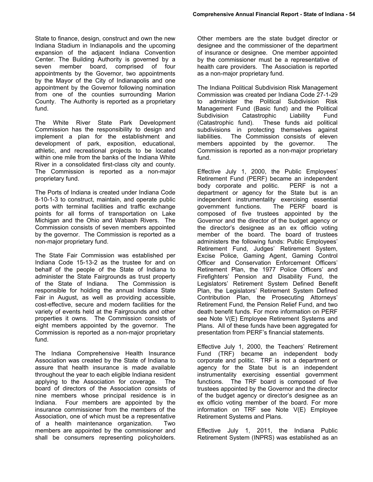State to finance, design, construct and own the new Indiana Stadium in Indianapolis and the upcoming expansion of the adjacent Indiana Convention Center. The Building Authority is governed by a seven member board, comprised of four appointments by the Governor, two appointments by the Mayor of the City of Indianapolis and one appointment by the Governor following nomination from one of the counties surrounding Marion County. The Authority is reported as a proprietary fund.

The White River State Park Development Commission has the responsibility to design and implement a plan for the establishment and development of park, exposition, educational, athletic, and recreational projects to be located within one mile from the banks of the Indiana White River in a consolidated first-class city and county. The Commission is reported as a non-major proprietary fund.

The Ports of Indiana is created under Indiana Code 8-10-1-3 to construct, maintain, and operate public ports with terminal facilities and traffic exchange points for all forms of transportation on Lake Michigan and the Ohio and Wabash Rivers. The Commission consists of seven members appointed by the governor. The Commission is reported as a non-major proprietary fund.

The State Fair Commission was established per Indiana Code 15-13-2 as the trustee for and on behalf of the people of the State of Indiana to administer the State Fairgrounds as trust property of the State of Indiana. The Commission is responsible for holding the annual Indiana State Fair in August, as well as providing accessible, cost-effective, secure and modern facilities for the variety of events held at the Fairgrounds and other properties it owns. The Commission consists of eight members appointed by the governor. The Commission is reported as a non-major proprietary fund.

The Indiana Comprehensive Health Insurance Association was created by the State of Indiana to assure that health insurance is made available throughout the year to each eligible Indiana resident applying to the Association for coverage. The board of directors of the Association consists of nine members whose principal residence is in Indiana. Four members are appointed by the insurance commissioner from the members of the Association, one of which must be a representative of a health maintenance organization. Two members are appointed by the commissioner and shall be consumers representing policyholders.

Other members are the state budget director or designee and the commissioner of the department of insurance or designee. One member appointed by the commissioner must be a representative of health care providers. The Association is reported as a non-major proprietary fund.

The Indiana Political Subdivision Risk Management Commission was created per Indiana Code 27-1-29 to administer the Political Subdivision Risk Management Fund (Basic fund) and the Political Subdivision Catastrophic Liability Fund (Catastrophic fund). These funds aid political subdivisions in protecting themselves against liabilities. The Commission consists of eleven members appointed by the governor. The Commission is reported as a non-major proprietary fund.

Effective July 1, 2000, the Public Employees' Retirement Fund (PERF) became an independent body corporate and politic. PERF is not a department or agency for the State but is an independent instrumentality exercising essential government functions. The PERF board is composed of five trustees appointed by the Governor and the director of the budget agency or the director's designee as an ex officio voting member of the board. The board of trustees administers the following funds: Public Employees' Retirement Fund, Judges' Retirement System, Excise Police, Gaming Agent, Gaming Control Officer and Conservation Enforcement Officers' Retirement Plan, the 1977 Police Officers' and Firefighters' Pension and Disability Fund, the Legislators' Retirement System Defined Benefit Plan, the Legislators' Retirement System Defined Contribution Plan, the Prosecuting Attorneys' Retirement Fund, the Pension Relief Fund, and two death benefit funds. For more information on PERF see Note V(E) Employee Retirement Systems and Plans. All of these funds have been aggregated for presentation from PERF's financial statements.

Effective July 1, 2000, the Teachers' Retirement Fund (TRF) became an independent body corporate and politic. TRF is not a department or agency for the State but is an independent instrumentality exercising essential government functions. The TRF board is composed of five trustees appointed by the Governor and the director of the budget agency or director's designee as an ex officio voting member of the board. For more information on TRF see Note V(E) Employee Retirement Systems and Plans.

Effective July 1, 2011, the Indiana Public Retirement System (INPRS) was established as an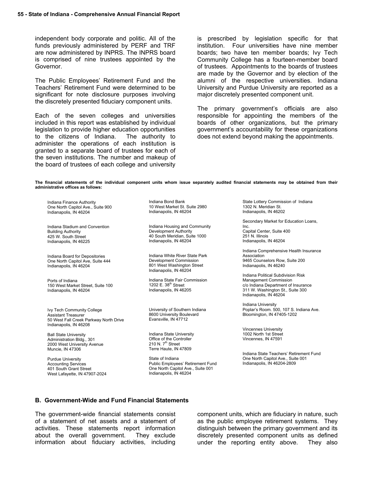independent body corporate and politic. All of the funds previously administered by PERF and TRF are now administered by INPRS. The INPRS board is comprised of nine trustees appointed by the Governor.

The Public Employees' Retirement Fund and the Teachers' Retirement Fund were determined to be significant for note disclosure purposes involving the discretely presented fiduciary component units.

Each of the seven colleges and universities included in this report was established by individual legislation to provide higher education opportunities to the citizens of Indiana. The authority to administer the operations of each institution is granted to a separate board of trustees for each of the seven institutions. The number and makeup of the board of trustees of each college and university is prescribed by legislation specific for that institution. Four universities have nine member boards; two have ten member boards; Ivy Tech Community College has a fourteen-member board of trustees. Appointments to the boards of trustees are made by the Governor and by election of the alumni of the respective universities. Indiana University and Purdue University are reported as a major discretely presented component unit.

The primary government's officials are also responsible for appointing the members of the boards of other organizations, but the primary government's accountability for these organizations does not extend beyond making the appointments.

**The financial statements of the individual component units whom issue separately audited financial statements may be obtained from their administrative offices as follows:** 

Indiana Finance Authority One North Capitol Ave., Suite 900 Indianapolis, IN 46204

Indiana Stadium and Convention Building Authority 425 W. South Street Indianapolis, IN 46225

Indiana Board for Depositories One North Capitol Ave, Suite 444 Indianapolis, IN 46204

Ports of Indiana 150 West Market Street, Suite 100 Indianapolis, IN 46204

Ivy Tech Community College Assistant Treasurer 50 West Fall Creek Parkway North Drive Indianapolis, IN 46208

Ball State University Administration Bldg., 301 2000 West University Avenue Muncie, IN 47306

Purdue University Accounting Services 401 South Grant Street West Lafayette, IN 47907-2024 Indiana Bond Bank 10 West Market St. Suite 2980 Indianapolis, IN 46204

Indiana Housing and Community Development Authority 40 South Meridian, Suite 1000 Indianapolis, IN 46204

Indiana White River State Park Development Commission 801 West Washington Street Indianapolis, IN 46204

Indiana State Fair Commission 1202 E. 38<sup>th</sup> Street Indianapolis, IN 46205

University of Southern Indiana 8600 University Boulevard Evansville, IN 47712

Indiana State University Office of the Controller 210 N.  $7<sup>th</sup>$  Street Terre Haute, IN 47809

State of Indiana Public Employees' Retirement Fund One North Capitol Ave., Suite 001 Indianapolis, IN 46204

State Lottery Commission of Indiana 1302 N. Meridian St. Indianapolis, IN 46202

Secondary Market for Education Loans,

Inc. Capital Center, Suite 400 251 N. Illinois Indianapolis, IN 46204

Indiana Comprehensive Health Insurance Association 9465 Counselors Row, Suite 200 Indianapolis, IN 46240

Indiana Political Subdivision Risk Management Commission c/o Indiana Department of Insurance 311 W. Washington St., Suite 300 Indianapolis, IN 46204

Indiana University Poplar's Room. 500, 107 S. Indiana Ave. Bloomington, IN 47405-1202

Vincennes University 1002 North 1st Street Vincennes, IN 47591

Indiana State Teachers' Retirement Fund One North Capitol Ave., Suite 001 Indianapolis, IN 46204-2809

#### **B. Government-Wide and Fund Financial Statements**

The government-wide financial statements consist of a statement of net assets and a statement of activities. These statements report information about the overall government. They exclude information about fiduciary activities, including component units, which are fiduciary in nature, such as the public employee retirement systems. They distinguish between the primary government and its discretely presented component units as defined under the reporting entity above. They also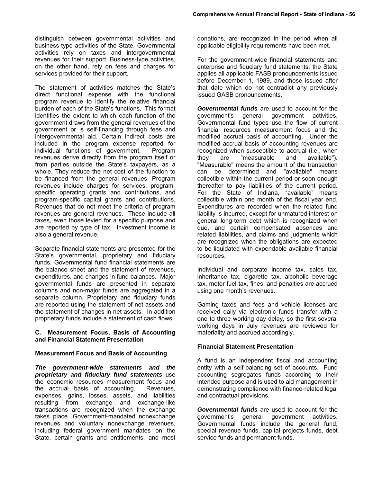distinguish between governmental activities and business-type activities of the State. Governmental activities rely on taxes and intergovernmental revenues for their support. Business-type activities, on the other hand, rely on fees and charges for services provided for their support.

The statement of activities matches the State's direct functional expense with the functional program revenue to identify the relative financial burden of each of the State's functions. This format identifies the extent to which each function of the government draws from the general revenues of the government or is self-financing through fees and intergovernmental aid. Certain indirect costs are included in the program expense reported for individual functions of government. Program revenues derive directly from the program itself or from parties outside the State's taxpayers, as a whole. They reduce the net cost of the function to be financed from the general revenues. Program revenues include charges for services, programspecific operating grants and contributions, and program-specific capital grants and contributions. Revenues that do not meet the criteria of program revenues are general revenues. These include all taxes, even those levied for a specific purpose and are reported by type of tax. Investment income is also a general revenue.

Separate financial statements are presented for the State's governmental, proprietary and fiduciary funds. Governmental fund financial statements are the balance sheet and the statement of revenues, expenditures, and changes in fund balances. Major governmental funds are presented in separate columns and non-major funds are aggregated in a separate column. Proprietary and fiduciary funds are reported using the statement of net assets and the statement of changes in net assets. In addition proprietary funds include a statement of cash flows.

#### **C. Measurement Focus, Basis of Accounting and Financial Statement Presentation**

#### **Measurement Focus and Basis of Accounting**

*The government-wide statements and the proprietary and fiduciary fund statements* use the economic resources measurement focus and the accrual basis of accounting. Revenues, expenses, gains, losses, assets, and liabilities resulting from exchange and exchange-like transactions are recognized when the exchange takes place. Government-mandated nonexchange revenues and voluntary nonexchange revenues, including federal government mandates on the State, certain grants and entitlements, and most

donations, are recognized in the period when all applicable eligibility requirements have been met.

For the government-wide financial statements and enterprise and fiduciary fund statements, the State applies all applicable FASB pronouncements issued before December 1, 1989, and those issued after that date which do not contradict any previously issued GASB pronouncements.

*Governmental funds* are used to account for the government's general government activities. Governmental fund types use the flow of current financial resources measurement focus and the modified accrual basis of accounting. Under the modified accrual basis of accounting revenues are recognized when susceptible to accrual (i.e., when they are "measurable and available"). "Measurable" means the amount of the transaction can be determined and "available" means collectible within the current period or soon enough thereafter to pay liabilities of the current period. For the State of Indiana, "available" means collectible within one month of the fiscal year end. Expenditures are recorded when the related fund liability is incurred, except for unmatured interest on general long-term debt which is recognized when due, and certain compensated absences and related liabilities, and claims and judgments which are recognized when the obligations are expected to be liquidated with expendable available financial resources.

Individual and corporate income tax, sales tax, inheritance tax, cigarette tax, alcoholic beverage tax, motor fuel tax, fines, and penalties are accrued using one month's revenues.

Gaming taxes and fees and vehicle licenses are received daily via electronic funds transfer with a one to three working day delay, so the first several working days in July revenues are reviewed for materiality and accrued accordingly.

#### **Financial Statement Presentation**

A fund is an independent fiscal and accounting entity with a self-balancing set of accounts. Fund accounting segregates funds according to their intended purpose and is used to aid management in demonstrating compliance with finance-related legal and contractual provisions.

*Governmental funds* are used to account for the government's general government activities. Governmental funds include the general fund, special revenue funds, capital projects funds, debt service funds and permanent funds.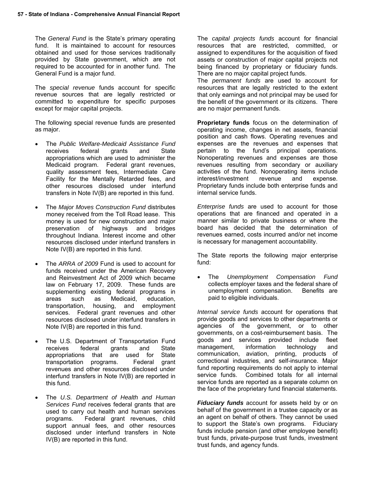The *General Fund* is the State's primary operating fund. It is maintained to account for resources obtained and used for those services traditionally provided by State government, which are not required to be accounted for in another fund. The General Fund is a major fund.

The *special revenue* funds account for specific revenue sources that are legally restricted or committed to expenditure for specific purposes except for major capital projects.

The following special revenue funds are presented as major.

- The *Public Welfare-Medicaid Assistance Fund* receives federal grants and State appropriations which are used to administer the Medicaid program. Federal grant revenues, quality assessment fees, Intermediate Care Facility for the Mentally Retarded fees, and other resources disclosed under interfund transfers in Note IV(B) are reported in this fund.
- The *Major Moves Construction Fund* distributes money received from the Toll Road lease. This money is used for new construction and major preservation of highways and bridges throughout Indiana. Interest income and other resources disclosed under interfund transfers in Note IV(B) are reported in this fund.
- The *ARRA of 2009* Fund is used to account for funds received under the American Recovery and Reinvestment Act of 2009 which became law on February 17, 2009. These funds are supplementing existing federal programs in areas such as Medicaid, education, transportation, housing, and employment services. Federal grant revenues and other resources disclosed under interfund transfers in Note IV(B) are reported in this fund.
- The U.S. Department of Transportation Fund receives federal grants and State appropriations that are used for State transportation programs. Federal grant revenues and other resources disclosed under interfund transfers in Note IV(B) are reported in this fund.
- The *U.S. Department of Health and Human Services Fund* receives federal grants that are used to carry out health and human services programs. Federal grant revenues, child support annual fees, and other resources disclosed under interfund transfers in Note IV(B) are reported in this fund.

The *capital projects funds* account for financial resources that are restricted, committed, or assigned to expenditures for the acquisition of fixed assets or construction of major capital projects not being financed by proprietary or fiduciary funds. There are no major capital project funds.

The *permanent funds* are used to account for resources that are legally restricted to the extent that only earnings and not principal may be used for the benefit of the government or its citizens. There are no major permanent funds.

**Proprietary funds** focus on the determination of operating income, changes in net assets, financial position and cash flows. Operating revenues and expenses are the revenues and expenses that pertain to the fund's principal operations. Nonoperating revenues and expenses are those revenues resulting from secondary or auxiliary activities of the fund. Nonoperating items include interest/investment revenue and expense. Proprietary funds include both enterprise funds and internal service funds.

*Enterprise funds* are used to account for those operations that are financed and operated in a manner similar to private business or where the board has decided that the determination of revenues earned, costs incurred and/or net income is necessary for management accountability.

The State reports the following major enterprise fund:

 The *Unemployment Compensation Fund* collects employer taxes and the federal share of unemployment compensation. Benefits are paid to eligible individuals.

*Internal service funds* account for operations that provide goods and services to other departments or agencies of the government, or to other governments, on a cost-reimbursement basis. The goods and services provided include fleet management, information technology and communication, aviation, printing, products of correctional industries, and self-insurance. Major fund reporting requirements do not apply to internal service funds. Combined totals for all internal service funds are reported as a separate column on the face of the proprietary fund financial statements.

*Fiduciary funds* account for assets held by or on behalf of the government in a trustee capacity or as an agent on behalf of others. They cannot be used to support the State's own programs. Fiduciary funds include pension (and other employee benefit) trust funds, private-purpose trust funds, investment trust funds, and agency funds.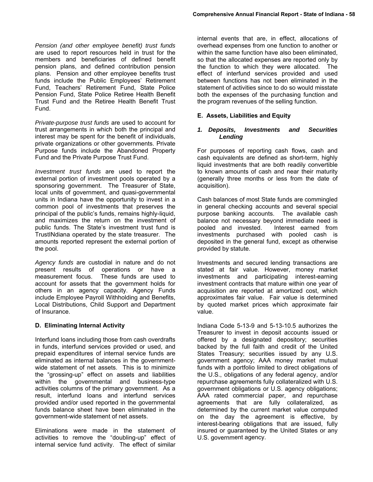*Pension (and other employee benefit) trust funds*  are used to report resources held in trust for the members and beneficiaries of defined benefit pension plans, and defined contribution pension plans. Pension and other employee benefits trust funds include the Public Employees' Retirement Fund, Teachers' Retirement Fund, State Police Pension Fund, State Police Retiree Health Benefit Trust Fund and the Retiree Health Benefit Trust Fund.

*Private-purpose trust funds* are used to account for trust arrangements in which both the principal and interest may be spent for the benefit of individuals, private organizations or other governments. Private Purpose funds include the Abandoned Property Fund and the Private Purpose Trust Fund.

*Investment trust funds* are used to report the external portion of investment pools operated by a sponsoring government. The Treasurer of State, local units of government, and quasi-governmental units in Indiana have the opportunity to invest in a common pool of investments that preserves the principal of the public's funds, remains highly-liquid, and maximizes the return on the investment of public funds. The State's investment trust fund is TrustINdiana operated by the state treasurer. The amounts reported represent the external portion of the pool.

*Agency funds* are custodial in nature and do not present results of operations or have a measurement focus. These funds are used to account for assets that the government holds for others in an agency capacity. Agency Funds include Employee Payroll Withholding and Benefits, Local Distributions, Child Support and Department of Insurance.

#### **D. Eliminating Internal Activity**

Interfund loans including those from cash overdrafts in funds, interfund services provided or used, and prepaid expenditures of internal service funds are eliminated as internal balances in the governmentwide statement of net assets. This is to minimize the "grossing-up" effect on assets and liabilities within the governmental and business-type activities columns of the primary government. As a result, interfund loans and interfund services provided and/or used reported in the governmental funds balance sheet have been eliminated in the government-wide statement of net assets.

Eliminations were made in the statement of activities to remove the "doubling-up" effect of internal service fund activity. The effect of similar

internal events that are, in effect, allocations of overhead expenses from one function to another or within the same function have also been eliminated, so that the allocated expenses are reported only by the function to which they were allocated. The effect of interfund services provided and used between functions has not been eliminated in the statement of activities since to do so would misstate both the expenses of the purchasing function and the program revenues of the selling function.

#### **E. Assets, Liabilities and Equity**

#### *1. Deposits, Investments and Securities Lending*

For purposes of reporting cash flows, cash and cash equivalents are defined as short-term, highly liquid investments that are both readily convertible to known amounts of cash and near their maturity (generally three months or less from the date of acquisition).

Cash balances of most State funds are commingled in general checking accounts and several special purpose banking accounts. The available cash balance not necessary beyond immediate need is pooled and invested. Interest earned from investments purchased with pooled cash is deposited in the general fund, except as otherwise provided by statute.

Investments and secured lending transactions are stated at fair value. However, money market investments and participating interest-earning investment contracts that mature within one year of acquisition are reported at amortized cost, which approximates fair value. Fair value is determined by quoted market prices which approximate fair value.

Indiana Code 5-13-9 and 5-13-10.5 authorizes the Treasurer to invest in deposit accounts issued or offered by a designated depository; securities backed by the full faith and credit of the United States Treasury; securities issued by any U.S. government agency; AAA money market mutual funds with a portfolio limited to direct obligations of the U.S., obligations of any federal agency, and/or repurchase agreements fully collateralized with U.S. government obligations or U.S. agency obligations; AAA rated commercial paper, and repurchase agreements that are fully collateralized, as determined by the current market value computed on the day the agreement is effective, by interest-bearing obligations that are issued, fully insured or guaranteed by the United States or any U.S. government agency.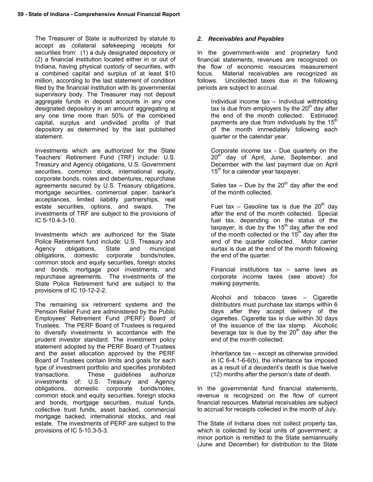The Treasurer of State is authorized by statute to accept as collateral safekeeping receipts for securities from: (1) a duly designated depository or (2) a financial institution located either in or out of Indiana, having physical custody of securities, with a combined capital and surplus of at least \$10 million, according to the last statement of condition filed by the financial institution with its governmental supervisory body. The Treasurer may not deposit aggregate funds in deposit accounts in any one designated depository in an amount aggregating at any one time more than 50% of the combined capital, surplus and undivided profits of that depository as determined by the last published statement.

Investments which are authorized for the State Teachers' Retirement Fund (TRF) include: U.S. Treasury and Agency obligations, U.S. Government securities, common stock, international equity, corporate bonds, notes and debentures, repurchase agreements secured by U.S. Treasury obligations, mortgage securities, commercial paper, banker's acceptances, limited liability partnerships, real estate securities, options, and swaps. The investments of TRF are subject to the provisions of IC 5-10.4-3-10.

Investments which are authorized for the State Police Retirement fund include: U.S. Treasury and Agency obligations, State and municipal obligations, domestic corporate bonds/notes, common stock and equity securities, foreign stocks and bonds, mortgage pool investments, and repurchase agreements. The investments of the State Police Retirement fund are subject to the provisions of IC 10-12-2-2.

The remaining six retirement systems and the Pension Relief Fund are administered by the Public Employees' Retirement Fund (PERF) Board of Trustees. The PERF Board of Trustees is required to diversify investments in accordance with the prudent investor standard. The investment policy statement adopted by the PERF Board of Trustees and the asset allocation approved by the PERF Board of Trustees contain limits and goals for each type of investment portfolio and specifies prohibited transactions. These guidelines authorize investments of: U.S. Treasury and Agency obligations, domestic corporate bonds/notes, common stock and equity securities, foreign stocks and bonds, mortgage securities, mutual funds, collective trust funds, asset backed, commercial mortgage backed, international stocks, and real estate. The investments of PERF are subject to the provisions of IC 5-10.3-5-3.

## *2. Receivables and Payables*

In the government-wide and proprietary fund financial statements, revenues are recognized on the flow of economic resources measurement focus. Material receivables are recognized as follows. Uncollected taxes due in the following periods are subject to accrual.

Individual income tax – Individual withholding tax is due from employers by the  $20<sup>th</sup>$  day after the end of the month collected. Estimated payments are due from individuals by the  $15<sup>th</sup>$ of the month immediately following each quarter or the calendar year.

Corporate income tax - Due quarterly on the 20<sup>th</sup> day of April, June, September, and December with the last payment due on April  $15<sup>th</sup>$  for a calendar year taxpayer.

Sales tax – Due by the  $20<sup>th</sup>$  day after the end of the month collected.

Fuel tax – Gasoline tax is due the  $20<sup>th</sup>$  day after the end of the month collected. Special fuel tax, depending on the status of the taxpayer, is due by the  $15<sup>th</sup>$  day after the end of the month collected or the  $15<sup>th</sup>$  day after the end of the quarter collected. Motor carrier surtax is due at the end of the month following the end of the quarter.

Financial institutions tax – same laws as corporate income taxes (see above) for making payments.

Alcohol and tobacco taxes – Cigarette distributors must purchase tax stamps within 6 days after they accept delivery of the cigarettes. Cigarette tax is due within 30 days of the issuance of the tax stamp. Alcoholic beverage tax is due by the  $20<sup>th</sup>$  day after the end of the month collected.

Inheritance tax – except as otherwise provided in IC 6-4.1-6-6(b), the inheritance tax imposed as a result of a decedent's death is due twelve (12) months after the person's date of death.

In the governmental fund financial statements, revenue is recognized on the flow of current financial resources. Material receivables are subject to accrual for receipts collected in the month of July.

The State of Indiana does not collect property tax, which is collected by local units of government; a minor portion is remitted to the State semiannually (June and December) for distribution to the State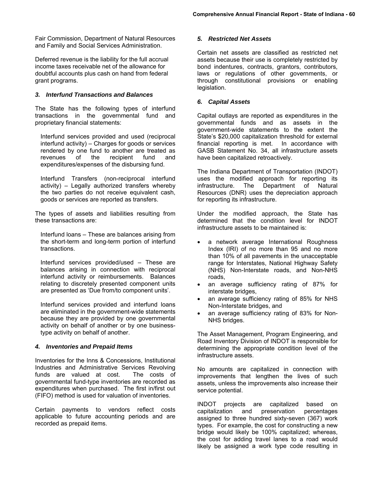Fair Commission, Department of Natural Resources and Family and Social Services Administration.

Deferred revenue is the liability for the full accrual income taxes receivable net of the allowance for doubtful accounts plus cash on hand from federal grant programs.

#### *3. Interfund Transactions and Balances*

The State has the following types of interfund transactions in the governmental fund and proprietary financial statements:

Interfund services provided and used (reciprocal interfund activity) – Charges for goods or services rendered by one fund to another are treated as revenues of the recipient fund and expenditures/expenses of the disbursing fund.

Interfund Transfers (non-reciprocal interfund activity) – Legally authorized transfers whereby the two parties do not receive equivalent cash, goods or services are reported as transfers.

The types of assets and liabilities resulting from these transactions are:

Interfund loans – These are balances arising from the short-term and long-term portion of interfund transactions.

Interfund services provided/used – These are balances arising in connection with reciprocal interfund activity or reimbursements. Balances relating to discretely presented component units are presented as 'Due from/to component units'.

Interfund services provided and interfund loans are eliminated in the government-wide statements because they are provided by one governmental activity on behalf of another or by one businesstype activity on behalf of another.

#### *4. Inventories and Prepaid Items*

Inventories for the Inns & Concessions, Institutional Industries and Administrative Services Revolving funds are valued at cost. The costs of governmental fund-type inventories are recorded as expenditures when purchased. The first in/first out (FIFO) method is used for valuation of inventories.

Certain payments to vendors reflect costs applicable to future accounting periods and are recorded as prepaid items.

#### *5. Restricted Net Assets*

Certain net assets are classified as restricted net assets because their use is completely restricted by bond indentures, contracts, grantors, contributors, laws or regulations of other governments, or through constitutional provisions or enabling legislation.

#### *6. Capital Assets*

Capital outlays are reported as expenditures in the governmental funds and as assets in the government-wide statements to the extent the State's \$20,000 capitalization threshold for external financial reporting is met. In accordance with GASB Statement No. 34, all infrastructure assets have been capitalized retroactively.

The Indiana Department of Transportation (INDOT) uses the modified approach for reporting its infrastructure. The Department of Natural Resources (DNR) uses the depreciation approach for reporting its infrastructure.

Under the modified approach, the State has determined that the condition level for INDOT infrastructure assets to be maintained is:

- a network average International Roughness Index (IRI) of no more than 95 and no more than 10% of all pavements in the unacceptable range for Interstates, National Highway Safety (NHS) Non-Interstate roads, and Non-NHS roads,
- an average sufficiency rating of 87% for interstate bridges,
- an average sufficiency rating of 85% for NHS Non-Interstate bridges, and
- an average sufficiency rating of 83% for Non-NHS bridges.

The Asset Management, Program Engineering, and Road Inventory Division of INDOT is responsible for determining the appropriate condition level of the infrastructure assets.

No amounts are capitalized in connection with improvements that lengthen the lives of such assets, unless the improvements also increase their service potential.

INDOT projects are capitalized based on capitalization and preservation percentages assigned to three hundred sixty-seven (367) work types. For example, the cost for constructing a new bridge would likely be 100% capitalized; whereas, the cost for adding travel lanes to a road would likely be assigned a work type code resulting in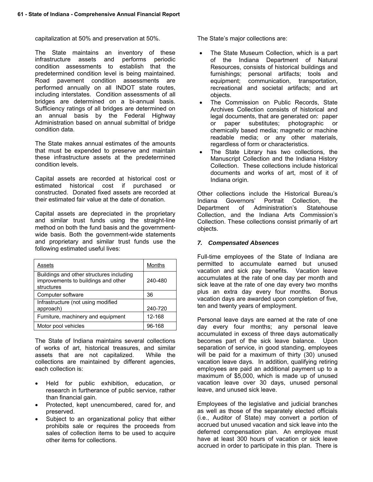capitalization at 50% and preservation at 50%.

The State maintains an inventory of these infrastructure assets and performs periodic condition assessments to establish that the predetermined condition level is being maintained. Road pavement condition assessments are performed annually on all INDOT state routes, including interstates. Condition assessments of all bridges are determined on a bi-annual basis. Sufficiency ratings of all bridges are determined on an annual basis by the Federal Highway Administration based on annual submittal of bridge condition data.

The State makes annual estimates of the amounts that must be expended to preserve and maintain these infrastructure assets at the predetermined condition levels.

Capital assets are recorded at historical cost or estimated historical cost if purchased or constructed. Donated fixed assets are recorded at their estimated fair value at the date of donation.

Capital assets are depreciated in the proprietary and similar trust funds using the straight-line method on both the fund basis and the governmentwide basis. Both the government-wide statements and proprietary and similar trust funds use the following estimated useful lives:

| Assets                                                                                        | Months  |
|-----------------------------------------------------------------------------------------------|---------|
| Buildings and other structures including<br>improvements to buildings and other<br>structures | 240-480 |
| Computer software                                                                             | 36      |
| Infrastructure (not using modified<br>approach)                                               | 240-720 |
| Furniture, machinery and equipment                                                            | 12-168  |
| Motor pool vehicles                                                                           | 96-168  |

The State of Indiana maintains several collections of works of art, historical treasures, and similar assets that are not capitalized. While the collections are maintained by different agencies, each collection is:

- Held for public exhibition, education, or research in furtherance of public service, rather than financial gain.
- Protected, kept unencumbered, cared for, and preserved.
- Subject to an organizational policy that either prohibits sale or requires the proceeds from sales of collection items to be used to acquire other items for collections.

The State's major collections are:

- The State Museum Collection, which is a part of the Indiana Department of Natural Resources, consists of historical buildings and furnishings; personal artifacts; tools and equipment; communication, transportation, recreational and societal artifacts; and art objects.
- The Commission on Public Records, State Archives Collection consists of historical and legal documents, that are generated on: paper or paper substitutes; photographic or chemically based media; magnetic or machine readable media; or any other materials, regardless of form or characteristics.
- The State Library has two collections, the Manuscript Collection and the Indiana History Collection. These collections include historical documents and works of art, most of it of Indiana origin.

Other collections include the Historical Bureau's Indiana Governors' Portrait Collection, the Department of Administration's Statehouse Collection, and the Indiana Arts Commission's Collection. These collections consist primarily of art objects.

## *7. Compensated Absences*

Full-time employees of the State of Indiana are permitted to accumulate earned but unused vacation and sick pay benefits. Vacation leave accumulates at the rate of one day per month and sick leave at the rate of one day every two months plus an extra day every four months. Bonus vacation days are awarded upon completion of five, ten and twenty years of employment.

Personal leave days are earned at the rate of one day every four months; any personal leave accumulated in excess of three days automatically becomes part of the sick leave balance. Upon separation of service, in good standing, employees will be paid for a maximum of thirty (30) unused vacation leave days. In addition, qualifying retiring employees are paid an additional payment up to a maximum of \$5,000, which is made up of unused vacation leave over 30 days, unused personal leave, and unused sick leave.

Employees of the legislative and judicial branches as well as those of the separately elected officials (i.e., Auditor of State) may convert a portion of accrued but unused vacation and sick leave into the deferred compensation plan. An employee must have at least 300 hours of vacation or sick leave accrued in order to participate in this plan. There is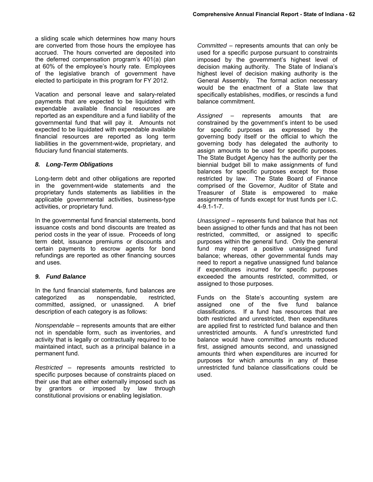a sliding scale which determines how many hours are converted from those hours the employee has accrued. The hours converted are deposited into the deferred compensation program's 401(a) plan at 60% of the employee's hourly rate. Employees of the legislative branch of government have elected to participate in this program for FY 2012.

Vacation and personal leave and salary-related payments that are expected to be liquidated with expendable available financial resources are reported as an expenditure and a fund liability of the governmental fund that will pay it. Amounts not expected to be liquidated with expendable available financial resources are reported as long term liabilities in the government-wide, proprietary, and fiduciary fund financial statements.

#### *8. Long-Term Obligations*

Long-term debt and other obligations are reported in the government-wide statements and the proprietary funds statements as liabilities in the applicable governmental activities, business-type activities, or proprietary fund.

In the governmental fund financial statements, bond issuance costs and bond discounts are treated as period costs in the year of issue. Proceeds of long term debt, issuance premiums or discounts and certain payments to escrow agents for bond refundings are reported as other financing sources and uses.

#### *9. Fund Balance*

In the fund financial statements, fund balances are categorized as nonspendable, restricted, committed, assigned, or unassigned. A brief description of each category is as follows:

*Nonspendable* – represents amounts that are either not in spendable form, such as inventories, and activity that is legally or contractually required to be maintained intact, such as a principal balance in a permanent fund.

*Restricted* – represents amounts restricted to specific purposes because of constraints placed on their use that are either externally imposed such as by grantors or imposed by law through constitutional provisions or enabling legislation.

*Committed* – represents amounts that can only be used for a specific purpose pursuant to constraints imposed by the government's highest level of decision making authority. The State of Indiana's highest level of decision making authority is the General Assembly. The formal action necessary would be the enactment of a State law that specifically establishes, modifies, or rescinds a fund balance commitment.

*Assigned* – represents amounts that are constrained by the government's intent to be used for specific purposes as expressed by the governing body itself or the official to which the governing body has delegated the authority to assign amounts to be used for specific purposes. The State Budget Agency has the authority per the biennial budget bill to make assignments of fund balances for specific purposes except for those restricted by law. The State Board of Finance comprised of the Governor, Auditor of State and Treasurer of State is empowered to make assignments of funds except for trust funds per I.C. 4-9.1-1-7.

*Unassigned* – represents fund balance that has not been assigned to other funds and that has not been restricted, committed, or assigned to specific purposes within the general fund. Only the general fund may report a positive unassigned fund balance; whereas, other governmental funds may need to report a negative unassigned fund balance if expenditures incurred for specific purposes exceeded the amounts restricted, committed, or assigned to those purposes.

Funds on the State's accounting system are assigned one of the five fund balance classifications. If a fund has resources that are both restricted and unrestricted, then expenditures are applied first to restricted fund balance and then unrestricted amounts. A fund's unrestricted fund balance would have committed amounts reduced first, assigned amounts second, and unassigned amounts third when expenditures are incurred for purposes for which amounts in any of these unrestricted fund balance classifications could be used.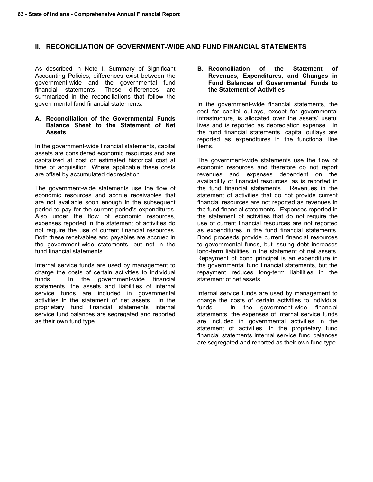#### **II. RECONCILIATION OF GOVERNMENT-WIDE AND FUND FINANCIAL STATEMENTS**

As described in Note I, Summary of Significant Accounting Policies, differences exist between the government-wide and the governmental fund financial statements. These differences are summarized in the reconciliations that follow the governmental fund financial statements.

#### **A. Reconciliation of the Governmental Funds Balance Sheet to the Statement of Net Assets**

In the government-wide financial statements, capital assets are considered economic resources and are capitalized at cost or estimated historical cost at time of acquisition. Where applicable these costs are offset by accumulated depreciation.

The government-wide statements use the flow of economic resources and accrue receivables that are not available soon enough in the subsequent period to pay for the current period's expenditures. Also under the flow of economic resources, expenses reported in the statement of activities do not require the use of current financial resources. Both these receivables and payables are accrued in the government-wide statements, but not in the fund financial statements.

Internal service funds are used by management to charge the costs of certain activities to individual funds. In the government-wide financial statements, the assets and liabilities of internal service funds are included in governmental activities in the statement of net assets. In the proprietary fund financial statements internal service fund balances are segregated and reported as their own fund type.

**B. Reconciliation of the Statement of Revenues, Expenditures, and Changes in Fund Balances of Governmental Funds to the Statement of Activities**

In the government-wide financial statements, the cost for capital outlays, except for governmental infrastructure, is allocated over the assets' useful lives and is reported as depreciation expense. In the fund financial statements, capital outlays are reported as expenditures in the functional line items.

The government-wide statements use the flow of economic resources and therefore do not report revenues and expenses dependent on the availability of financial resources, as is reported in the fund financial statements. Revenues in the statement of activities that do not provide current financial resources are not reported as revenues in the fund financial statements. Expenses reported in the statement of activities that do not require the use of current financial resources are not reported as expenditures in the fund financial statements. Bond proceeds provide current financial resources to governmental funds, but issuing debt increases long-term liabilities in the statement of net assets. Repayment of bond principal is an expenditure in the governmental fund financial statements, but the repayment reduces long-term liabilities in the statement of net assets.

Internal service funds are used by management to charge the costs of certain activities to individual funds. In the government-wide financial statements, the expenses of internal service funds are included in governmental activities in the statement of activities. In the proprietary fund financial statements internal service fund balances are segregated and reported as their own fund type.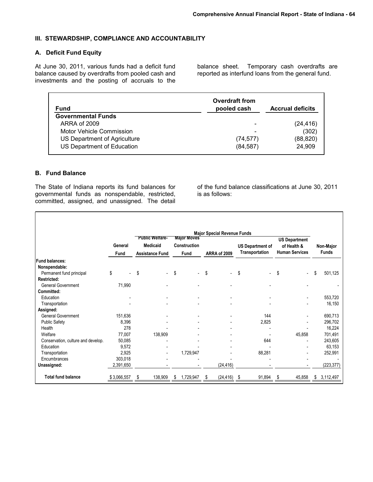#### **III. STEWARDSHIP, COMPLIANCE AND ACCOUNTABILITY**

#### **A. Deficit Fund Equity**

At June 30, 2011, various funds had a deficit fund balance caused by overdrafts from pooled cash and investments and the posting of accruals to the

balance sheet. Temporary cash overdrafts are reported as interfund loans from the general fund.

| Fund                         | <b>Overdraft from</b><br>pooled cash | <b>Accrual deficits</b> |
|------------------------------|--------------------------------------|-------------------------|
| <b>Governmental Funds</b>    |                                      |                         |
| ARRA of 2009                 | $\overline{\phantom{a}}$             | (24, 416)               |
| Motor Vehicle Commission     | $\overline{\phantom{a}}$             | (302)                   |
| US Department of Agriculture | (74, 577)                            | (88, 820)               |
| US Department of Education   | (84, 587)                            | 24.909                  |

#### **B. Fund Balance**

 $\Gamma$ 

The State of Indiana reports its fund balances for governmental funds as nonspendable, restricted, committed, assigned, and unassigned. The detail of the fund balance classifications at June 30, 2011 is as follows:

|                                    | General<br>Fund | <b>Public Welfare-</b><br><b>Medicaid</b><br><b>Assistance Fund</b> | <b>Major Moves</b><br>Construction<br><b>Fund</b> |    | <b>Major Special Revenue Funds</b><br>ARRA of 2009 | <b>US Department of</b><br><b>Transportation</b> | <b>US Department</b><br>of Health &<br><b>Human Services</b> | Non-Major<br><b>Funds</b> |
|------------------------------------|-----------------|---------------------------------------------------------------------|---------------------------------------------------|----|----------------------------------------------------|--------------------------------------------------|--------------------------------------------------------------|---------------------------|
| <b>Fund balances:</b>              |                 |                                                                     |                                                   |    |                                                    |                                                  |                                                              |                           |
| Nonspendable:                      |                 |                                                                     |                                                   |    |                                                    |                                                  |                                                              |                           |
| Permanent fund principal           | \$              | \$                                                                  | \$                                                | \$ | $\blacksquare$                                     | \$<br>$\overline{\phantom{a}}$                   | \$                                                           | \$<br>501,125             |
| <b>Restricted:</b>                 |                 |                                                                     |                                                   |    |                                                    |                                                  |                                                              |                           |
| <b>General Government</b>          | 71,990          |                                                                     |                                                   |    |                                                    |                                                  |                                                              |                           |
| <b>Committed:</b>                  |                 |                                                                     |                                                   |    |                                                    |                                                  |                                                              |                           |
| Education                          |                 |                                                                     |                                                   |    |                                                    |                                                  |                                                              | 553,720                   |
| Transportation                     |                 |                                                                     |                                                   |    |                                                    |                                                  |                                                              | 16,150                    |
| Assigned:                          |                 |                                                                     |                                                   |    |                                                    |                                                  |                                                              |                           |
| <b>General Government</b>          | 151,636         |                                                                     |                                                   |    |                                                    | 144                                              |                                                              | 690,713                   |
| <b>Public Safety</b>               | 8,396           |                                                                     |                                                   |    |                                                    | 2,825                                            |                                                              | 296,702                   |
| Health                             | 278             |                                                                     |                                                   |    |                                                    |                                                  |                                                              | 16,224                    |
| Welfare                            | 77,007          | 138,909                                                             |                                                   |    |                                                    |                                                  | 45,858                                                       | 701,491                   |
| Conservation, culture and develop. | 50,085          |                                                                     |                                                   |    |                                                    | 644                                              |                                                              | 243,605                   |
| Education                          | 9,572           |                                                                     |                                                   |    |                                                    |                                                  |                                                              | 63,153                    |
| Transportation                     | 2,925           |                                                                     | 1,729,947                                         |    |                                                    | 88,281                                           |                                                              | 252,991                   |
| Encumbrances                       | 303,018         |                                                                     |                                                   |    |                                                    |                                                  |                                                              |                           |
| Unassigned:                        | 2,391,650       |                                                                     |                                                   |    | (24, 416)                                          |                                                  |                                                              | (223, 377)                |
| <b>Total fund balance</b>          | \$3,066,557     | 138,909<br>S                                                        | \$<br>1,729,947                                   | -S | (24, 416)                                          | 91,894<br>- \$                                   | 45,858<br>S                                                  | \$<br>3,112,497           |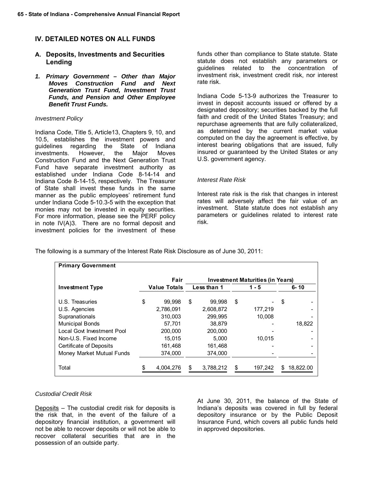## **IV. DETAILED NOTES ON ALL FUNDS**

## **A. Deposits, Investments and Securities Lending**

*1. Primary Government – Other than Major Moves Construction Fund and Next Generation Trust Fund, Investment Trust Funds, and Pension and Other Employee Benefit Trust Funds.* 

#### *Investment Policy*

Indiana Code, Title 5, Article13, Chapters 9, 10, and 10.5, establishes the investment powers and guidelines regarding the State of Indiana investments. However, the Major Moves Construction Fund and the Next Generation Trust Fund have separate investment authority as established under Indiana Code 8-14-14 and Indiana Code 8-14-15, respectively. The Treasurer of State shall invest these funds in the same manner as the public employees' retirement fund under Indiana Code 5-10.3-5 with the exception that monies may not be invested in equity securities. For more information, please see the PERF policy in note IV(A)3. There are no formal deposit and investment policies for the investment of these

funds other than compliance to State statute. State statute does not establish any parameters or guidelines related to the concentration of investment risk, investment credit risk, nor interest rate risk.

Indiana Code 5-13-9 authorizes the Treasurer to invest in deposit accounts issued or offered by a designated depository; securities backed by the full faith and credit of the United States Treasury; and repurchase agreements that are fully collateralized, as determined by the current market value computed on the day the agreement is effective, by interest bearing obligations that are issued, fully insured or guaranteed by the United States or any U.S. government agency.

#### *Interest Rate Risk*

Interest rate risk is the risk that changes in interest rates will adversely affect the fair value of an investment. State statute does not establish any parameters or guidelines related to interest rate risk.

The following is a summary of the Interest Rate Risk Disclosure as of June 30, 2011:

| <b>Primary Government</b>  |                     |                                         |             |    |         |     |           |
|----------------------------|---------------------|-----------------------------------------|-------------|----|---------|-----|-----------|
|                            | Fair                | <b>Investment Maturities (in Years)</b> |             |    |         |     |           |
| <b>Investment Type</b>     | <b>Value Totals</b> |                                         | Less than 1 |    | $1 - 5$ |     | $6 - 10$  |
| U.S. Treasuries            | \$<br>99,998        | \$                                      | 99.998      | \$ |         | \$  |           |
| U.S. Agencies              | 2,786,091           |                                         | 2,608,872   |    | 177.219 |     |           |
| Supranationals             | 310.003             |                                         | 299.995     |    | 10.008  |     |           |
| <b>Municipal Bonds</b>     | 57.701              |                                         | 38.879      |    |         |     | 18.822    |
| Local Govt Investment Pool | 200.000             |                                         | 200.000     |    |         |     |           |
| Non-U.S. Fixed Income      | 15.015              |                                         | 5.000       |    | 10.015  |     |           |
| Certificate of Deposits    | 161,468             |                                         | 161,468     |    |         |     |           |
| Money Market Mutual Funds  | 374,000             |                                         | 374,000     |    |         |     |           |
| Total                      | 4,004,276           | \$                                      | 3,788,212   | \$ | 197,242 | \$. | 18.822.00 |

#### *Custodial Credit Risk*

Deposits – The custodial credit risk for deposits is the risk that, in the event of the failure of a depository financial institution, a government will not be able to recover deposits or will not be able to recover collateral securities that are in the possession of an outside party.

At June 30, 2011, the balance of the State of Indiana's deposits was covered in full by federal depository insurance or by the Public Deposit Insurance Fund, which covers all public funds held in approved depositories.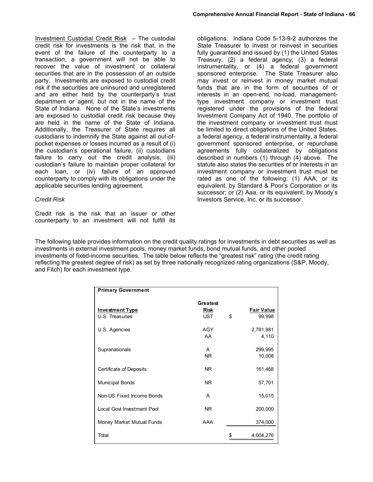obligations. Indiana Code 5-13-9-2 authorizes the

Investment Custodial Credit Risk – The custodial credit risk for investments is the risk that, in the event of the failure of the counterparty to a transaction, a government will not be able to recover the value of investment or collateral securities that are in the possession of an outside party. Investments are exposed to custodial credit risk if the securities are uninsured and unregistered and are either held by the counterparty's trust department or agent, but not in the name of the State of Indiana. None of the State's investments are exposed to custodial credit risk because they are held in the name of the State of Indiana. Additionally, the Treasurer of State requires all custodians to indemnify the State against all out-ofpocket expenses or losses incurred as a result of (i) the custodian's operational failure, (ii) custodians failure to carry out the credit analysis, (iii) custodian's failure to maintain proper collateral for each loan, or (iv) failure of an approved counterparty to comply with its obligations under the applicable securities lending agreement.

#### *Credit Risk*

Credit risk is the risk that an issuer or other counterparty to an investment will not fulfill its State Treasurer to invest or reinvest in securities fully guaranteed and issued by (1) the United States Treasury, (2) a federal agency, (3) a federal instrumentality, or (4) a federal government sponsored enterprise. The State Treasurer also may invest or reinvest in money market mutual funds that are in the form of securities of or interests in an open-end, no-load, managementtype investment company or investment trust registered under the provisions of the federal Investment Company Act of 1940. The portfolio of the investment company or investment trust must be limited to direct obligations of the United States, a federal agency, a federal instrumentality, a federal government sponsored enterprise, or repurchase agreements fully collateralized by obligations described in numbers (1) through (4) above. The statute also states the securities of or interests in an investment company or investment trust must be rated as one of the following: (1) AAA, or its equivalent, by Standard & Poor's Corporation or its successor; or (2) Aaa, or its equivalent, by Moody's Investors Service, Inc. or its successor.

The following table provides information on the credit quality ratings for investments in debt securities as well as investments in external investment pools, money market funds, bond mutual funds, and other pooled investments of fixed-income securities. The table below reflects the "greatest risk" rating (the credit rating reflecting the greatest degree of risk) as set by three nationally recognized rating organizations (S&P, Moody, and Fitch) for each investment type.

| <b>Primary Government</b>                 |                                       |                                   |
|-------------------------------------------|---------------------------------------|-----------------------------------|
| <b>Investment Type</b><br>U.S. Treasuries | Greatest<br><b>Risk</b><br><b>UST</b> | \$<br><b>Fair Value</b><br>99,998 |
| U.S. Agencies                             | <b>AGY</b><br>AA                      | 2,781,981<br>4,110                |
| Supranationals                            | A<br><b>NR</b>                        | 299,995<br>10,008                 |
| Certificate of Deposits                   | NR.                                   | 161,468                           |
| <b>Municipal Bonds</b>                    | NR.                                   | 57,701                            |
| Non-US Fixed Income Bonds                 | A                                     | 15,015                            |
| Local Govt Investment Pool                | NR.                                   | 200,000                           |
| Money Market Mutual Funds                 | AAA                                   | 374,000                           |
| Total                                     |                                       | \$<br>4,004,276                   |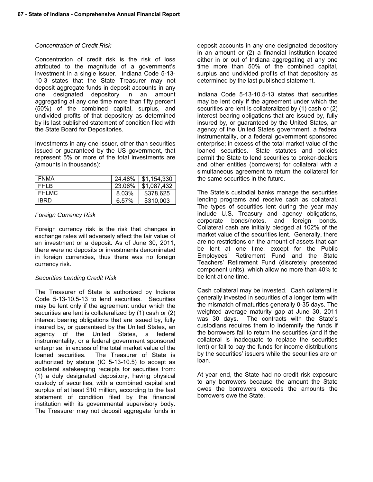#### *Concentration of Credit Risk*

Concentration of credit risk is the risk of loss attributed to the magnitude of a government's investment in a single issuer. Indiana Code 5-13- 10-3 states that the State Treasurer may not deposit aggregate funds in deposit accounts in any one designated depository in an amount aggregating at any one time more than fifty percent (50%) of the combined capital, surplus, and undivided profits of that depository as determined by its last published statement of condition filed with the State Board for Depositories.

Investments in any one issuer, other than securities issued or guaranteed by the US government, that represent 5% or more of the total investments are (amounts in thousands):

| <b>FNMA</b> | 24.48% | $\frac{1}{2}$ \$1,154,330 |
|-------------|--------|---------------------------|
| FHI B       | 23.06% | \$1.087.432               |
| FHI MC      | 8.03%  | \$378,625                 |
| <b>IBRD</b> | 6.57%  | \$310,003                 |

#### *Foreign Currency Risk*

Foreign currency risk is the risk that changes in exchange rates will adversely affect the fair value of an investment or a deposit. As of June 30, 2011, there were no deposits or investments denominated in foreign currencies, thus there was no foreign currency risk.

## *Securities Lending Credit Risk*

The Treasurer of State is authorized by Indiana Code 5-13-10.5-13 to lend securities. Securities may be lent only if the agreement under which the securities are lent is collateralized by (1) cash or (2) interest bearing obligations that are issued by, fully insured by, or guaranteed by the United States, an agency of the United States, a federal instrumentality, or a federal government sponsored enterprise, in excess of the total market value of the loaned securities. The Treasurer of State is authorized by statute (IC 5-13-10.5) to accept as collateral safekeeping receipts for securities from: (1) a duly designated depository, having physical custody of securities, with a combined capital and surplus of at least \$10 million, according to the last statement of condition filed by the financial institution with its governmental supervisory body. The Treasurer may not deposit aggregate funds in

deposit accounts in any one designated depository in an amount or (2) a financial institution located either in or out of Indiana aggregating at any one time more than 50% of the combined capital, surplus and undivided profits of that depository as determined by the last published statement.

Indiana Code 5-13-10.5-13 states that securities may be lent only if the agreement under which the securities are lent is collateralized by (1) cash or (2) interest bearing obligations that are issued by, fully insured by, or guaranteed by the United States, an agency of the United States government, a federal instrumentality, or a federal government sponsored enterprise; in excess of the total market value of the loaned securities. State statutes and policies permit the State to lend securities to broker-dealers and other entities (borrowers) for collateral with a simultaneous agreement to return the collateral for the same securities in the future.

The State's custodial banks manage the securities lending programs and receive cash as collateral. The types of securities lent during the year may include U.S. Treasury and agency obligations, corporate bonds/notes, and foreign bonds. Collateral cash are initially pledged at 102% of the market value of the securities lent. Generally, there are no restrictions on the amount of assets that can be lent at one time, except for the Public Employees' Retirement Fund and the State Teachers' Retirement Fund (discretely presented component units), which allow no more than 40% to be lent at one time.

Cash collateral may be invested. Cash collateral is generally invested in securities of a longer term with the mismatch of maturities generally 0-35 days. The weighted average maturity gap at June 30, 2011 was 30 days. The contracts with the State's custodians requires them to indemnify the funds if the borrowers fail to return the securities (and if the collateral is inadequate to replace the securities lent) or fail to pay the funds for income distributions by the securities' issuers while the securities are on loan.

At year end, the State had no credit risk exposure to any borrowers because the amount the State owes the borrowers exceeds the amounts the borrowers owe the State.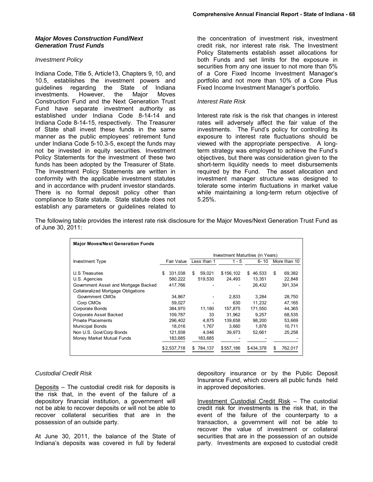#### *Investment Policy*

Indiana Code, Title 5, Article13, Chapters 9, 10, and 10.5, establishes the investment powers and guidelines regarding the State of Indiana investments. However, the Major Moves Construction Fund and the Next Generation Trust Fund have separate investment authority as established under Indiana Code 8-14-14 and Indiana Code 8-14-15, respectively. The Treasurer of State shall invest these funds in the same manner as the public employees' retirement fund under Indiana Code 5-10.3-5, except the funds may not be invested in equity securities. Investment Policy Statements for the investment of these two funds has been adopted by the Treasurer of State. The Investment Policy Statements are written in conformity with the applicable investment statutes and in accordance with prudent investor standards. There is no formal deposit policy other than compliance to State statute. State statute does not establish any parameters or guidelines related to

the concentration of investment risk, investment credit risk, nor interest rate risk. The Investment Policy Statements establish asset allocations for both Funds and set limits for the exposure in securities from any one issuer to not more than 5% of a Core Fixed Income Investment Manager's portfolio and not more than 10% of a Core Plus Fixed Income Investment Manager's portfolio.

#### *Interest Rate Risk*

Interest rate risk is the risk that changes in interest rates will adversely affect the fair value of the investments. The Fund's policy for controlling its exposure to interest rate fluctuations should be viewed with the appropriate perspective. A longterm strategy was employed to achieve the Fund's objectives, but there was consideration given to the short-term liquidity needs to meet disbursements required by the Fund. The asset allocation and investment manager structure was designed to tolerate some interim fluctuations in market value while maintaining a long-term return objective of 5.25%.

The following table provides the interest rate risk disclosure for the Major Moves/Next Generation Trust Fund as of June 30, 2011:

| <b>Major Moves/Next Generation Funds</b>   |                                  |             |           |              |               |  |  |
|--------------------------------------------|----------------------------------|-------------|-----------|--------------|---------------|--|--|
|                                            | Investment Maturities (in Years) |             |           |              |               |  |  |
| Investment Type                            | Fair Value                       | Less than 1 | $1 - 5$   | 6-10         | More than 10  |  |  |
| U.S Treasuries                             | 331,038<br>S                     | 59,021<br>S | \$156,102 | 46,533<br>\$ | \$<br>69,382  |  |  |
| U.S. Agencies                              | 580,222                          | 519,530     | 24,493    | 13,351       | 22,848        |  |  |
| Government Asset and Mortgage Backed       | 417,766                          |             |           | 26,432       | 391,334       |  |  |
| <b>Collateralized Mortgage Obligations</b> |                                  |             |           |              |               |  |  |
| Government CMOs                            | 34.867                           |             | 2,833     | 3.284        | 28,750        |  |  |
| Corp CMOs                                  | 59.027                           |             | 630       | 11.232       | 47.165        |  |  |
| Corporate Bonds                            | 384.970                          | 11.180      | 157.875   | 171.550      | 44.365        |  |  |
| Corporate Asset Backed                     | 109.787                          | 33          | 31.962    | 9.257        | 68.535        |  |  |
| <b>Private Placements</b>                  | 296,402                          | 4,875       | 139,658   | 98,200       | 53,669        |  |  |
| <b>Municipal Bonds</b>                     | 18.016                           | 1.767       | 3.660     | 1.878        | 10.711        |  |  |
| Non U.S. Govt/Corp Bonds                   | 121,938                          | 4,046       | 39,973    | 52,661       | 25,258        |  |  |
| Money Market Mutual Funds                  | 183,685                          | 183,685     |           |              |               |  |  |
|                                            | \$2.537.718                      | 784,137     | \$557.186 | \$434.378    | \$<br>762.017 |  |  |

#### *Custodial Credit Risk*

Deposits – The custodial credit risk for deposits is the risk that, in the event of the failure of a depository financial institution, a government will not be able to recover deposits or will not be able to recover collateral securities that are in the possession of an outside party.

At June 30, 2011, the balance of the State of Indiana's deposits was covered in full by federal

depository insurance or by the Public Deposit Insurance Fund, which covers all public funds held in approved depositories.

Investment Custodial Credit Risk – The custodial credit risk for investments is the risk that, in the event of the failure of the counterparty to a transaction, a government will not be able to recover the value of investment or collateral securities that are in the possession of an outside party. Investments are exposed to custodial credit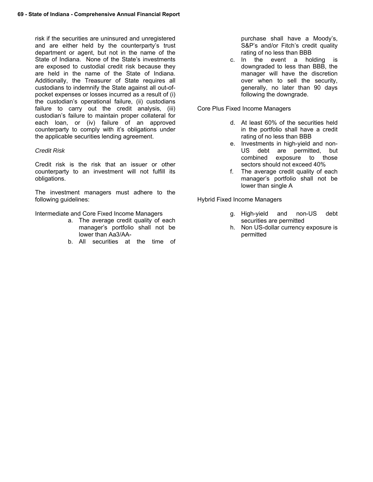risk if the securities are uninsured and unregistered and are either held by the counterparty's trust department or agent, but not in the name of the State of Indiana. None of the State's investments are exposed to custodial credit risk because they are held in the name of the State of Indiana. Additionally, the Treasurer of State requires all custodians to indemnify the State against all out-ofpocket expenses or losses incurred as a result of (i) the custodian's operational failure, (ii) custodians failure to carry out the credit analysis, (iii) custodian's failure to maintain proper collateral for each loan, or (iv) failure of an approved counterparty to comply with it's obligations under the applicable securities lending agreement.

#### *Credit Risk*

Credit risk is the risk that an issuer or other counterparty to an investment will not fulfill its obligations.

The investment managers must adhere to the following guidelines:

Intermediate and Core Fixed Income Managers

- a. The average credit quality of each manager's portfolio shall not be lower than Aa3/AA-
- b. All securities at the time of

purchase shall have a Moody's, S&P's and/or Fitch's credit quality rating of no less than BBB

c. In the event a holding is downgraded to less than BBB, the manager will have the discretion over when to sell the security, generally, no later than 90 days following the downgrade.

Core Plus Fixed Income Managers

- d. At least 60% of the securities held in the portfolio shall have a credit rating of no less than BBB
- e. Investments in high-yield and non-US debt are permitted, but combined exposure to those sectors should not exceed 40%
- f. The average credit quality of each manager's portfolio shall not be lower than single A

Hybrid Fixed Income Managers

- g. High-yield and non-US debt securities are permitted
- h. Non US-dollar currency exposure is permitted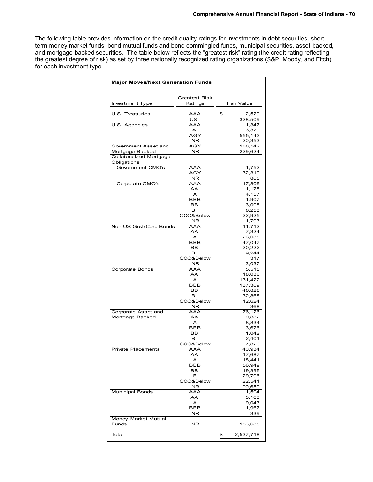The following table provides information on the credit quality ratings for investments in debt securities, shortterm money market funds, bond mutual funds and bond commingled funds, municipal securities, asset-backed, and mortgage-backed securities. The table below reflects the "greatest risk" rating (the credit rating reflecting the greatest degree of risk) as set by three nationally recognized rating organizations (S&P, Moody, and Fitch) for each investment type.

| <b>Major Moves/Next Generation Funds</b> |                      |    |                   |  |  |  |  |  |
|------------------------------------------|----------------------|----|-------------------|--|--|--|--|--|
|                                          | <b>Greatest Risk</b> |    |                   |  |  |  |  |  |
| Investment Type                          | Ratings              |    | Fair Value        |  |  |  |  |  |
| U.S. Treasuries                          | AAA                  | \$ | 2,529             |  |  |  |  |  |
|                                          | UST                  |    | 328,509           |  |  |  |  |  |
| U.S. Agencies                            | AAA<br>A             |    | 1,347<br>3,379    |  |  |  |  |  |
|                                          | AGY                  |    | 555,143           |  |  |  |  |  |
| Government Asset and                     | NR.<br>AGY           |    | 20,353<br>188,142 |  |  |  |  |  |
| Mortgage Backed                          | <b>NR</b>            |    | 229,624           |  |  |  |  |  |
| <b>Collateralized Mortgage</b>           |                      |    |                   |  |  |  |  |  |
| Obligations<br>Government CMO's          | AAA                  |    | 1,752             |  |  |  |  |  |
|                                          | AGY                  |    | 32,310            |  |  |  |  |  |
| Corporate CMO's                          | NR.<br>AAA           |    | 805<br>17,806     |  |  |  |  |  |
|                                          | AA                   |    | 1,178             |  |  |  |  |  |
|                                          | A                    |    | 4,157             |  |  |  |  |  |
|                                          | <b>BBB</b><br>BB     |    | 1,907<br>3,008    |  |  |  |  |  |
|                                          | в                    |    | 6,253             |  |  |  |  |  |
|                                          | CCC&Below            |    | 22,925            |  |  |  |  |  |
| Non US Govt/Corp Bonds                   | NR.<br>AAA           |    | 1,793<br>11,712   |  |  |  |  |  |
|                                          | AA                   |    | 7,324             |  |  |  |  |  |
|                                          | A                    |    | 23,035            |  |  |  |  |  |
|                                          | <b>BBB</b><br>BB     |    | 47,047<br>20,222  |  |  |  |  |  |
|                                          | в                    |    | 9,244             |  |  |  |  |  |
|                                          | CCC&Below            |    | 317               |  |  |  |  |  |
| Corporate Bonds                          | NR<br><b>AAA</b>     |    | 3,037<br>5,515    |  |  |  |  |  |
|                                          | AA                   |    | 18,036            |  |  |  |  |  |
|                                          | A                    |    | 131,422           |  |  |  |  |  |
|                                          | BBB<br>BВ            |    | 137,309<br>46,828 |  |  |  |  |  |
|                                          | в                    |    | 32,868            |  |  |  |  |  |
|                                          | CCC&Below<br>NR.     |    | 12,624<br>368     |  |  |  |  |  |
| Corporate Asset and                      | AAA                  |    | 76,126            |  |  |  |  |  |
| Mortgage Backed                          | AA                   |    | 9,882             |  |  |  |  |  |
|                                          | A<br><b>BBB</b>      |    | 8,834<br>3,676    |  |  |  |  |  |
|                                          | BB                   |    | 1,042             |  |  |  |  |  |
|                                          | в                    |    | 2,401             |  |  |  |  |  |
| Private Placements                       | CCC&Below<br>AAA     |    | 7,826<br>40,934   |  |  |  |  |  |
|                                          | AA                   |    | 17,687            |  |  |  |  |  |
|                                          | A                    |    | 18,441            |  |  |  |  |  |
|                                          | BBB<br><b>BB</b>     |    | 56,949<br>19,395  |  |  |  |  |  |
|                                          | в                    |    | 29,796            |  |  |  |  |  |
|                                          | CCC&Below            |    | 22,541            |  |  |  |  |  |
| <b>Municipal Bonds</b>                   | NR.<br>AAA           |    | 90,659<br>1,504   |  |  |  |  |  |
|                                          | AA                   |    | 5,163             |  |  |  |  |  |
|                                          | A                    |    | 9,043             |  |  |  |  |  |
|                                          |                      |    |                   |  |  |  |  |  |
|                                          | BBB<br>ΝR            |    | 1,967<br>339      |  |  |  |  |  |
| Money Market Mutual<br>Funds             | <b>NR</b>            |    | 183,685           |  |  |  |  |  |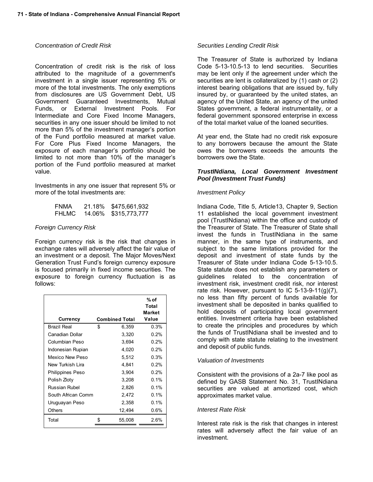#### *Concentration of Credit Risk*

Concentration of credit risk is the risk of loss attributed to the magnitude of a government's investment in a single issuer representing 5% or more of the total investments. The only exemptions from disclosures are US Government Debt, US Government Guaranteed Investments, Mutual Funds, or External Investment Pools. For Intermediate and Core Fixed Income Managers, securities in any one issuer should be limited to not more than 5% of the investment manager's portion of the Fund portfolio measured at market value. For Core Plus Fixed Income Managers, the exposure of each manager's portfolio should be limited to not more than 10% of the manager's portion of the Fund portfolio measured at market value.

Investments in any one issuer that represent 5% or more of the total investments are:

| FNMA  | 21.18% | \$475,661,932 |
|-------|--------|---------------|
| FHLMC | 14.06% | \$315,773,777 |

#### *Foreign Currency Risk*

Foreign currency risk is the risk that changes in exchange rates will adversely affect the fair value of an investment or a deposit. The Major Moves/Next Generation Trust Fund's foreign currency exposure is focused primarily in fixed income securities. The exposure to foreign currency fluctuation is as follows:

|                    |                       | $%$ of<br><b>Total</b><br>Market |
|--------------------|-----------------------|----------------------------------|
| Currency           | <b>Combined Total</b> | Value                            |
| <b>Brazil Real</b> | \$<br>6,359           | 0.3%                             |
| Canadian Dollar    | 3,320                 | 0.2%                             |
| Columbian Peso     | 3,694                 | 0.2%                             |
| Indonesian Rupian  | 4,020                 | 0.2%                             |
| Mexico New Peso    | 5,512                 | 0.3%                             |
| New Turkish Lira   | 4,841                 | 0.2%                             |
| Philippines Peso   | 3,904                 | 0.2%                             |
| Polish Zloty       | 3,208                 | 0.1%                             |
| Russian Rubel      | 2,826                 | 0.1%                             |
| South African Comm | 2,472                 | 0.1%                             |
| Uruguayan Peso     | 2,358                 | $0.1\%$                          |
| Others             | 12,494                | 0.6%                             |
| Total              | 55,008                | $2.6\%$                          |

#### *Securities Lending Credit Risk*

The Treasurer of State is authorized by Indiana Code 5-13-10.5-13 to lend securities. Securities may be lent only if the agreement under which the securities are lent is collateralized by (1) cash or (2) interest bearing obligations that are issued by, fully insured by, or guaranteed by the united states, an agency of the United State, an agency of the united States government, a federal instrumentality, or a federal government sponsored enterprise in excess of the total market value of the loaned securities.

At year end, the State had no credit risk exposure to any borrowers because the amount the State owes the borrowers exceeds the amounts the borrowers owe the State.

#### *TrustINdiana, Local Government Investment Pool (Investment Trust Funds)*

#### *Investment Policy*

Indiana Code, Title 5, Article13, Chapter 9, Section 11 established the local government investment pool (TrustINdiana) within the office and custody of the Treasurer of State. The Treasurer of State shall invest the funds in TrustINdiana in the same manner, in the same type of instruments, and subject to the same limitations provided for the deposit and investment of state funds by the Treasurer of State under Indiana Code 5-13-10.5. State statute does not establish any parameters or guidelines related to the concentration of investment risk, investment credit risk, nor interest rate risk. However, pursuant to IC  $5-13-9-11(g)(7)$ , no less than fifty percent of funds available for investment shall be deposited in banks qualified to hold deposits of participating local government entities. Investment criteria have been established to create the principles and procedures by which the funds of TrustINdiana shall be invested and to comply with state statute relating to the investment and deposit of public funds.

#### *Valuation of Investments*

Consistent with the provisions of a 2a-7 like pool as defined by GASB Statement No. 31, TrustINdiana securities are valued at amortized cost, which approximates market value.

#### *Interest Rate Risk*

Interest rate risk is the risk that changes in interest rates will adversely affect the fair value of an investment.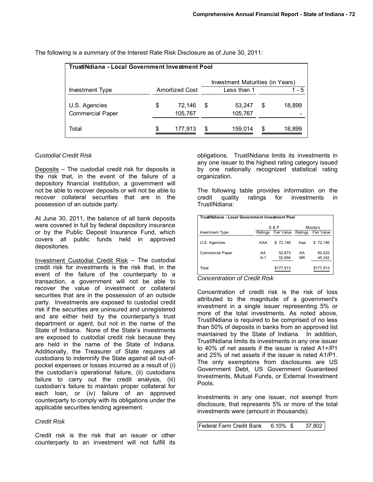| <b>TrustINdiana - Local Government Investment Pool</b> |                                  |                       |   |                   |    |        |  |  |  |
|--------------------------------------------------------|----------------------------------|-----------------------|---|-------------------|----|--------|--|--|--|
|                                                        | Investment Maturities (in Years) |                       |   |                   |    |        |  |  |  |
| Investment Type                                        |                                  | <b>Amortized Cost</b> |   | Less than 1       |    | 1 - 5  |  |  |  |
| U.S. Agencies<br><b>Commercial Paper</b>               | \$                               | 72,146<br>105,767     | S | 53,247<br>105,767 | \$ | 18,899 |  |  |  |
|                                                        |                                  |                       |   |                   |    |        |  |  |  |
| Total                                                  | \$                               | 177,913               | S | 159,014           | S  | 18,899 |  |  |  |

The following is a summary of the Interest Rate Risk Disclosure as of June 30, 2011:

## C*ustodial Credit Risk*

Deposits – The custodial credit risk for deposits is the risk that, in the event of the failure of a depository financial institution, a government will not be able to recover deposits or will not be able to recover collateral securities that are in the possession of an outside party.

At June 30, 2011, the balance of all bank deposits were covered in full by federal depository insurance or by the Public Deposit Insurance Fund, which covers all public funds held in approved depositories.

Investment Custodial Credit Risk – The custodial credit risk for investments is the risk that, in the event of the failure of the counterparty to a transaction, a government will not be able to recover the value of investment or collateral securities that are in the possession of an outside party. Investments are exposed to custodial credit risk if the securities are uninsured and unregistered and are either held by the counterparty's trust department or agent, but not in the name of the State of Indiana. None of the State's investments are exposed to custodial credit risk because they are held in the name of the State of Indiana. Additionally, the Treasurer of State requires all custodians to indemnify the State against all out-ofpocket expenses or losses incurred as a result of (i) the custodian's operational failure, (ii) custodians failure to carry out the credit analysis, (iii) custodian's failure to maintain proper collateral for each loan, or (iv) failure of an approved counterparty to comply with its obligations under the applicable securities lending agreement.

#### *Credit Risk*

Credit risk is the risk that an issuer or other counterparty to an investment will not fulfill its

obligations. TrustINdiana limits its investments in any one issuer to the highest rating category issued by one nationally recognized statistical rating organization.

The following table provides information on the credit quality ratings for investments in TrustINdiana:

| TrustINdiana - Local Government Investment Pool |         |                  |                |            |  |
|-------------------------------------------------|---------|------------------|----------------|------------|--|
|                                                 |         | <b>S &amp; P</b> |                | Moody's    |  |
| Investment Type                                 | Ratings | Fair Value       | Ratings        | Fair Value |  |
| U.S. Agencies                                   | AAA     | \$72.146         | Aaa            | \$72.146   |  |
| <b>Commercial Paper</b>                         | AA      | 52,873           | AA             | 60,425     |  |
|                                                 | $A-1$   | 52,894           | N <sub>R</sub> | 45,342     |  |
| Total                                           |         | \$177,913        |                | \$177,913  |  |

*Concentration of Credit Risk* 

Concentration of credit risk is the risk of loss attributed to the magnitude of a government's investment in a single issuer representing 5% or more of the total investments. As noted above, TrustINdiana is required to be comprised of no less than 50% of deposits in banks from an approved list maintained by the State of Indiana. In addition, TrustINdiana limits its investments in any one issuer to 40% of net assets if the issuer is rated A1+/P1 and 25% of net assets if the issuer is rated A1/P1. The only exemptions from disclosures are US Government Debt, US Government Guaranteed Investments, Mutual Funds, or External Investment Pools.

Investments in any one issuer, not exempt from disclosure, that represents 5% or more of the total investments were (amount in thousands):

| Federal Farm Credit Bank | $6.10\%$ \$ | 37,802 |
|--------------------------|-------------|--------|
|--------------------------|-------------|--------|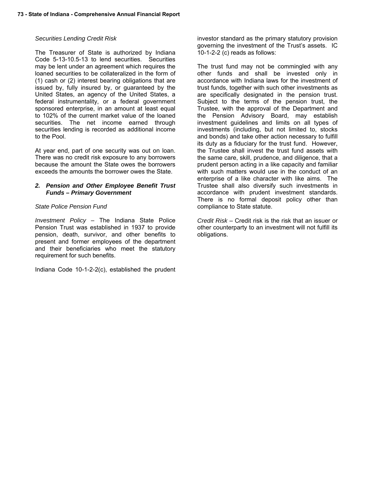#### *Securities Lending Credit Risk*

The Treasurer of State is authorized by Indiana Code 5-13-10.5-13 to lend securities. Securities may be lent under an agreement which requires the loaned securities to be collateralized in the form of (1) cash or (2) interest bearing obligations that are issued by, fully insured by, or guaranteed by the United States, an agency of the United States, a federal instrumentality, or a federal government sponsored enterprise, in an amount at least equal to 102% of the current market value of the loaned securities. The net income earned through securities lending is recorded as additional income to the Pool.

At year end, part of one security was out on loan. There was no credit risk exposure to any borrowers because the amount the State owes the borrowers exceeds the amounts the borrower owes the State.

#### *2. Pension and Other Employee Benefit Trust Funds – Primary Government*

#### *State Police Pension Fund*

*Investment Policy* – The Indiana State Police Pension Trust was established in 1937 to provide pension, death, survivor, and other benefits to present and former employees of the department and their beneficiaries who meet the statutory requirement for such benefits.

Indiana Code 10-1-2-2(c), established the prudent

investor standard as the primary statutory provision governing the investment of the Trust's assets. IC 10-1-2-2 (c) reads as follows:

The trust fund may not be commingled with any other funds and shall be invested only in accordance with Indiana laws for the investment of trust funds, together with such other investments as are specifically designated in the pension trust. Subject to the terms of the pension trust, the Trustee, with the approval of the Department and the Pension Advisory Board, may establish investment guidelines and limits on all types of investments (including, but not limited to, stocks and bonds) and take other action necessary to fulfill its duty as a fiduciary for the trust fund. However, the Trustee shall invest the trust fund assets with the same care, skill, prudence, and diligence, that a prudent person acting in a like capacity and familiar with such matters would use in the conduct of an enterprise of a like character with like aims. The Trustee shall also diversify such investments in accordance with prudent investment standards. There is no formal deposit policy other than compliance to State statute.

*Credit Risk* – Credit risk is the risk that an issuer or other counterparty to an investment will not fulfill its obligations.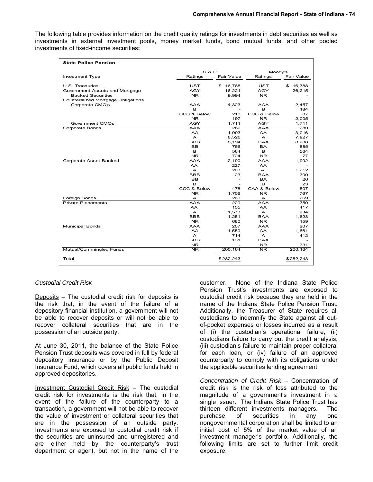The following table provides information on the credit quality ratings for investments in debt securities as well as investments in external investment pools, money market funds, bond mutual funds, and other pooled investments of fixed-income securities**:** 

| <b>State Police Pension</b>                |                           |              |              |              |
|--------------------------------------------|---------------------------|--------------|--------------|--------------|
|                                            | <b>S &amp; P</b>          |              | Moody's      |              |
| Investment Type                            | Ratings                   | Fair Value   | Ratings      | Fair Value   |
|                                            |                           |              |              |              |
| U.S. Treasuries                            | UST                       | \$16,788     | UST          | 16,788<br>\$ |
| Government Assets and Mortgage             | AGY                       | 16,221       | AGY          | 26,215       |
| <b>Backed Securities</b>                   | NR.                       | 9,994        | NR.          |              |
| <b>Collateralized Mortgage Obligations</b> |                           |              |              |              |
| Corporate CMO's                            | AAA                       | 4,323        | AAA          | 2.457        |
|                                            | в                         |              | в            | 184          |
|                                            | CCC & Below               | 213          | CCC & Below  | 87           |
|                                            | NR.                       | 197          | NR.          | 2,005        |
| Government CMOs                            | AGY                       | 1,711        | AGY          | 1,711        |
| Corporate Bonds                            | AAA                       | 280          | AAA          | 280          |
|                                            | AA.                       | 1,993        | AA           | 3,016        |
|                                            | $\mathsf{A}$              | 8,526        | A            | 7,927        |
|                                            | <b>BBB</b>                | 8,194        | BAA          | 8,288        |
|                                            | BB                        | 756          | <b>BA</b>    | 885          |
|                                            | B                         | 564          | в            | 564          |
|                                            | <b>NR</b>                 | 724          | NR.          | 77           |
| Corporate Asset Backed                     | <b>AAA</b>                | 2,190        | AAA          | 1,992        |
|                                            | <b>AA</b><br>$\mathsf{A}$ | 227<br>203   | <b>AA</b>    |              |
|                                            |                           |              | A            | 1,212        |
|                                            | <b>BBB</b>                | 23           | <b>BAA</b>   | 300          |
|                                            | <b>BB</b>                 | ٠            | <b>BA</b>    | 26           |
|                                            | в                         |              | в            | 23           |
|                                            | CCC & Below               | 478          | CAA & Below  | 507          |
|                                            | NR.                       | 1,706<br>269 | NR.          | 767<br>269   |
| Foreign Bonds<br><b>Private Placements</b> | A<br>AAA                  | 229          | A<br>AAA     | 750          |
|                                            | AA                        | 155          | AA           | 417          |
|                                            | A                         | 1,573        | A            | 934          |
|                                            | <b>BBB</b>                | 1,251        | <b>BAA</b>   | 1,628        |
|                                            | NR.                       | 680          | NR.          | 159          |
| <b>Municipal Bonds</b>                     | AAA                       | 207          | AAA          | 207          |
|                                            | AA                        | 1,559        | <b>AA</b>    | 1,661        |
|                                            | $\mathsf{A}$              | 714          | $\mathsf{A}$ | 412          |
|                                            | <b>BBB</b>                | 131          | <b>BAA</b>   |              |
|                                            | <b>NR</b>                 |              | <b>NR</b>    | 331          |
| Mutual/Commingled Funds                    | NR.                       | 200, 164     | NR.          | 200,164      |
|                                            |                           |              |              |              |
| Total                                      |                           | \$282,243    |              | \$282,243    |

#### *Custodial Credit Risk*

Deposits – The custodial credit risk for deposits is the risk that, in the event of the failure of a depository financial institution, a government will not be able to recover deposits or will not be able to recover collateral securities that are in the possession of an outside party.

At June 30, 2011, the balance of the State Police Pension Trust deposits was covered in full by federal depository insurance or by the Public Deposit Insurance Fund, which covers all public funds held in approved depositories.

Investment Custodial Credit Risk – The custodial credit risk for investments is the risk that, in the event of the failure of the counterparty to a transaction, a government will not be able to recover the value of investment or collateral securities that are in the possession of an outside party. Investments are exposed to custodial credit risk if the securities are uninsured and unregistered and are either held by the counterparty's trust department or agent, but not in the name of the

customer. None of the Indiana State Police Pension Trust's investments are exposed to custodial credit risk because they are held in the name of the Indiana State Police Pension Trust. Additionally, the Treasurer of State requires all custodians to indemnify the State against all outof-pocket expenses or losses incurred as a result of (i) the custodian's operational failure, (ii) custodians failure to carry out the credit analysis, (iii) custodian's failure to maintain proper collateral for each loan, or (iv) failure of an approved counterparty to comply with its obligations under the applicable securities lending agreement.

*Concentration of Credit Risk* – Concentration of credit risk is the risk of loss attributed to the magnitude of a government's investment in a single issuer. The Indiana State Police Trust has thirteen different investments managers. The purchase of securities in any one nongovernmental corporation shall be limited to an initial cost of 5% of the market value of an investment manager's portfolio. Additionally, the following limits are set to further limit credit exposure: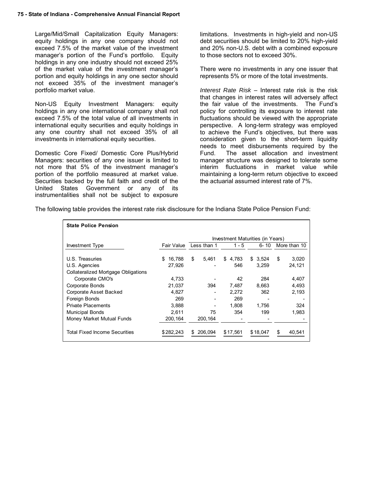Large/Mid/Small Capitalization Equity Managers: equity holdings in any one company should not exceed 7.5% of the market value of the investment manager's portion of the Fund's portfolio. Equity holdings in any one industry should not exceed 25% of the market value of the investment manager's portion and equity holdings in any one sector should not exceed 35% of the investment manager's portfolio market value.

Non-US Equity Investment Managers: equity holdings in any one international company shall not exceed 7.5% of the total value of all investments in international equity securities and equity holdings in any one country shall not exceed 35% of all investments in international equity securities.

Domestic Core Fixed/ Domestic Core Plus/Hybrid Managers: securities of any one issuer is limited to not more that 5% of the investment manager's portion of the portfolio measured at market value. Securities backed by the full faith and credit of the United States Government or any of its instrumentalities shall not be subject to exposure

limitations. Investments in high-yield and non-US debt securities should be limited to 20% high-yield and 20% non-U.S. debt with a combined exposure to those sectors not to exceed 30%.

There were no investments in any one issuer that represents 5% or more of the total investments.

*Interest Rate Risk* – Interest rate risk is the risk that changes in interest rates will adversely affect the fair value of the investments. The Fund's policy for controlling its exposure to interest rate fluctuations should be viewed with the appropriate perspective. A long-term strategy was employed to achieve the Fund's objectives, but there was consideration given to the short-term liquidity needs to meet disbursements required by the Fund. The asset allocation and investment manager structure was designed to tolerate some interim fluctuations in market value while maintaining a long-term return objective to exceed the actuarial assumed interest rate of 7%.

The following table provides the interest rate risk disclosure for the Indiana State Police Pension Fund:

| <b>State Police Pension</b>          |             |               |                                  |             |               |
|--------------------------------------|-------------|---------------|----------------------------------|-------------|---------------|
|                                      |             |               | Investment Maturities (in Years) |             |               |
| Investment Type                      | Fair Value  | Less than 1   | 1 - 5                            | 6-10        | More than 10  |
| U.S. Treasuries                      | 16,788<br>S | \$<br>5,461   | \$<br>4,783                      | \$<br>3,524 | \$<br>3,020   |
| U.S. Agencies                        | 27,926      |               | 546                              | 3.259       | 24,121        |
| Collateralized Mortgage Obligations  |             |               |                                  |             |               |
| Corporate CMO's                      | 4,733       |               | 42                               | 284         | 4,407         |
| Corporate Bonds                      | 21,037      | 394           | 7,487                            | 8,663       | 4,493         |
| Corporate Asset Backed               | 4,827       |               | 2,272                            | 362         | 2,193         |
| Foreign Bonds                        | 269         |               | 269                              |             |               |
| <b>Private Placements</b>            | 3.888       |               | 1.808                            | 1.756       | 324           |
| <b>Municipal Bonds</b>               | 2.611       | 75            | 354                              | 199         | 1,983         |
| Money Market Mutual Funds            | 200,164     | 200,164       |                                  |             |               |
| <b>Total Fixed Income Securities</b> | \$282.243   | 206.094<br>\$ | \$17.561                         | \$18,047    | \$.<br>40.541 |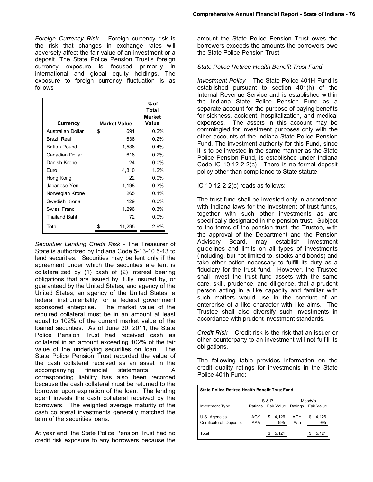*Foreign Currency Risk* – Foreign currency risk is the risk that changes in exchange rates will adversely affect the fair value of an investment or a deposit. The State Police Pension Trust's foreign currency exposure is focused primarily in international and global equity holdings. The exposure to foreign currency fluctuation is as follows

| <b>Currency</b>          | <b>Market Value</b> | % of<br>Total<br><b>Market</b><br>Value |
|--------------------------|---------------------|-----------------------------------------|
| <b>Australian Dollar</b> | \$<br>691           | 0.2%                                    |
| Brazil Real              | 636                 | $0.2\%$                                 |
| <b>British Pound</b>     | 1,536               | $0.4\%$                                 |
| Canadian Dollar          | 616                 | $0.2\%$                                 |
| Danish Krone             | 24                  | $0.0\%$                                 |
| Euro                     | 4,810               | 1.2%                                    |
| Hong Kong                | 22                  | $0.0\%$                                 |
| Japanese Yen             | 1,198               | $0.3\%$                                 |
| Norwegian Krone          | 265                 | $0.1\%$                                 |
| Swedish Krona            | 129                 | $0.0\%$                                 |
| Swiss Franc              | 1,296               | 0.3%                                    |
| Thailand Baht            | 72                  | $0.0\%$                                 |
| Total                    | \$<br>11,295        | 2.9%                                    |

*Securities Lending Credit Risk -* The Treasurer of State is authorized by Indiana Code 5-13-10.5-13 to lend securities. Securities may be lent only if the agreement under which the securities are lent is collateralized by (1) cash of (2) interest bearing obligations that are issued by, fully insured by, or guaranteed by the United States, and agency of the United States, an agency of the United States, a federal instrumentality, or a federal government sponsored enterprise. The market value of the required collateral must be in an amount at least equal to 102% of the current market value of the loaned securities. As of June 30, 2011, the State Police Pension Trust had received cash as collateral in an amount exceeding 102% of the fair value of the underlying securities on loan. The State Police Pension Trust recorded the value of the cash collateral received as an asset in the accompanying financial statements. A corresponding liability has also been recorded because the cash collateral must be returned to the borrower upon expiration of the loan. The lending agent invests the cash collateral received by the borrowers. The weighted average maturity of the cash collateral investments generally matched the term of the securities loans.

At year end, the State Police Pension Trust had no credit risk exposure to any borrowers because the amount the State Police Pension Trust owes the borrowers exceeds the amounts the borrowers owe the State Police Pension Trust.

#### *State Police Retiree Health Benefit Trust Fund*

*Investment Policy* – The State Police 401H Fund is established pursuant to section 401(h) of the Internal Revenue Service and is established within the Indiana State Police Pension Fund as a separate account for the purpose of paying benefits for sickness, accident, hospitalization, and medical expenses. The assets in this account may be commingled for investment purposes only with the other accounts of the Indiana State Police Pension Fund. The investment authority for this Fund, since it is to be invested in the same manner as the State Police Pension Fund, is established under Indiana Code IC 10-12-2-2(c). There is no formal deposit policy other than compliance to State statute.

#### IC 10-12-2-2(c) reads as follows:

The trust fund shall be invested only in accordance with Indiana laws for the investment of trust funds, together with such other investments as are specifically designated in the pension trust. Subject to the terms of the pension trust, the Trustee, with the approval of the Department and the Pension Advisory Board, may establish investment guidelines and limits on all types of investments (including, but not limited to, stocks and bonds) and take other action necessary to fulfill its duty as a fiduciary for the trust fund. However, the Trustee shall invest the trust fund assets with the same care, skill, prudence, and diligence, that a prudent person acting in a like capacity and familiar with such matters would use in the conduct of an enterprise of a like character with like aims. The Trustee shall also diversify such investments in accordance with prudent investment standards.

*Credit Risk* – Credit risk is the risk that an issuer or other counterparty to an investment will not fulfill its obligations.

The following table provides information on the credit quality ratings for investments in the State Police 401h Fund:

| State Police Retiree Health Benefit Trust Fund |                    |                    |            |                    |  |
|------------------------------------------------|--------------------|--------------------|------------|--------------------|--|
|                                                | $S$ & P<br>Moody's |                    |            |                    |  |
| <b>Investment Type</b>                         | Ratings            | Fair Value         | Ratings    | Fair Value         |  |
| U.S. Agencies<br>Certificate of Deposits       | AGY<br>AAA         | 4,126<br>\$<br>995 | AGY<br>Aaa | 4.126<br>\$<br>995 |  |
| Total                                          |                    | 5.121              |            | 5.121              |  |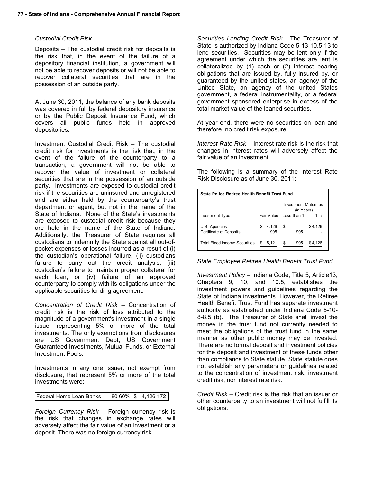#### *Custodial Credit Risk*

Deposits – The custodial credit risk for deposits is the risk that, in the event of the failure of a depository financial institution, a government will not be able to recover deposits or will not be able to recover collateral securities that are in the possession of an outside party.

At June 30, 2011, the balance of any bank deposits was covered in full by federal depository insurance or by the Public Deposit Insurance Fund, which covers all public funds held in approved depositories.

Investment Custodial Credit Risk – The custodial credit risk for investments is the risk that, in the event of the failure of the counterparty to a transaction, a government will not be able to recover the value of investment or collateral securities that are in the possession of an outside party. Investments are exposed to custodial credit risk if the securities are uninsured and unregistered and are either held by the counterparty's trust department or agent, but not in the name of the State of Indiana. None of the State's investments are exposed to custodial credit risk because they are held in the name of the State of Indiana. Additionally, the Treasurer of State requires all custodians to indemnify the State against all out-ofpocket expenses or losses incurred as a result of (i) the custodian's operational failure, (ii) custodians failure to carry out the credit analysis, (iii) custodian's failure to maintain proper collateral for each loan, or (iv) failure of an approved counterparty to comply with its obligations under the applicable securities lending agreement.

*Concentration of Credit Risk* – Concentration of credit risk is the risk of loss attributed to the magnitude of a government's investment in a single issuer representing 5% or more of the total investments. The only exemptions from disclosures are US Government Debt, US Government Guaranteed Investments, Mutual Funds, or External Investment Pools.

Investments in any one issuer, not exempt from disclosure, that represent 5% or more of the total investments were:

| Federal Home Loan Banks |  |  | 80.60% \$4,126,172 |
|-------------------------|--|--|--------------------|
|-------------------------|--|--|--------------------|

*Foreign Currency Risk* – Foreign currency risk is the risk that changes in exchange rates will adversely affect the fair value of an investment or a deposit. There was no foreign currency risk.

*Securities Lending Credit Risk -* The Treasurer of State is authorized by Indiana Code 5-13-10.5-13 to lend securities. Securities may be lent only if the agreement under which the securities are lent is collateralized by (1) cash or (2) interest bearing obligations that are issued by, fully insured by, or guaranteed by the united states, an agency of the United State, an agency of the united States government, a federal instrumentality, or a federal government sponsored enterprise in excess of the total market value of the loaned securities.

At year end, there were no securities on loan and therefore, no credit risk exposure.

*Interest Rate Risk* – Interest rate risk is the risk that changes in interest rates will adversely affect the fair value of an investment.

The following is a summary of the Interest Rate Risk Disclosure as of June 30, 2011:

| State Police Retiree Health Benefit Trust Fund |  |                        |    |            |                              |
|------------------------------------------------|--|------------------------|----|------------|------------------------------|
|                                                |  |                        |    | (in Years) | <b>Investment Maturities</b> |
| Investment Type                                |  | Fair Value Less than 1 |    |            | $1 - 5$                      |
| U.S. Agencies<br>Certificate of Deposits       |  | 4,126<br>995           | \$ | 995        | \$4,126                      |
| <b>Total Fixed Income Securities</b>           |  | 5.121                  | \$ | 995        | \$4.126                      |

#### *State Employee Retiree Health Benefit Trust Fund*

*Investment Policy* – Indiana Code, Title 5, Article13, Chapters 9, 10, and 10.5, establishes the investment powers and guidelines regarding the State of Indiana investments. However, the Retiree Health Benefit Trust Fund has separate investment authority as established under Indiana Code 5-10- 8-8.5 (b). The Treasurer of State shall invest the money in the trust fund not currently needed to meet the obligations of the trust fund in the same manner as other public money may be invested. There are no formal deposit and investment policies for the deposit and investment of these funds other than compliance to State statute. State statute does not establish any parameters or guidelines related to the concentration of investment risk, investment credit risk, nor interest rate risk.

*Credit Risk* – Credit risk is the risk that an issuer or other counterparty to an investment will not fulfill its obligations.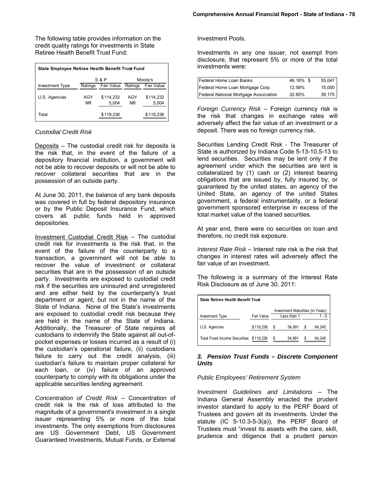The following table provides information on the credit quality ratings for investments in State Retiree Health Benefit Trust Fund:

| State Employee Retiree Health Benefit Trust Fund |                           |                    |            |                    |  |  |
|--------------------------------------------------|---------------------------|--------------------|------------|--------------------|--|--|
|                                                  | <b>S&amp;P</b><br>Moody's |                    |            |                    |  |  |
| <b>Investment Type</b>                           | Ratings                   | Fair Value         | Ratings    | Fair Value         |  |  |
| U.S. Agencies                                    | AGY<br>NR.                | \$114.232<br>5,004 | AGY<br>NR. | \$114,232<br>5,004 |  |  |
| Total                                            |                           | \$119,236          |            | \$119,236          |  |  |

#### *Custodial Credit Risk*

Deposits – The custodial credit risk for deposits is the risk that, in the event of the failure of a depository financial institution, a government will not be able to recover deposits or will not be able to recover collateral securities that are in the possession of an outside party.

At June 30, 2011, the balance of any bank deposits was covered in full by federal depository insurance or by the Public Deposit Insurance Fund, which covers all public funds held in approved depositories.

Investment Custodial Credit Risk – The custodial credit risk for investments is the risk that, in the event of the failure of the counterparty to a transaction, a government will not be able to recover the value of investment or collateral securities that are in the possession of an outside party. Investments are exposed to custodial credit risk if the securities are uninsured and unregistered and are either held by the counterparty's trust department or agent, but not in the name of the State of Indiana. None of the State's investments are exposed to custodial credit risk because they are held in the name of the State of Indiana. Additionally, the Treasurer of State requires all custodians to indemnify the State against all out-ofpocket expenses or losses incurred as a result of (i) the custodian's operational failure, (ii) custodians failure to carry out the credit analysis, (iii) custodian's failure to maintain proper collateral for each loan, or (iv) failure of an approved counterparty to comply with its obligations under the applicable securities lending agreement.

*Concentration of Credit Risk* – Concentration of credit risk is the risk of loss attributed to the magnitude of a government's investment in a single issuer representing 5% or more of the total investments. The only exemptions from disclosures are US Government Debt, US Government Guaranteed Investments, Mutual Funds, or External

Investment Pools.

Investments in any one issuer, not exempt from disclosure, that represent 5% or more of the total investments were:

| Federal Home Loan Banks               | 46.16% \$ | 55,047 |
|---------------------------------------|-----------|--------|
| Federal Home Loan Mortgage Corp.      | 12.58%    | 15,000 |
| Federal National Mortgage Association | 32.85%    | 39,175 |

*Foreign Currency Risk* – Foreign currency risk is the risk that changes in exchange rates will adversely affect the fair value of an investment or a deposit. There was no foreign currency risk.

Securities Lending Credit Risk *-* The Treasurer of State is authorized by Indiana Code 5-13-10.5-13 to lend securities. Securities may be lent only if the agreement under which the securities are lent is collateralized by (1) cash or (2) interest bearing obligations that are issued by, fully insured by, or guaranteed by the united states, an agency of the United State, an agency of the united States government, a federal instrumentality, or a federal government sponsored enterprise in excess of the total market value of the loaned securities.

At year end, there were no securities on loan and therefore, no credit risk exposure.

*Interest Rate Risk* – Interest rate risk is the risk that changes in interest rates will adversely affect the fair value of an investment.

The following is a summary of the Interest Rate Risk Disclosure as of June 30, 2011:

| <b>State Retiree Health Benefit Trust</b> |            |    |                                  |   |        |
|-------------------------------------------|------------|----|----------------------------------|---|--------|
|                                           |            |    | Investment Maturities (in Years) |   |        |
| Investment Type                           | Fair Value |    | Less than 1                      |   | 1 - 5  |
| U.S. Agencies                             | \$119,236  | \$ | 54.991                           | S | 64.245 |
| <b>Total Fixed Income Securities</b>      | \$119.236  | S  | 54.991                           |   | 64.245 |

#### *3. Pension Trust Funds – Discrete Component Units*

#### *Public Employees' Retirement System*

*Investment Guidelines and Limitations* – The Indiana General Assembly enacted the prudent investor standard to apply to the PERF Board of Trustees and govern all its investments. Under the statute (IC 5-10.3-5-3(a)), the PERF Board of Trustees must "invest its assets with the care, skill, prudence and diligence that a prudent person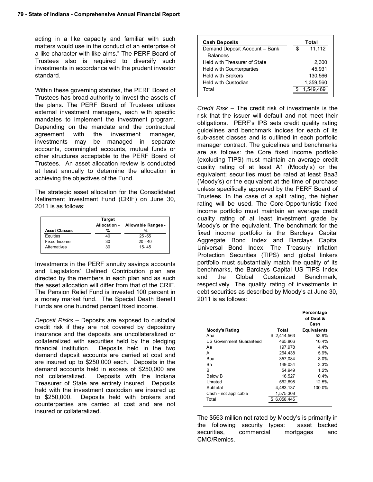acting in a like capacity and familiar with such matters would use in the conduct of an enterprise of a like character with like aims." The PERF Board of Trustees also is required to diversify such investments in accordance with the prudent investor standard.

Within these governing statutes, the PERF Board of Trustees has broad authority to invest the assets of the plans. The PERF Board of Trustees utilizes external investment managers, each with specific mandates to implement the investment program. Depending on the mandate and the contractual agreement with the investment manager, investments may be managed in separate accounts, commingled accounts, mutual funds or other structures acceptable to the PERF Board of Trustees. An asset allocation review is conducted at least annually to determine the allocation in achieving the objectives of the Fund.

The strategic asset allocation for the Consolidated Retirement Investment Fund (CRIF) on June 30, 2011 is as follows:

|                      | <b>Target</b><br>Allocation - | Allowable Ranges - |
|----------------------|-------------------------------|--------------------|
| <b>Asset Classes</b> | %                             | %                  |
| Equities             | 40                            | $25 - 55$          |
| Fixed Income         | 30                            | $20 - 40$          |
| Alternatives         | 30                            | $15 - 45$          |

Investments in the PERF annuity savings accounts and Legislators' Defined Contribution plan are directed by the members in each plan and as such the asset allocation will differ from that of the CRIF. The Pension Relief Fund is invested 100 percent in a money market fund. The Special Death Benefit Funds are one hundred percent fixed income.

*Deposit Risks* – Deposits are exposed to custodial credit risk if they are not covered by depository insurance and the deposits are uncollateralized or collateralized with securities held by the pledging financial institution. Deposits held in the two demand deposit accounts are carried at cost and are insured up to \$250,000 each. Deposits in the demand accounts held in excess of \$250,000 are not collateralized. Deposits with the Indiana Treasurer of State are entirely insured. Deposits held with the investment custodian are insured up to \$250,000. Deposits held with brokers and counterparties are carried at cost and are not insured or collateralized.

| <b>Cash Deposits</b>            | Total        |  |  |
|---------------------------------|--------------|--|--|
| Demand Deposit Account - Bank   | 11.112<br>\$ |  |  |
| <b>Balances</b>                 |              |  |  |
| Held with Treasurer of State    | 2.300        |  |  |
| <b>Held with Counterparties</b> | 45.931       |  |  |
| <b>Held with Brokers</b>        | 130.566      |  |  |
| Held with Custodian             | 1,359,560    |  |  |
| Total                           | 1.549.469    |  |  |
|                                 |              |  |  |

*Credit Risk* – The credit risk of investments is the risk that the issuer will default and not meet their obligations. PERF's IPS sets credit quality rating guidelines and benchmark indices for each of its sub-asset classes and is outlined in each portfolio manager contract. The guidelines and benchmarks are as follows: the Core fixed income portfolio (excluding TIPS) must maintain an average credit quality rating of at least A1 (Moody's) or the equivalent; securities must be rated at least Baa3 (Moody's) or the equivalent at the time of purchase unless specifically approved by the PERF Board of Trustees. In the case of a split rating, the higher rating will be used. The Core-Opportunistic fixed income portfolio must maintain an average credit quality rating of at least investment grade by Moody's or the equivalent. The benchmark for the fixed income portfolio is the Barclays Capital Aggregate Bond Index and Barclays Capital Universal Bond Index. The Treasury Inflation Protection Securities (TIPS) and global linkers portfolio must substantially match the quality of its benchmarks, the Barclays Capital US TIPS Index and the Global Customized Benchmark, respectively. The quality rating of investments in debt securities as described by Moody's at June 30, 2011 is as follows:

|                          |              | Percentage<br>of Debt &<br>Cash |
|--------------------------|--------------|---------------------------------|
| Moody's Rating           | Total        | <b>Equivalents</b>              |
| Ааа                      | \$2,414,563  | 53.9%                           |
| US Government Guaranteed | 465.866      | 10.4%                           |
| Аа                       | 197,978      | $4.4\%$                         |
| А                        | 264.438      | 5.9%                            |
| Baa                      | 357,084      | $8.0\%$                         |
| Bа                       | 149.034      | 3.3%                            |
| R                        | 54.949       | 1.2%                            |
| <b>Below B</b>           | 16,527       | 0.4%                            |
| Unrated                  | 562,698      | 12.5%                           |
| Subtotal                 | 4,483,137    | 100.0%                          |
| Cash - not applicable    | 1,575,308    |                                 |
| Total                    | \$ 6,058,445 |                                 |

The \$563 million not rated by Moody's is primarily in the following security types: asset backed securities, commercial mortgages and CMO/Remics.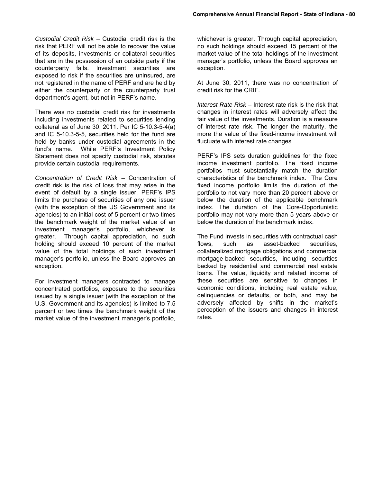*Custodial Credit Risk* – Custodial credit risk is the risk that PERF will not be able to recover the value of its deposits, investments or collateral securities that are in the possession of an outside party if the counterparty fails. Investment securities are exposed to risk if the securities are uninsured, are not registered in the name of PERF and are held by either the counterparty or the counterparty trust department's agent, but not in PERF's name.

There was no custodial credit risk for investments including investments related to securities lending collateral as of June 30, 2011. Per IC 5-10.3-5-4(a) and IC 5-10.3-5-5, securities held for the fund are held by banks under custodial agreements in the fund's name. While PERF's Investment Policy Statement does not specify custodial risk, statutes provide certain custodial requirements.

*Concentration of Credit Risk* – Concentration of credit risk is the risk of loss that may arise in the event of default by a single issuer. PERF's IPS limits the purchase of securities of any one issuer (with the exception of the US Government and its agencies) to an initial cost of 5 percent or two times the benchmark weight of the market value of an investment manager's portfolio, whichever is greater. Through capital appreciation, no such holding should exceed 10 percent of the market value of the total holdings of such investment manager's portfolio, unless the Board approves an exception.

For investment managers contracted to manage concentrated portfolios, exposure to the securities issued by a single issuer (with the exception of the U.S. Government and its agencies) is limited to 7.5 percent or two times the benchmark weight of the market value of the investment manager's portfolio,

whichever is greater. Through capital appreciation, no such holdings should exceed 15 percent of the market value of the total holdings of the investment manager's portfolio, unless the Board approves an exception.

At June 30, 2011, there was no concentration of credit risk for the CRIF.

*Interest Rate Risk* – Interest rate risk is the risk that changes in interest rates will adversely affect the fair value of the investments. Duration is a measure of interest rate risk. The longer the maturity, the more the value of the fixed-income investment will fluctuate with interest rate changes.

PERF's IPS sets duration guidelines for the fixed income investment portfolio. The fixed income portfolios must substantially match the duration characteristics of the benchmark index. The Core fixed income portfolio limits the duration of the portfolio to not vary more than 20 percent above or below the duration of the applicable benchmark index. The duration of the Core-Opportunistic portfolio may not vary more than 5 years above or below the duration of the benchmark index.

The Fund invests in securities with contractual cash flows, such as asset-backed securities, collateralized mortgage obligations and commercial mortgage-backed securities, including securities backed by residential and commercial real estate loans. The value, liquidity and related income of these securities are sensitive to changes in economic conditions, including real estate value, delinquencies or defaults, or both, and may be adversely affected by shifts in the market's perception of the issuers and changes in interest rates.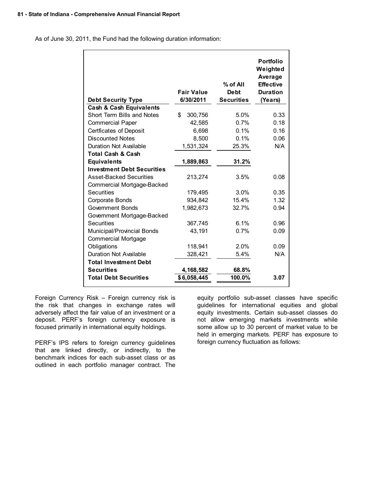As of June 30, 2011, the Fund had the following duration information:

| <b>Debt Security Type</b>                                              | <b>Fair Value</b><br>6/30/2011 | % of All<br><b>Debt</b><br><b>Securities</b> | <b>Portfolio</b><br>Weighted<br>Average<br><b>Effective</b><br><b>Duration</b><br>(Years) |
|------------------------------------------------------------------------|--------------------------------|----------------------------------------------|-------------------------------------------------------------------------------------------|
| <b>Cash &amp; Cash Equivalents</b><br>Short Term Bills and Notes<br>\$ |                                | 5.0%                                         |                                                                                           |
|                                                                        | 300,756                        |                                              | 0.33                                                                                      |
| <b>Commercial Paper</b>                                                | 42,585                         | 0.7%                                         | 0.18                                                                                      |
| <b>Certficates of Deposit</b><br><b>Discounted Notes</b>               | 6,698                          | 0.1%<br>0.1%                                 | 0.16                                                                                      |
|                                                                        | 8,500                          |                                              | 0.06                                                                                      |
| Duration Not Available                                                 | 1,531,324                      | 25.3%                                        | N/A                                                                                       |
| <b>Total Cash &amp; Cash</b>                                           |                                |                                              |                                                                                           |
| <b>Equivalents</b>                                                     | 1,889,863                      | 31.2%                                        |                                                                                           |
| <b>Investment Debt Securities</b>                                      |                                |                                              |                                                                                           |
| <b>Asset-Backed Securities</b>                                         | 213,274                        | 3.5%                                         | 0.08                                                                                      |
| Commercial Mortgage-Backed                                             |                                |                                              |                                                                                           |
| <b>Securities</b>                                                      | 179,495                        | 3.0%                                         | 0.35                                                                                      |
| Corporate Bonds                                                        | 934,842                        | 15.4%                                        | 1.32                                                                                      |
| <b>Government Bonds</b>                                                | 1,982,673                      | 32.7%                                        | 0.94                                                                                      |
| Government Mortgage-Backed                                             |                                |                                              |                                                                                           |
| Securities                                                             | 367,745                        | 6.1%                                         | 0.96                                                                                      |
| Municipal/Provincial Bonds                                             | 43,191                         | 0.7%                                         | 0.09                                                                                      |
| <b>Commercial Mortgage</b>                                             |                                |                                              |                                                                                           |
| Obligations                                                            | 118,941                        | 2.0%                                         | 0.09                                                                                      |
| <b>Duration Not Available</b>                                          | 328,421                        | 5.4%                                         | N/A                                                                                       |
| <b>Total Investment Debt</b>                                           |                                |                                              |                                                                                           |
| <b>Securities</b>                                                      | 4,168,582                      | 68.8%                                        |                                                                                           |
| <b>Total Debt Securities</b>                                           | \$6,058,445                    | 100.0%                                       | 3.07                                                                                      |

Foreign Currency Risk – Foreign currency risk is the risk that changes in exchange rates will adversely affect the fair value of an investment or a deposit. PERF's foreign currency exposure is focused primarily in international equity holdings.

PERF's IPS refers to foreign currency guidelines that are linked directly, or indirectly, to the benchmark indices for each sub-asset class or as outlined in each portfolio manager contract. The

equity portfolio sub-asset classes have specific guidelines for international equities and global equity investments. Certain sub-asset classes do not allow emerging markets investments while some allow up to 30 percent of market value to be held in emerging markets. PERF has exposure to foreign currency fluctuation as follows: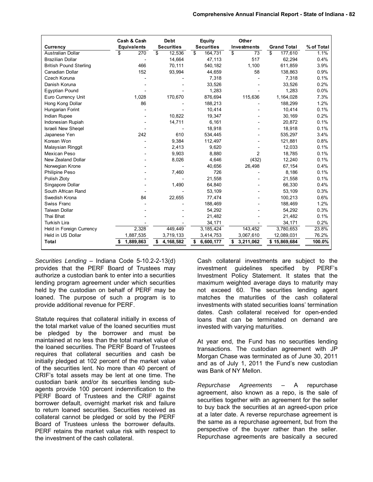|                               | Cash & Cash        | <b>Debt</b>       | <b>Equity</b>     | Other              |                    |            |
|-------------------------------|--------------------|-------------------|-------------------|--------------------|--------------------|------------|
| Currency                      | <b>Equivalents</b> | <b>Securities</b> | <b>Securities</b> | <b>Investments</b> | <b>Grand Total</b> | % of Total |
| <b>Australian Dollar</b>      | 270<br>\$          | \$<br>12,536      | 164,731<br>\$     | s,<br>73           | 177,610<br>\$      | 1.1%       |
| <b>Brazilian Dollar</b>       |                    | 14,664            | 47,113            | 517                | 62,294             | 0.4%       |
| <b>British Pound Sterling</b> | 466                | 70,111            | 540,182           | 1,100              | 611,859            | 3.9%       |
| Canadian Dollar               | 152                | 93,994            | 44,659            | 58                 | 138,863            | 0.9%       |
| Czech Koruna                  |                    |                   | 7,318             |                    | 7,318              | 0.1%       |
| Danish Koruna                 |                    |                   | 33,526            |                    | 33,526             | 0.2%       |
| <b>Eqyptian Pound</b>         |                    |                   | 1,283             |                    | 1,283              | 0.0%       |
| Euro Currency Unit            | 1.028              | 170,670           | 876,694           | 115,636            | 1,164,028          | 7.3%       |
| Hong Kong Dollar              | 86                 |                   | 188,213           |                    | 188,299            | 1.2%       |
| Hungarian Forint              |                    |                   | 10,414            |                    | 10,414             | 0.1%       |
| Indian Rupee                  |                    | 10,822            | 19,347            |                    | 30,169             | 0.2%       |
| Indonesian Rupiah             |                    | 14,711            | 6,161             |                    | 20,872             | 0.1%       |
| <b>Israeli New Shegel</b>     |                    |                   | 18,918            |                    | 18,918             | 0.1%       |
| Japanese Yen                  | 242                | 610               | 534,445           |                    | 535,297            | 3.4%       |
| Korean Won                    |                    | 9,384             | 112,497           |                    | 121,881            | 0.8%       |
| Malaysian Ringgit             |                    | 2,413             | 9.620             |                    | 12.033             | 0.1%       |
| Mexican Peso                  |                    | 9,903             | 8,880             | 2                  | 18,785             | 0.1%       |
| New Zealand Dollar            |                    | 8,026             | 4,646             | (432)              | 12,240             | 0.1%       |
| Norwegian Krone               |                    |                   | 40,656            | 26,498             | 67,154             | 0.4%       |
| Philipine Peso                |                    | 7,460             | 726               |                    | 8,186              | 0.1%       |
| Polish Zloty                  |                    |                   | 21,558            |                    | 21,558             | 0.1%       |
| Singapore Dollar              |                    | 1,490             | 64.840            |                    | 66,330             | 0.4%       |
| South African Rand            |                    |                   | 53,109            |                    | 53,109             | 0.3%       |
| Swedish Krona                 | 84                 | 22,655            | 77,474            |                    | 100,213            | 0.6%       |
| Swiss Franc                   |                    |                   | 188,469           |                    | 188,469            | 1.2%       |
| <b>Taiwan Dollar</b>          |                    |                   | 54,292            |                    | 54,292             | 0.3%       |
| Thai Bhat                     |                    |                   | 21,482            |                    | 21,482             | 0.1%       |
| <b>Turkish Lira</b>           |                    |                   | 34,171            |                    | 34,171             | 0.2%       |
| Held in Foreign Currency      | 2,328              | 449,449           | 3,185,424         | 143,452            | 3,780,653          | 23.8%      |
| Held in US Dollar             | 1,887,535          | 3,719,133         | 3,414,753         | 3,067,610          | 12,089,031         | 76.2%      |
| <b>Total</b>                  | 1,889,863          | 4,168,582<br>\$   | 6,600,177<br>\$   | 3,211,062<br>\$    | \$15,869,684       | 100.0%     |

*Securities Lending* – Indiana Code 5-10.2-2-13(d) provides that the PERF Board of Trustees may authorize a custodian bank to enter into a securities lending program agreement under which securities held by the custodian on behalf of PERF may be loaned. The purpose of such a program is to provide additional revenue for PERF.

Statute requires that collateral initially in excess of the total market value of the loaned securities must be pledged by the borrower and must be maintained at no less than the total market value of the loaned securities. The PERF Board of Trustees requires that collateral securities and cash be initially pledged at 102 percent of the market value of the securities lent. No more than 40 percent of CRIF's total assets may be lent at one time. The custodian bank and/or its securities lending subagents provide 100 percent indemnification to the PERF Board of Trustees and the CRIF against borrower default, overnight market risk and failure to return loaned securities. Securities received as collateral cannot be pledged or sold by the PERF Board of Trustees unless the borrower defaults. PERF retains the market value risk with respect to the investment of the cash collateral.

Cash collateral investments are subject to the investment guidelines specified by PERF's Investment Policy Statement. It states that the maximum weighted average days to maturity may not exceed 60. The securities lending agent matches the maturities of the cash collateral investments with stated securities loans' termination dates. Cash collateral received for open-ended loans that can be terminated on demand are invested with varying maturities.

At year end, the Fund has no securities lending transactions. The custodian agreement with JP Morgan Chase was terminated as of June 30, 2011 and as of July 1, 2011 the Fund's new custodian was Bank of NY Mellon.

*Repurchase Agreements* – A repurchase agreement, also known as a repo, is the sale of securities together with an agreement for the seller to buy back the securities at an agreed-upon price at a later date. A reverse repurchase agreement is the same as a repurchase agreement, but from the perspective of the buyer rather than the seller. Repurchase agreements are basically a secured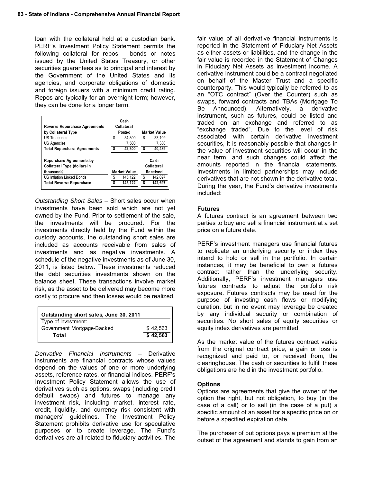loan with the collateral held at a custodian bank. PERF's Investment Policy Statement permits the following collateral for repos – bonds or notes issued by the United States Treasury, or other securities guarantees as to principal and interest by the Government of the United States and its agencies, and corporate obligations of domestic and foreign issuers with a minimum credit rating. Repos are typically for an overnight term; however, they can be done for a longer term.

| <b>Reverse Repurchase Agreements</b><br>by Collateral Type            |    | Cash<br>Collateral<br>Posted | <b>Market Value</b>            |       |  |  |
|-----------------------------------------------------------------------|----|------------------------------|--------------------------------|-------|--|--|
| <b>US Treasuries</b>                                                  | \$ | 34.800                       | \$<br>33.109                   |       |  |  |
| <b>US Agencies</b>                                                    |    | 7,500                        |                                | 7,380 |  |  |
| <b>Total Repurchase Agreements</b>                                    | -S | 42.300                       | \$<br>40.489                   |       |  |  |
| Repurchase Agreements by<br>Collateral Type (dollars in<br>thousands) |    | <b>Market Value</b>          | Cash<br>Collateral<br>Received |       |  |  |
| <b>US Inflation Linked Bonds</b>                                      | \$ | 145,122                      | \$<br>142.697                  |       |  |  |
| <b>Total Reverse Repurchase</b>                                       | \$ | 145,122                      | 142,697<br>\$                  |       |  |  |

*Outstanding Short Sales* – Short sales occur when investments have been sold which are not yet owned by the Fund. Prior to settlement of the sale, the investments will be procured. For the investments directly held by the Fund within the custody accounts, the outstanding short sales are included as accounts receivable from sales of investments and as negative investments. A schedule of the negative investments as of June 30, 2011, is listed below. These investments reduced the debt securities investments shown on the balance sheet. These transactions involve market risk, as the asset to be delivered may become more costly to procure and then losses would be realized.

| Outstanding short sales, June 30, 2011 |          |
|----------------------------------------|----------|
| Type of Investment:                    |          |
| Government Mortgage-Backed             | \$42.563 |
| Total                                  | \$42,563 |

*Derivative Financial Instruments* – Derivative instruments are financial contracts whose values depend on the values of one or more underlying assets, reference rates, or financial indices. PERF's Investment Policy Statement allows the use of derivatives such as options, swaps (including credit default swaps) and futures to manage any investment risk, including market, interest rate, credit, liquidity, and currency risk consistent with managers' guidelines. The Investment Policy Statement prohibits derivative use for speculative purposes or to create leverage. The Fund's derivatives are all related to fiduciary activities. The

fair value of all derivative financial instruments is reported in the Statement of Fiduciary Net Assets as either assets or liabilities, and the change in the fair value is recorded in the Statement of Changes in Fiduciary Net Assets as investment income. A derivative instrument could be a contract negotiated on behalf of the Master Trust and a specific counterparty. This would typically be referred to as an "OTC contract" (Over the Counter) such as swaps, forward contracts and TBAs (Mortgage To Be Announced). Alternatively, a derivative instrument, such as futures, could be listed and traded on an exchange and referred to as "exchange traded". Due to the level of risk associated with certain derivative investment securities, it is reasonably possible that changes in the value of investment securities will occur in the near term, and such changes could affect the amounts reported in the financial statements. Investments in limited partnerships may include derivatives that are not shown in the derivative total. During the year, the Fund's derivative investments included:

#### **Futures**

A futures contract is an agreement between two parties to buy and sell a financial instrument at a set price on a future date.

PERF's investment managers use financial futures to replicate an underlying security or index they intend to hold or sell in the portfolio. In certain instances, it may be beneficial to own a futures contract rather than the underlying security. Additionally, PERF's investment managers use futures contracts to adjust the portfolio risk exposure. Futures contracts may be used for the purpose of investing cash flows or modifying duration, but in no event may leverage be created by any individual security or combination of securities. No short sales of equity securities or equity index derivatives are permitted.

As the market value of the futures contract varies from the original contract price, a gain or loss is recognized and paid to, or received from, the clearinghouse. The cash or securities to fulfill these obligations are held in the investment portfolio.

#### **Options**

Options are agreements that give the owner of the option the right, but not obligation, to buy (in the case of a call) or to sell (in the case of a put) a specific amount of an asset for a specific price on or before a specified expiration date.

The purchaser of put options pays a premium at the outset of the agreement and stands to gain from an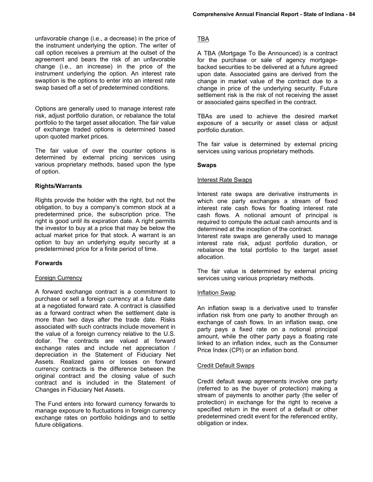unfavorable change (i.e., a decrease) in the price of the instrument underlying the option. The writer of call option receives a premium at the outset of the agreement and bears the risk of an unfavorable change (i.e., an increase) in the price of the instrument underlying the option. An interest rate swaption is the options to enter into an interest rate swap based off a set of predetermined conditions.

Options are generally used to manage interest rate risk, adjust portfolio duration, or rebalance the total portfolio to the target asset allocation. The fair value of exchange traded options is determined based upon quoted market prices.

The fair value of over the counter options is determined by external pricing services using various proprietary methods, based upon the type of option.

## **Rights/Warrants**

Rights provide the holder with the right, but not the obligation, to buy a company's common stock at a predetermined price, the subscription price. The right is good until its expiration date. A right permits the investor to buy at a price that may be below the actual market price for that stock. A warrant is an option to buy an underlying equity security at a predetermined price for a finite period of time.

## **Forwards**

## Foreign Currency

A forward exchange contract is a commitment to purchase or sell a foreign currency at a future date at a negotiated forward rate. A contract is classified as a forward contract when the settlement date is more than two days after the trade date. Risks associated with such contracts include movement in the value of a foreign currency relative to the U.S. dollar. The contracts are valued at forward exchange rates and include net appreciation / depreciation in the Statement of Fiduciary Net Assets. Realized gains or losses on forward currency contracts is the difference between the original contract and the closing value of such contract and is included in the Statement of Changes in Fiduciary Net Assets.

The Fund enters into forward currency forwards to manage exposure to fluctuations in foreign currency exchange rates on portfolio holdings and to settle future obligations.

## TBA

A TBA (Mortgage To Be Announced) is a contract for the purchase or sale of agency mortgagebacked securities to be delivered at a future agreed upon date. Associated gains are derived from the change in market value of the contract due to a change in price of the underlying security. Future settlement risk is the risk of not receiving the asset or associated gains specified in the contract.

TBAs are used to achieve the desired market exposure of a security or asset class or adjust portfolio duration.

The fair value is determined by external pricing services using various proprietary methods.

#### **Swaps**

#### Interest Rate Swaps

Interest rate swaps are derivative instruments in which one party exchanges a stream of fixed interest rate cash flows for floating interest rate cash flows. A notional amount of principal is required to compute the actual cash amounts and is determined at the inception of the contract.

Interest rate swaps are generally used to manage interest rate risk, adjust portfolio duration, or rebalance the total portfolio to the target asset allocation.

The fair value is determined by external pricing services using various proprietary methods.

## Inflation Swap

An inflation swap is a derivative used to transfer inflation risk from one party to another through an exchange of cash flows. In an inflation swap, one party pays a fixed rate on a notional principal amount, while the other party pays a floating rate linked to an inflation index, such as the Consumer Price Index (CPI) or an inflation bond.

#### Credit Default Swaps

Credit default swap agreements involve one party (referred to as the buyer of protection) making a stream of payments to another party (the seller of protection) in exchange for the right to receive a specified return in the event of a default or other predetermined credit event for the referenced entity, obligation or index.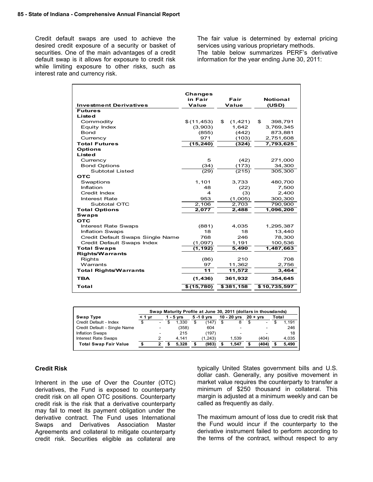Credit default swaps are used to achieve the desired credit exposure of a security or basket of securities. One of the main advantages of a credit default swap is it allows for exposure to credit risk while limiting exposure to other risks, such as interest rate and currency risk.

The fair value is determined by external pricing services using various proprietary methods. The table below summarizes PERF's derivative information for the year ending June 30, 2011:

| <b>Changes</b><br>in Fair<br>Fair<br>Value<br>Value<br><b>Investment Derivatives</b><br>(USD)<br><b>Futures</b><br>Listed<br>\$(11, 453)<br>\$<br>Commodity<br>\$<br>(1, 421)<br>398,791<br>Equity Index<br>(3,903)<br>1.642<br>3,769,345<br><b>Bond</b><br>873,881<br>(855)<br>(442)<br>971<br>(103)<br>2,751,608<br>Currency<br><b>Total Futures</b><br>(15, 240)<br>(324)<br>7,793,625<br><b>Options</b><br>Listed<br>5<br>(42)<br>271,000<br>Currency<br><b>Bond Options</b><br>(34)<br>34,300<br>(173)<br>Subtotal Listed<br>(29)<br>(215)<br>305,300<br>ОТС<br>1,101<br>Swaptions<br>3,733<br>480,700<br>Inflation<br>48<br>(22)<br>Credit Index<br>4<br>(3)<br>953<br>Interest Rate<br>(1,005)<br>2,106<br>Subtotal OTC<br>2,703<br><b>Total Options</b> | <b>Notional</b>             |
|-----------------------------------------------------------------------------------------------------------------------------------------------------------------------------------------------------------------------------------------------------------------------------------------------------------------------------------------------------------------------------------------------------------------------------------------------------------------------------------------------------------------------------------------------------------------------------------------------------------------------------------------------------------------------------------------------------------------------------------------------------------------|-----------------------------|
|                                                                                                                                                                                                                                                                                                                                                                                                                                                                                                                                                                                                                                                                                                                                                                 |                             |
|                                                                                                                                                                                                                                                                                                                                                                                                                                                                                                                                                                                                                                                                                                                                                                 |                             |
|                                                                                                                                                                                                                                                                                                                                                                                                                                                                                                                                                                                                                                                                                                                                                                 |                             |
|                                                                                                                                                                                                                                                                                                                                                                                                                                                                                                                                                                                                                                                                                                                                                                 |                             |
|                                                                                                                                                                                                                                                                                                                                                                                                                                                                                                                                                                                                                                                                                                                                                                 |                             |
|                                                                                                                                                                                                                                                                                                                                                                                                                                                                                                                                                                                                                                                                                                                                                                 |                             |
|                                                                                                                                                                                                                                                                                                                                                                                                                                                                                                                                                                                                                                                                                                                                                                 |                             |
|                                                                                                                                                                                                                                                                                                                                                                                                                                                                                                                                                                                                                                                                                                                                                                 |                             |
|                                                                                                                                                                                                                                                                                                                                                                                                                                                                                                                                                                                                                                                                                                                                                                 |                             |
|                                                                                                                                                                                                                                                                                                                                                                                                                                                                                                                                                                                                                                                                                                                                                                 |                             |
|                                                                                                                                                                                                                                                                                                                                                                                                                                                                                                                                                                                                                                                                                                                                                                 |                             |
|                                                                                                                                                                                                                                                                                                                                                                                                                                                                                                                                                                                                                                                                                                                                                                 |                             |
|                                                                                                                                                                                                                                                                                                                                                                                                                                                                                                                                                                                                                                                                                                                                                                 |                             |
|                                                                                                                                                                                                                                                                                                                                                                                                                                                                                                                                                                                                                                                                                                                                                                 |                             |
|                                                                                                                                                                                                                                                                                                                                                                                                                                                                                                                                                                                                                                                                                                                                                                 |                             |
|                                                                                                                                                                                                                                                                                                                                                                                                                                                                                                                                                                                                                                                                                                                                                                 |                             |
|                                                                                                                                                                                                                                                                                                                                                                                                                                                                                                                                                                                                                                                                                                                                                                 |                             |
|                                                                                                                                                                                                                                                                                                                                                                                                                                                                                                                                                                                                                                                                                                                                                                 | 7,500                       |
|                                                                                                                                                                                                                                                                                                                                                                                                                                                                                                                                                                                                                                                                                                                                                                 | 2,400                       |
|                                                                                                                                                                                                                                                                                                                                                                                                                                                                                                                                                                                                                                                                                                                                                                 | 300,300                     |
|                                                                                                                                                                                                                                                                                                                                                                                                                                                                                                                                                                                                                                                                                                                                                                 | 790,900                     |
|                                                                                                                                                                                                                                                                                                                                                                                                                                                                                                                                                                                                                                                                                                                                                                 | 2,488<br>1,096,200<br>2,077 |
| <b>Swaps</b>                                                                                                                                                                                                                                                                                                                                                                                                                                                                                                                                                                                                                                                                                                                                                    |                             |
| <b>OTC</b>                                                                                                                                                                                                                                                                                                                                                                                                                                                                                                                                                                                                                                                                                                                                                      |                             |
| <b>Interest Rate Swaps</b><br>(881)<br>4,035                                                                                                                                                                                                                                                                                                                                                                                                                                                                                                                                                                                                                                                                                                                    | 1,295,387                   |
| <b>Inflation Swaps</b><br>18<br>18                                                                                                                                                                                                                                                                                                                                                                                                                                                                                                                                                                                                                                                                                                                              | 13,440                      |
| Credit Default Swaps Single Name<br>768<br>246                                                                                                                                                                                                                                                                                                                                                                                                                                                                                                                                                                                                                                                                                                                  | 78,300                      |
| Credit Default Swaps Index<br>1,191<br>(1,097)                                                                                                                                                                                                                                                                                                                                                                                                                                                                                                                                                                                                                                                                                                                  | 100,536                     |
| <b>Total Swaps</b><br>5,490<br>(1,192)                                                                                                                                                                                                                                                                                                                                                                                                                                                                                                                                                                                                                                                                                                                          | 1,487,663                   |
| <b>Rights/Warrants</b>                                                                                                                                                                                                                                                                                                                                                                                                                                                                                                                                                                                                                                                                                                                                          |                             |
| (86)<br>Rights<br>210                                                                                                                                                                                                                                                                                                                                                                                                                                                                                                                                                                                                                                                                                                                                           | 708                         |
| 11,362<br>Warrants<br>97                                                                                                                                                                                                                                                                                                                                                                                                                                                                                                                                                                                                                                                                                                                                        | 2,756                       |
| 11<br><b>Total Rights/Warrants</b><br>11,572                                                                                                                                                                                                                                                                                                                                                                                                                                                                                                                                                                                                                                                                                                                    | 3,464                       |
| ТВА<br>(1, 436)<br>361,932                                                                                                                                                                                                                                                                                                                                                                                                                                                                                                                                                                                                                                                                                                                                      | 354,645                     |
| \$381,158<br>Total<br>\$(15,780)                                                                                                                                                                                                                                                                                                                                                                                                                                                                                                                                                                                                                                                                                                                                | \$10,735,597                |

|                              |    | Swap Maturity Profile at June 30, 2011 (dollars in thousdands) |  |           |    |             |  |               |   |                          |       |       |
|------------------------------|----|----------------------------------------------------------------|--|-----------|----|-------------|--|---------------|---|--------------------------|-------|-------|
| Swap Type                    | vr |                                                                |  | 1 - 5 vrs |    | 5 - 1 0 vrs |  | $10 - 20$ vrs |   | $20 + yrs$               | Total |       |
| Credit Default - Index       | S  | $\overline{a}$                                                 |  | .330      | \$ | (147)       |  |               | S | $\overline{\phantom{a}}$ |       | 1.191 |
| Credit Default - Single Name |    | $\overline{\phantom{0}}$                                       |  | (358)     |    | 604         |  | -             |   |                          |       | 246   |
| <b>Inflation Swaps</b>       |    | -                                                              |  | 215       |    | (197)       |  | -             |   |                          |       | 18    |
| <b>Interest Rate Swaps</b>   |    |                                                                |  | 4.141     |    | (1.243)     |  | 1.539         |   | (404)                    |       | 4,035 |
| <b>Total Swap Fair Value</b> |    |                                                                |  | 5.328     |    | (983)       |  | 1.547         |   | (404)                    |       | 5.490 |

#### **Credit Risk**

Inherent in the use of Over the Counter (OTC) derivatives, the Fund is exposed to counterparty credit risk on all open OTC positions. Counterparty credit risk is the risk that a derivative counterparty may fail to meet its payment obligation under the derivative contract. The Fund uses International Swaps and Derivatives Association Master Agreements and collateral to mitigate counterparty credit risk. Securities eligible as collateral are

typically United States government bills and U.S. dollar cash. Generally, any positive movement in market value requires the counterparty to transfer a minimum of \$250 thousand in collateral. This margin is adjusted at a minimum weekly and can be called as frequently as daily.

The maximum amount of loss due to credit risk that the Fund would incur if the counterparty to the derivative instrument failed to perform according to the terms of the contract, without respect to any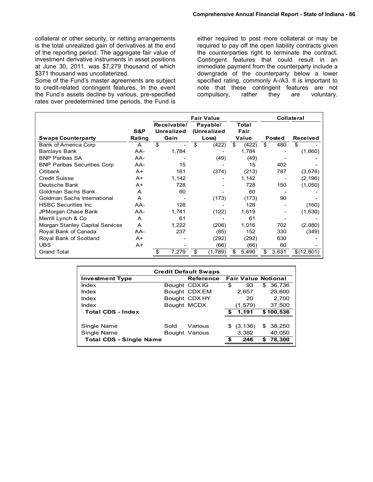collateral or other security, or netting arrangements is the total unrealized gain of derivatives at the end of the reporting period. The aggregate fair value of investment derivative instruments in asset positions at June 30, 2011, was \$7,279 thousand of which \$371 thousand was uncollaterized.

Some of the Fund's master agreements are subject to credit-related contingent features. In the event the Fund's assets decline by various, pre-specified rates over predetermined time periods, the Fund is

either required to post more collateral or may be required to pay off the open liability contracts given the counterparties right to terminate the contract. Contingent features that could result in an immediate payment from the counterparty include a downgrade of the counterparty below a lower specified rating, commonly A-/A3. It is important to note that these contingent features are not compulsory, rather they are voluntary.

|                                        |        | <b>Fair Value</b>                |       |    |         |    |                         | <b>Collateral</b>    |       |                 |  |  |
|----------------------------------------|--------|----------------------------------|-------|----|---------|----|-------------------------|----------------------|-------|-----------------|--|--|
|                                        | S&P    | Receivable/<br><b>Unrealized</b> |       |    |         |    | Payable/<br>(Unrealized | <b>Total</b><br>Fair |       |                 |  |  |
| <b>Swaps Counterparty</b>              | Rating | Gain                             |       |    | Loss)   |    | Value                   | <b>Posted</b>        |       | <b>Received</b> |  |  |
| Bank of America Corp                   | A      | \$                               |       | \$ | (422)   | \$ | (422)                   | \$                   | 480   | \$              |  |  |
| <b>Barclays Bank</b>                   | AA-    |                                  | 1,784 |    |         |    | 1,784                   |                      |       | (1,660)         |  |  |
| <b>BNP Paribas SA</b>                  | AA-    |                                  |       |    | (49)    |    | (49)                    |                      |       |                 |  |  |
| <b>BNP Paribas Securities Corp</b>     | AA-    |                                  | 15    |    |         |    | 15                      |                      | 402   |                 |  |  |
| Citibank                               | $A+$   |                                  | 161   |    | (374)   |    | (213)                   |                      | 787   | (3,676)         |  |  |
| <b>Credit Suisse</b>                   | A+     |                                  | 1,142 |    |         |    | 1,142                   |                      |       | (2, 196)        |  |  |
| Deutsche Bank                          | $A+$   |                                  | 728   |    |         |    | 728                     |                      | 150   | (1,050)         |  |  |
| Goldman Sachs Bank                     | A      |                                  | 60    |    |         |    | 60                      |                      |       |                 |  |  |
| Goldman Sachs International            | A      |                                  |       |    | (173)   |    | (173)                   |                      | 90    |                 |  |  |
| <b>HSBC Securities Inc.</b>            | AA-    |                                  | 128   |    |         |    | 128                     |                      |       | (160)           |  |  |
| JPMorgan Chase Bank                    | AA-    |                                  | 1,741 |    | (122)   |    | 1,619                   |                      |       | (1,630)         |  |  |
| Merrill Lynch & Co                     | A      |                                  | 61    |    |         |    | 61                      |                      |       |                 |  |  |
| <b>Morgan Stanley Capital Services</b> | A      |                                  | 1,222 |    | (206)   |    | 1,016                   |                      | 702   | (2,080)         |  |  |
| Royal Bank of Canada                   | AA-    |                                  | 237   |    | (85)    |    | 152                     |                      | 330   | (349)           |  |  |
| Royal Bank of Scotland                 | $A+$   |                                  |       |    | (292)   |    | (292)                   |                      | 630   |                 |  |  |
| <b>UBS</b>                             | $A+$   |                                  |       |    | (66)    |    | (66)                    |                      | 60    |                 |  |  |
| <b>Grand Total</b>                     |        | S                                | 7,279 | \$ | (1,789) | \$ | 5,490                   | S                    | 3,631 | \$(12,801)      |  |  |

| <b>Credit Default Swaps</b>    |             |                           |                            |                   |                         |  |  |  |  |
|--------------------------------|-------------|---------------------------|----------------------------|-------------------|-------------------------|--|--|--|--|
| <b>Investment Type</b>         |             | <b>Reference</b>          | <b>Fair Value Notional</b> |                   |                         |  |  |  |  |
| Index                          |             | Bought CDX IG             | \$                         | 93                | 36,736<br>\$.           |  |  |  |  |
| Index                          |             | Bought CDX EM             |                            | 2,657             | 23,600                  |  |  |  |  |
| Index                          |             | Bought CDX HY             |                            | 20                | 2,700                   |  |  |  |  |
| Index                          | Bought MCDX |                           |                            | (1.579)           | 37,500                  |  |  |  |  |
| <b>Total CDS - Index</b>       |             |                           | S.                         | 1,191             | \$100,536               |  |  |  |  |
| Single Name<br>Single Name     | Sold        | Various<br>Bought Various | S                          | (3, 136)<br>3,382 | 38,250<br>\$.<br>40,050 |  |  |  |  |
| <b>Total CDS - Single Name</b> |             |                           | S                          | 246               | 78,300<br>S             |  |  |  |  |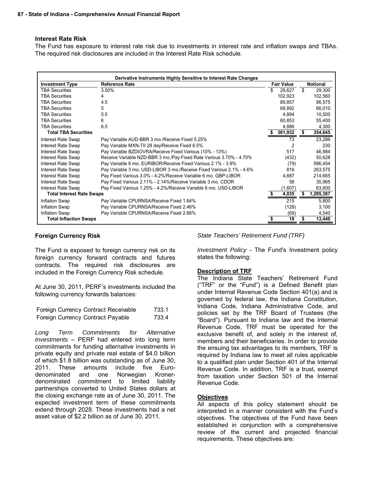#### **Interest Rate Risk**

The Fund has exposure to interest rate risk due to investments in interest rate and inflation swaps and TBAs. The required risk disclosures are included in the Interest Rate Risk schedule.

| Derivative Instruments Highly Sensitive to Interest Rate Changes |                                                                      |     |                   |    |                 |  |  |  |  |
|------------------------------------------------------------------|----------------------------------------------------------------------|-----|-------------------|----|-----------------|--|--|--|--|
| <b>Investment Type</b>                                           | <b>Reference Rate</b>                                                |     | <b>Fair Value</b> |    | <b>Notional</b> |  |  |  |  |
| <b>TBA Securities</b>                                            | 3.50%                                                                | \$. | 29.627            | \$ | 29,300          |  |  |  |  |
| <b>TBA Securities</b>                                            |                                                                      |     | 102,923           |    | 102,560         |  |  |  |  |
| <b>TBA Securities</b>                                            | 4.5                                                                  |     | 89.857            |    | 86.575          |  |  |  |  |
| <b>TBA Securities</b>                                            | 5                                                                    |     | 68.892            |    | 66,010          |  |  |  |  |
| <b>TBA Securities</b>                                            | 5.5                                                                  |     | 4,894             |    | 10,500          |  |  |  |  |
| <b>TBA Securities</b>                                            | 6                                                                    |     | 60,853            |    | 55,400          |  |  |  |  |
| <b>TBA Securities</b>                                            | 6.5                                                                  |     | 4,886             |    | 4,300           |  |  |  |  |
| <b>Total TBA Securities</b>                                      |                                                                      |     | 361,932           |    | 354,645         |  |  |  |  |
| Interest Rate Swap                                               | Pay Variable AUD-BBR 3 mo./Receive Fixed 5.25%                       |     | 73                |    | 23,286          |  |  |  |  |
| <b>Interest Rate Swap</b>                                        | Pay Variable MXN-TII 28 day/Receive Fixed 6.5%                       |     | 2                 |    | 230             |  |  |  |  |
| <b>Interest Rate Swap</b>                                        | Pay Variable BZDIOVRA/Receive Fixed Various (10% - 13%)              |     | 517               |    | 46,984          |  |  |  |  |
| <b>Interest Rate Swap</b>                                        | Receive Variable NZD-BBR 3 mo./Pay Fixed Rate Various 3.70% - 4.70%  |     | (432)             |    | 50,628          |  |  |  |  |
| <b>Interest Rate Swap</b>                                        | Pay Variable 6 mo. EURIBOR/Receive Fixed Various 2.1% - 3.9%         |     | (79)              |    | 596,454         |  |  |  |  |
| Interest Rate Swap                                               | Pay Variable 3 mo. USD-LIBOR 3 mo./Receive Fixed Various 2.1% - 4.6% |     | 816               |    | 263,575         |  |  |  |  |
| <b>Interest Rate Swap</b>                                        | Pay Fixed Various 3.0% - 4.2%/Receive Variable 6 mo. GBP-LIBOR       |     | 4,687             |    | 214,665         |  |  |  |  |
| <b>Interest Rate Swap</b>                                        | Pay Fixed Various 2.11% - 2.14%/Receive Variable 3 mo. CDOR          |     | 58                |    | 35,965          |  |  |  |  |
| Interest Rate Swap                                               | Pay Fixed Various 1.25% - 4.2%/Receive Variable 6 mo. USD-LIBOR      |     | (1,607)           |    | 63,600          |  |  |  |  |
| <b>Total Interest Rate Swaps</b>                                 |                                                                      |     | 4,035             | S  | 1,295,387       |  |  |  |  |
| <b>Inflation Swap</b>                                            | Pay Variable CPURNSA/Receive Fixed 1.84%                             |     | 215               |    | 5.800           |  |  |  |  |
| Inflation Swap                                                   | Pay Variable CPURNSA/Receive Fixed 2.46%                             |     | (128)             |    | 3,100           |  |  |  |  |
| <b>Inflation Swap</b>                                            | Pay Variable CPURNSA/Receive Fixed 2.66%                             |     | (69)              |    | 4,540           |  |  |  |  |
| <b>Total Inflaction Swaps</b>                                    |                                                                      |     | 18                |    | 13,440          |  |  |  |  |

#### **Foreign Currency Risk**

The Fund is exposed to foreign currency risk on its foreign currency forward contracts and futures contracts. The required risk disclosures are included in the Foreign Currency Risk schedule.

At June 30, 2011, PERF's investments included the following currency forwards balances:

| Foreign Currency Contract Receivable | 733.1 |
|--------------------------------------|-------|
| Foreign Currency Contract Payable    | 733.4 |

*Long Term Commitments for Alternative Investments* – PERF had entered into long term commitments for funding alternative investments in private equity and private real estate of \$4.0 billion of which \$1.8 billion was outstanding as of June 30, 2011. These amounts include five Eurodenominated and one Norwegian Kronerdenominated commitment to limited liability partnerships converted to United States dollars at the closing exchange rate as of June 30, 2011. The expected investment term of these commitments extend through 2028. These investments had a net asset value of \$2.2 billion as of June 30, 2011.

*State Teachers' Retirement Fund (TRF)* 

*Investment Policy* - The Fund's Investment policy states the following:

#### **Description of TRF**

The Indiana State Teachers' Retirement Fund ("TRF" or the "Fund") is a Defined Benefit plan under Internal Revenue Code Section 401(a) and is governed by federal law, the Indiana Constitution, Indiana Code, Indiana Administrative Code, and policies set by the TRF Board of Trustees (the "Board"). Pursuant to Indiana law and the Internal Revenue Code, TRF must be operated for the exclusive benefit of, and solely in the interest of, members and their beneficiaries. In order to provide the ensuing tax advantages to its members, TRF is required by Indiana law to meet all rules applicable to a qualified plan under Section 401 of the Internal Revenue Code. In addition, TRF is a trust, exempt from taxation under Section 501 of the Internal Revenue Code.

#### **Objectives**

All aspects of this policy statement should be interpreted in a manner consistent with the Fund's objectives. The objectives of the Fund have been established in conjunction with a comprehensive review of the current and projected financial requirements. These objectives are: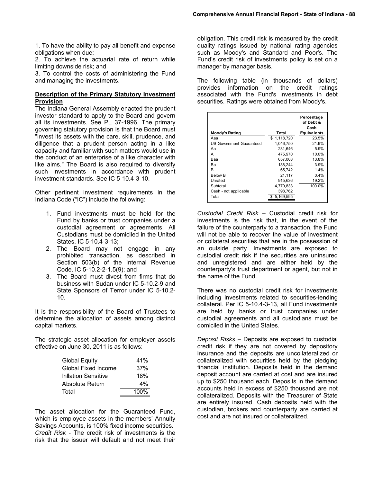1. To have the ability to pay all benefit and expense obligations when due;

2. To achieve the actuarial rate of return while limiting downside risk; and

3. To control the costs of administering the Fund and managing the investments.

#### **Description of the Primary Statutory Investment Provision**

The Indiana General Assembly enacted the prudent investor standard to apply to the Board and govern all its investments. See PL 37-1996. The primary governing statutory provision is that the Board must "invest its assets with the care, skill, prudence, and diligence that a prudent person acting in a like capacity and familiar with such matters would use in the conduct of an enterprise of a like character with like aims." The Board is also required to diversify such investments in accordance with prudent investment standards. See IC 5-10.4-3-10.

Other pertinent investment requirements in the Indiana Code ("IC") include the following:

- 1. Fund investments must be held for the Fund by banks or trust companies under a custodial agreement or agreements. All Custodians must be domiciled in the United States. IC 5-10.4-3-13;
- 2. The Board may not engage in any prohibited transaction, as described in Section 503(b) of the Internal Revenue Code. IC 5-10.2-2-1.5(9); and
- 3. The Board must divest from firms that do business with Sudan under IC 5-10.2-9 and State Sponsors of Terror under IC 5-10.2- 10.

It is the responsibility of the Board of Trustees to determine the allocation of assets among distinct capital markets.

The strategic asset allocation for employer assets effective on June 30, 2011 is as follows:

| <b>Global Equity</b> | 41%  |
|----------------------|------|
| Global Fixed Income  | 37%  |
| Inflation Sensitive  | 18%  |
| Absolute Return      | 4%   |
| Total                | 100% |

The asset allocation for the Guaranteed Fund, which is employee assets in the members' Annuity Savings Accounts, is 100% fixed income securities. *Credit Risk* - The credit risk of investments is the risk that the issuer will default and not meet their

obligation. This credit risk is measured by the credit quality ratings issued by national rating agencies such as Moody's and Standard and Poor's. The Fund's credit risk of investments policy is set on a manager by manager basis.

The following table (in thousands of dollars) provides information on the credit ratings associated with the Fund's investments in debt securities. Ratings were obtained from Moody's.

| Moody's Rating                  | Total       | Percentage<br>of Debt &<br>Cash<br><b>Equivalents</b> |
|---------------------------------|-------------|-------------------------------------------------------|
| Ааа                             | \$1.118.720 | 23.5%                                                 |
| <b>US Government Guaranteed</b> | 1,046,750   | 21.9%                                                 |
| Аа                              | 281.646     | 5.9%                                                  |
| А                               | 475.970     | 10.0%                                                 |
| Baa                             | 657.008     | 13.8%                                                 |
| Bа                              | 188.244     | 3.9%                                                  |
| R                               | 65.742      | 1.4%                                                  |
| <b>Below B</b>                  | 21,117      | $0.4\%$                                               |
| Unrated                         | 915.636     | 19.2%                                                 |
| Subtotal                        | 4,770,833   | 100.0%                                                |
| Cash - not applicable           | 398,762     |                                                       |
| Total                           | \$5.169.595 |                                                       |
|                                 |             |                                                       |

*Custodial Credit Risk* – Custodial credit risk for investments is the risk that, in the event of the failure of the counterparty to a transaction, the Fund will not be able to recover the value of investment or collateral securities that are in the possession of an outside party. Investments are exposed to custodial credit risk if the securities are uninsured and unregistered and are either held by the counterparty's trust department or agent, but not in the name of the Fund.

There was no custodial credit risk for investments including investments related to securities-lending collateral. Per IC 5-10.4-3-13, all Fund investments are held by banks or trust companies under custodial agreements and all custodians must be domiciled in the United States.

*Deposit Risks* – Deposits are exposed to custodial credit risk if they are not covered by depository insurance and the deposits are uncollateralized or collateralized with securities held by the pledging financial institution. Deposits held in the demand deposit account are carried at cost and are insured up to \$250 thousand each. Deposits in the demand accounts held in excess of \$250 thousand are not collateralized. Deposits with the Treasurer of State are entirely insured. Cash deposits held with the custodian, brokers and counterparty are carried at cost and are not insured or collateralized.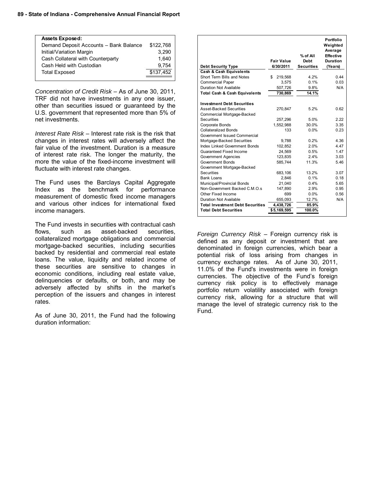#### **89 - State of Indiana - Comprehensive Annual Financial Report**

| <b>Assets Exposed:</b>                 |           |
|----------------------------------------|-----------|
| Demand Deposit Accounts - Bank Balance | \$122,768 |
| Initial/Variation Margin               | 3.290     |
| Cash Collateral with Counterparty      | 1.640     |
| Cash Held with Custodian               | 9.754     |
| <b>Total Exposed</b>                   | \$137,452 |
|                                        |           |

*Concentration of Credit Risk* – As of June 30, 2011, TRF did not have investments in any one issuer, other than securities issued or guaranteed by the U.S. government that represented more than 5% of net investments.

*Interest Rate Risk* – Interest rate risk is the risk that changes in interest rates will adversely affect the fair value of the investment. Duration is a measure of interest rate risk. The longer the maturity, the more the value of the fixed-income investment will fluctuate with interest rate changes.

The Fund uses the Barclays Capital Aggregate Index as the benchmark for performance measurement of domestic fixed income managers and various other indices for international fixed income managers.

The Fund invests in securities with contractual cash flows, such as asset-backed securities, collateralized mortgage obligations and commercial mortgage-backed securities, including securities backed by residential and commercial real estate loans. The value, liquidity and related income of these securities are sensitive to changes in economic conditions, including real estate value, delinquencies or defaults, or both, and may be adversely affected by shifts in the market's perception of the issuers and changes in interest rates.

As of June 30, 2011, the Fund had the following duration information:

|                                          |                   | % of All          | Portfolio<br>Weighted<br>Average<br><b>Effective</b> |
|------------------------------------------|-------------------|-------------------|------------------------------------------------------|
|                                          | <b>Fair Value</b> | <b>Debt</b>       | Duration                                             |
| <b>Debt Security Type</b>                | 6/30/2011         | <b>Securities</b> | (Years)                                              |
| <b>Cash &amp; Cash Equivalents</b>       |                   |                   |                                                      |
| Short Term Bills and Notes               | 219,568<br>\$     | 4.2%              | 0.44                                                 |
| <b>Commercial Paper</b>                  | 3.575             | 0.1%              | 0.03                                                 |
| Duration Not Available                   | 507,726           | 9.8%              | N/A                                                  |
| <b>Total Cash &amp; Cash Equivalents</b> | 730.869           | 14.1%             |                                                      |
|                                          |                   |                   |                                                      |
| <b>Investment Debt Securities</b>        |                   |                   |                                                      |
| <b>Asset-Backed Securities</b>           | 270,847           | 5.2%              | 0.62                                                 |
| Commercial Mortgage-Backed               |                   |                   |                                                      |
| Securities                               | 257.296           | 5.0%              | 2.22                                                 |
| Corporate Bonds                          | 1,552,988         | 30.0%             | 3.35                                                 |
| <b>Collateralized Bonds</b>              | 133               | 0.0%              | 0.23                                                 |
| Government Issued Commercial             |                   |                   |                                                      |
| Mortgage-Backed Securities               | 9.788             | 0.2%              | 4.36                                                 |
| <b>Index Linked Government Bonds</b>     | 102,852           | 2.0%              | 4.47                                                 |
| Guaranteed Fixed Income                  | 24.569            | 0.5%              | 1.47                                                 |
| <b>Government Agencies</b>               | 123,835           | 2.4%              | 3.03                                                 |
| <b>Government Bonds</b>                  | 585,744           | 11.3%             | 5.46                                                 |
| Government Mortgage-Backed               |                   |                   |                                                      |
| Securities                               | 683.106           | 13.2%             | 3.07                                                 |
| <b>Bank Loans</b>                        | 2.846             | 0.1%              | 0.18                                                 |
| Municipal/Provincial Bonds               | 21,040            | 0.4%              | 5.65                                                 |
| Non-Government Backed C.M.O.s            | 147,890           | 2.9%              | 0.95                                                 |
| Other Fixed Income                       | 699               | 0.0%              | 0.56                                                 |
| Duration Not Available                   | 655,093           | 12.7%             | N/A                                                  |
| <b>Total Investment Debt Securities</b>  | 4,438,726         | 85.9%             |                                                      |
| <b>Total Debt Securities</b>             | \$5,169,595       | 100.0%            |                                                      |

*Foreign Currency Risk* – Foreign currency risk is defined as any deposit or investment that are denominated in foreign currencies, which bear a potential risk of loss arising from changes in currency exchange rates. As of June 30, 2011, 11.0% of the Fund's investments were in foreign currencies. The objective of the Fund's foreign currency risk policy is to effectively manage portfolio return volatility associated with foreign currency risk, allowing for a structure that will manage the level of strategic currency risk to the Fund.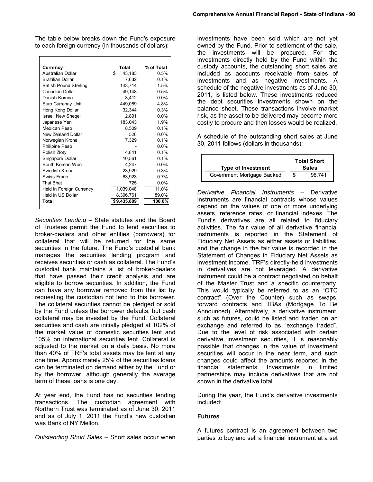The table below breaks down the Fund's exposure to each foreign currency (in thousands of dollars):

| Currency                      | Total        | % of Total |
|-------------------------------|--------------|------------|
| <b>Australian Dollar</b>      | \$<br>43,183 | 0.5%       |
| <b>Brazilian Dollar</b>       | 7,632        | 0.1%       |
| <b>British Pound Sterling</b> | 143,714      | 1.5%       |
| Canadian Dollar               | 49,148       | 0.5%       |
| Danish Koruna                 | 3,412        | $0.0\%$    |
| Euro Currency Unit            | 449.089      | 4.8%       |
| Hong Kong Dollar              | 32,344       | 0.3%       |
| Israeli New Shegel            | 2,891        | $0.0\%$    |
| Japanese Yen                  | 183,043      | 1.9%       |
| Mexican Peso                  | 8,509        | 0.1%       |
| New Zealand Dollar            | 528          | $0.0\%$    |
| Norwegian Krone               | 7,329        | 0.1%       |
| Philipine Peso                |              | $0.0\%$    |
| Polish Zloty                  | 4.841        | 0.1%       |
| Singapore Dollar              | 10,561       | 0.1%       |
| South Korean Won              | 4,247        | $0.0\%$    |
| Swedish Krona                 | 23,929       | 0.3%       |
| Swiss Franc                   | 63,923       | 0.7%       |
| Thai Bhat                     | 725          | $0.0\%$    |
| Held in Foreign Currency      | 1,039,048    | 11.0%      |
| Held in US Dollar             | 8,396,761    | 89.0%      |
| Total                         | \$9,435,809  | 100.0%     |

*Securities Lending* – State statutes and the Board of Trustees permit the Fund to lend securities to broker-dealers and other entities (borrowers) for collateral that will be returned for the same securities in the future. The Fund's custodial bank manages the securities lending program and receives securities or cash as collateral. The Fund's custodial bank maintains a list of broker-dealers that have passed their credit analysis and are eligible to borrow securities. In addition, the Fund can have any borrower removed from this list by requesting the custodian not lend to this borrower. The collateral securities cannot be pledged or sold by the Fund unless the borrower defaults, but cash collateral may be invested by the Fund. Collateral securities and cash are initially pledged at 102% of the market value of domestic securities lent and 105% on international securities lent. Collateral is adjusted to the market on a daily basis. No more than 40% of TRF's total assets may be lent at any one time. Approximately 25% of the securities loans can be terminated on demand either by the Fund or by the borrower, although generally the average term of these loans is one day.

At year end, the Fund has no securities lending transactions. The custodian agreement with Northern Trust was terminated as of June 30, 2011 and as of July 1, 2011 the Fund's new custodian was Bank of NY Mellon.

*Outstanding Short Sales* – Short sales occur when

investments have been sold which are not yet owned by the Fund. Prior to settlement of the sale, the investments will be procured. For the investments directly held by the Fund within the custody accounts, the outstanding short sales are included as accounts receivable from sales of investments and as negative investments. A schedule of the negative investments as of June 30, 2011, is listed below. These investments reduced the debt securities investments shown on the balance sheet. These transactions involve market risk, as the asset to be delivered may become more costly to procure and then losses would be realized.

A schedule of the outstanding short sales at June 30, 2011 follows (dollars in thousands):

| Type of Investment         | <b>Total Short</b><br><b>Sales</b> |
|----------------------------|------------------------------------|
| Government Mortgage Backed | 96.741                             |

*Derivative Financial Instruments* – Derivative instruments are financial contracts whose values depend on the values of one or more underlying assets, reference rates, or financial indexes. The Fund's derivatives are all related to fiduciary activities. The fair value of all derivative financial instruments is reported in the Statement of Fiduciary Net Assets as either assets or liabilities, and the change in the fair value is recorded in the Statement of Changes in Fiduciary Net Assets as investment income. TRF's directly-held investments in derivatives are not leveraged. A derivative instrument could be a contract negotiated on behalf of the Master Trust and a specific counterparty. This would typically be referred to as an "OTC contract" (Over the Counter) such as swaps, forward contracts and TBAs (Mortgage To Be Announced). Alternatively, a derivative instrument, such as futures, could be listed and traded on an exchange and referred to as "exchange traded". Due to the level of risk associated with certain derivative investment securities, it is reasonably possible that changes in the value of investment securities will occur in the near term, and such changes could affect the amounts reported in the financial statements. Investments in limited partnerships may include derivatives that are not shown in the derivative total.

During the year, the Fund's derivative investments included:

#### **Futures**

A futures contract is an agreement between two parties to buy and sell a financial instrument at a set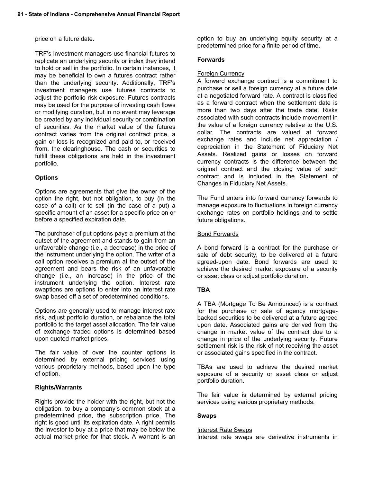#### price on a future date.

TRF's investment managers use financial futures to replicate an underlying security or index they intend to hold or sell in the portfolio. In certain instances, it may be beneficial to own a futures contract rather than the underlying security. Additionally, TRF's investment managers use futures contracts to adjust the portfolio risk exposure. Futures contracts may be used for the purpose of investing cash flows or modifying duration, but in no event may leverage be created by any individual security or combination of securities. As the market value of the futures contract varies from the original contract price, a gain or loss is recognized and paid to, or received from, the clearinghouse. The cash or securities to fulfill these obligations are held in the investment portfolio.

### **Options**

Options are agreements that give the owner of the option the right, but not obligation, to buy (in the case of a call) or to sell (in the case of a put) a specific amount of an asset for a specific price on or before a specified expiration date.

The purchaser of put options pays a premium at the outset of the agreement and stands to gain from an unfavorable change (i.e., a decrease) in the price of the instrument underlying the option. The writer of a call option receives a premium at the outset of the agreement and bears the risk of an unfavorable change (i.e., an increase) in the price of the instrument underlying the option. Interest rate swaptions are options to enter into an interest rate swap based off a set of predetermined conditions.

Options are generally used to manage interest rate risk, adjust portfolio duration, or rebalance the total portfolio to the target asset allocation. The fair value of exchange traded options is determined based upon quoted market prices.

The fair value of over the counter options is determined by external pricing services using various proprietary methods, based upon the type of option.

#### **Rights/Warrants**

Rights provide the holder with the right, but not the obligation, to buy a company's common stock at a predetermined price, the subscription price. The right is good until its expiration date. A right permits the investor to buy at a price that may be below the actual market price for that stock. A warrant is an option to buy an underlying equity security at a predetermined price for a finite period of time.

#### **Forwards**

#### Foreign Currency

A forward exchange contract is a commitment to purchase or sell a foreign currency at a future date at a negotiated forward rate. A contract is classified as a forward contract when the settlement date is more than two days after the trade date. Risks associated with such contracts include movement in the value of a foreign currency relative to the U.S. dollar. The contracts are valued at forward exchange rates and include net appreciation / depreciation in the Statement of Fiduciary Net Assets. Realized gains or losses on forward currency contracts is the difference between the original contract and the closing value of such contract and is included in the Statement of Changes in Fiduciary Net Assets.

The Fund enters into forward currency forwards to manage exposure to fluctuations in foreign currency exchange rates on portfolio holdings and to settle future obligations.

#### Bond Forwards

A bond forward is a contract for the purchase or sale of debt security, to be delivered at a future agreed-upon date. Bond forwards are used to achieve the desired market exposure of a security or asset class or adjust portfolio duration.

#### **TBA**

A TBA (Mortgage To Be Announced) is a contract for the purchase or sale of agency mortgagebacked securities to be delivered at a future agreed upon date. Associated gains are derived from the change in market value of the contract due to a change in price of the underlying security. Future settlement risk is the risk of not receiving the asset or associated gains specified in the contract.

TBAs are used to achieve the desired market exposure of a security or asset class or adjust portfolio duration.

The fair value is determined by external pricing services using various proprietary methods.

#### **Swaps**

#### Interest Rate Swaps

Interest rate swaps are derivative instruments in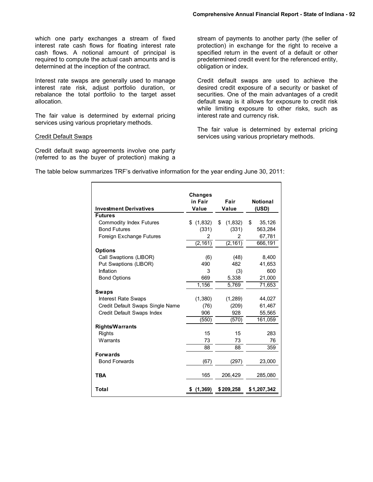which one party exchanges a stream of fixed interest rate cash flows for floating interest rate cash flows. A notional amount of principal is required to compute the actual cash amounts and is determined at the inception of the contract.

Interest rate swaps are generally used to manage interest rate risk, adjust portfolio duration, or rebalance the total portfolio to the target asset allocation.

The fair value is determined by external pricing services using various proprietary methods.

#### Credit Default Swaps

Credit default swap agreements involve one party (referred to as the buyer of protection) making a stream of payments to another party (the seller of protection) in exchange for the right to receive a specified return in the event of a default or other predetermined credit event for the referenced entity, obligation or index.

Credit default swaps are used to achieve the desired credit exposure of a security or basket of securities. One of the main advantages of a credit default swap is it allows for exposure to credit risk while limiting exposure to other risks, such as interest rate and currency risk.

The fair value is determined by external pricing services using various proprietary methods.

The table below summarizes TRF's derivative information for the year ending June 30, 2011:

|                                  | <b>Changes</b> |               |                 |
|----------------------------------|----------------|---------------|-----------------|
|                                  | in Fair        | Fair          | <b>Notional</b> |
| <b>Investment Derivatives</b>    | Value          | Value         | (USD)           |
| <b>Futures</b>                   |                |               |                 |
| <b>Commodity Index Futures</b>   | \$(1,832)      | \$<br>(1,832) | \$<br>35,126    |
| <b>Bond Futures</b>              | (331)          | (331)         | 563,284         |
| Foreign Exchange Futures         | 2              | 2             | 67,781          |
|                                  | (2, 161)       | (2, 161)      | 666,191         |
| <b>Options</b>                   |                |               |                 |
| Call Swaptions (LIBOR)           | (6)            | (48)          | 8,400           |
| Put Swaptions (LIBOR)            | 490            | 482           | 41,653          |
| Inflation                        | 3              | (3)           | 600             |
| <b>Bond Options</b>              | 669            | 5,338         | 21,000          |
|                                  | 1,156          | 5,769         | 71,653          |
| <b>Swaps</b>                     |                |               |                 |
| <b>Interest Rate Swaps</b>       | (1,380)        | (1,289)       | 44,027          |
| Credit Default Swaps Single Name | (76)           | (209)         | 61,467          |
| Credit Default Swaps Index       | 906            | 928           | 55,565          |
|                                  | (550)          | (570)         | 161,059         |
| <b>Rights/Warrants</b>           |                |               |                 |
| <b>Rights</b>                    | 15             | 15            | 283             |
| Warrants                         | 73             | 73            | 76              |
|                                  | 88             | 88            | 359             |
| <b>Forwards</b>                  |                |               |                 |
| <b>Bond Forwards</b>             | (67)           | (297)         | 23,000          |
|                                  |                |               |                 |
| <b>TBA</b>                       | 165            | 206,429       | 285,080         |
|                                  |                |               |                 |
| Total                            | (1, 369)<br>\$ | \$209,258     | \$1,207,342     |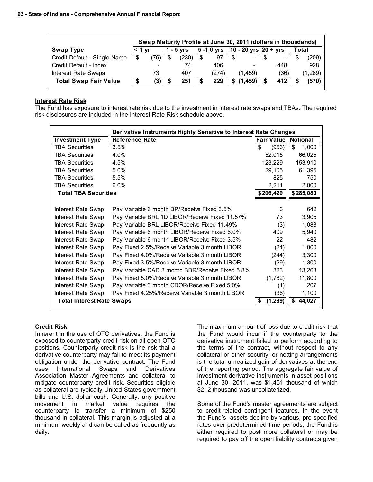|                              | Swap Maturity Profile at June 30, 2011 (dollars in thousdands) |      |  |           |    |              |     |                      |  |                |  |          |
|------------------------------|----------------------------------------------------------------|------|--|-----------|----|--------------|-----|----------------------|--|----------------|--|----------|
| <b>Swap Type</b>             | $<$ 1 vr                                                       |      |  | 1 - 5 vrs |    | $5 - 10$ yrs |     | 10 - 20 yrs 20 + yrs |  |                |  | Total    |
| Credit Default - Single Name | \$                                                             | '76) |  | (230)     | \$ | 97           | \$. | $\sim$               |  | $\blacksquare$ |  | (209)    |
| Credit Default - Index       |                                                                |      |  | 74        |    | 406          |     | -                    |  | 448            |  | 928      |
| <b>Interest Rate Swaps</b>   |                                                                | 73   |  | 407       |    | (274)        |     | (1.459)              |  | (36)           |  | (1, 289) |
| <b>Total Swap Fair Value</b> | S                                                              | (3)  |  | 251       |    | 229          |     | (1.459)              |  | 412            |  | (570)    |

#### **Interest Rate Risk**

The Fund has exposure to interest rate risk due to the investment in interest rate swaps and TBAs. The required risk disclosures are included in the Interest Rate Risk schedule above.

|                                  | Derivative Instruments Highly Sensitive to Interest Rate Changes |                   |                 |
|----------------------------------|------------------------------------------------------------------|-------------------|-----------------|
| <b>Investment Type</b>           | <b>Reference Rate</b>                                            | <b>Fair Value</b> | <b>Notional</b> |
| <b>TBA Securities</b>            | 3.5%                                                             | \$<br>(956)       | \$<br>1,000     |
| <b>TBA Securities</b>            | 4.0%                                                             | 52,015            | 66,025          |
| <b>TBA Securities</b>            | 4.5%                                                             | 123,229           | 153,910         |
| <b>TBA Securities</b>            | 5.0%                                                             | 29,105            | 61,395          |
| <b>TBA Securities</b>            | 5.5%                                                             | 825               | 750             |
| <b>TBA Securities</b>            | $6.0\%$                                                          | 2,211             | 2,000           |
| <b>Total TBA Securities</b>      |                                                                  | \$206,429         | \$285,080       |
|                                  |                                                                  |                   |                 |
| Interest Rate Swap               | Pay Variable 6 month BP/Receive Fixed 3.5%                       | 3                 | 642             |
| Interest Rate Swap               | Pay Variable BRL 1D LIBOR/Receive Fixed 11.57%                   | 73                | 3,905           |
| Interest Rate Swap               | Pay Variable BRL LIBOR/Receive Fixed 11.49%                      | (3)               | 1,088           |
| Interest Rate Swap               | Pay Variable 6 month LIBOR/Receive Fixed 6.0%                    | 409               | 5,940           |
| Interest Rate Swap               | Pay Variable 6 month LIBOR/Receive Fixed 3.5%                    | 22                | 482             |
| Interest Rate Swap               | Pay Fixed 2.5%/Receive Variable 3 month LIBOR                    | (24)              | 1,000           |
| Interest Rate Swap               | Pay Fixed 4.0%/Receive Variable 3 month LIBOR                    | (244)             | 3,300           |
| Interest Rate Swap               | Pay Fixed 3.5%/Receive Variable 3 month LIBOR                    | (29)              | 1,300           |
| Interest Rate Swap               | Pay Variable CAD 3 month BBR/Receive Fixed 5.8%                  | 323               | 13,263          |
| Interest Rate Swap               | Pay Fixed 5.0%/Receive Variable 3 month LIBOR                    | (1,782)           | 11,800          |
| Interest Rate Swap               | Pay Variable 3 month CDOR/Receive Fixed 5.0%                     | (1)               | 207             |
| Interest Rate Swap               | Pay Fixed 4.25%/Receive Variable 3 month LIBOR                   | (36)              | 1,100           |
| <b>Total Interest Rate Swaps</b> |                                                                  | (1, 289)          | 44,027          |

#### **Credit Risk**

Inherent in the use of OTC derivatives, the Fund is exposed to counterparty credit risk on all open OTC positions. Counterparty credit risk is the risk that a derivative counterparty may fail to meet its payment obligation under the derivative contract. The Fund uses International Swaps and Derivatives Association Master Agreements and collateral to mitigate counterparty credit risk. Securities eligible as collateral are typically United States government bills and U.S. dollar cash. Generally, any positive movement in market value requires the counterparty to transfer a minimum of \$250 thousand in collateral. This margin is adjusted at a minimum weekly and can be called as frequently as daily.

The maximum amount of loss due to credit risk that the Fund would incur if the counterparty to the derivative instrument failed to perform according to the terms of the contract, without respect to any collateral or other security, or netting arrangements is the total unrealized gain of derivatives at the end of the reporting period. The aggregate fair value of investment derivative instruments in asset positions at June 30, 2011, was \$1,451 thousand of which \$212 thousand was uncollaterized.

Some of the Fund's master agreements are subject to credit-related contingent features. In the event the Fund's assets decline by various, pre-specified rates over predetermined time periods, the Fund is either required to post more collateral or may be required to pay off the open liability contracts given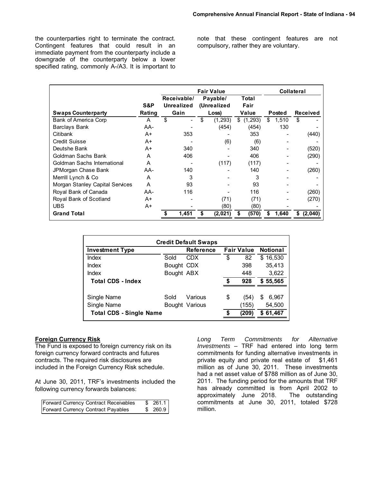the counterparties right to terminate the contract. Contingent features that could result in an immediate payment from the counterparty include a downgrade of the counterparty below a lower specified rating, commonly A-/A3. It is important to note that these contingent features are not compulsory, rather they are voluntary.

|                                 |        | <b>Fair Value</b>                               |       |          |               |       | <b>Collateral</b> |        |       |    |                 |
|---------------------------------|--------|-------------------------------------------------|-------|----------|---------------|-------|-------------------|--------|-------|----|-----------------|
|                                 | S&P    | Receivable/<br><b>Unrealized</b><br>(Unrealized |       | Payable/ | Total<br>Fair |       |                   |        |       |    |                 |
| <b>Swaps Counterparty</b>       | Rating | Gain                                            |       | Loss)    |               | Value |                   | Posted |       |    | <b>Received</b> |
| Bank of America Corp            | A      | \$                                              |       | \$       | (1, 293)      | \$    | (1,293)           | \$     | 1,510 | \$ |                 |
| <b>Barclays Bank</b>            | AA-    |                                                 |       |          | (454)         |       | (454)             |        | 130   |    |                 |
| Citibank                        | A+     |                                                 | 353   |          |               |       | 353               |        |       |    | (440)           |
| Credit Suisse                   | $A+$   |                                                 |       |          | (6)           |       | (6)               |        |       |    |                 |
| Deutshe Bank                    | A+     |                                                 | 340   |          |               |       | 340               |        |       |    | (520)           |
| Goldman Sachs Bank              | A      |                                                 | 406   |          |               |       | 406               |        |       |    | (290)           |
| Goldman Sachs International     | A      |                                                 |       |          | (117)         |       | (117)             |        |       |    |                 |
| JPMorgan Chase Bank             | AA-    |                                                 | 140   |          |               |       | 140               |        |       |    | (260)           |
| Merrill Lynch & Co              | A      |                                                 | 3     |          |               |       | 3                 |        |       |    |                 |
| Morgan Stanley Capital Services | A      |                                                 | 93    |          |               |       | 93                |        |       |    |                 |
| Royal Bank of Canada            | AA-    |                                                 | 116   |          |               |       | 116               |        |       |    | (260)           |
| Royal Bank of Scotland          | A+     |                                                 |       |          | (71)          |       | (71)              |        |       |    | (270)           |
| <b>UBS</b>                      | A+     |                                                 |       |          | (80)          |       | (80)              |        |       |    |                 |
| <b>Grand Total</b>              |        |                                                 | 1,451 | S        | (2,021)       | S     | (570)             |        | 1,640 | S  | (2,040)         |

| <b>Credit Default Swaps</b>    |            |                  |    |                   |                 |  |  |  |  |
|--------------------------------|------------|------------------|----|-------------------|-----------------|--|--|--|--|
| <b>Investment Type</b>         |            | <b>Reference</b> |    | <b>Fair Value</b> | <b>Notional</b> |  |  |  |  |
| Index                          | Sold       | <b>CDX</b>       | \$ | 82                | \$16,530        |  |  |  |  |
| Index                          | Bought CDX |                  |    | 398               | 35,413          |  |  |  |  |
| Index                          | Bought ABX |                  |    | 448               | 3,622           |  |  |  |  |
| <b>Total CDS - Index</b>       |            |                  | S  | 928               | 55,565<br>S.    |  |  |  |  |
|                                |            |                  |    |                   |                 |  |  |  |  |
| Single Name                    | Sold       | Various          | \$ | (54)              | \$<br>6,967     |  |  |  |  |
| Single Name                    |            | Bought Various   |    | (155)             | 54,500          |  |  |  |  |
| <b>Total CDS - Single Name</b> |            |                  | S  | (209)             | \$61,467        |  |  |  |  |

#### **Foreign Currency Risk**

The Fund is exposed to foreign currency risk on its foreign currency forward contracts and futures contracts. The required risk disclosures are included in the Foreign Currency Risk schedule.

At June 30, 2011, TRF's investments included the following currency forwards balances:

| <b>Forward Currency Contract Receivables</b> | \$261.1 |
|----------------------------------------------|---------|
| Forward Currency Contract Payables           | \$260.9 |

*Long Term Commitments for Alternative Investments* – TRF had entered into long term commitments for funding alternative investments in private equity and private real estate of \$1,461 million as of June 30, 2011. These investments had a net asset value of \$788 million as of June 30, 2011. The funding period for the amounts that TRF has already committed is from April 2002 to approximately June 2018. The outstanding commitments at June 30, 2011, totaled \$728 million.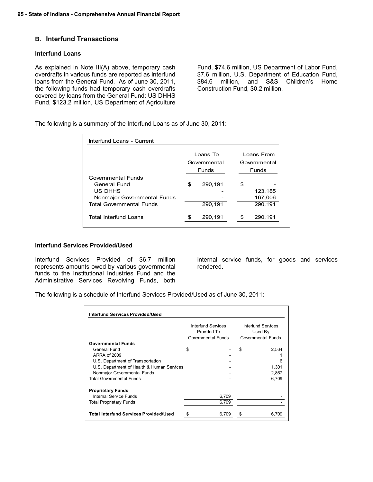### **B. Interfund Transactions**

#### **Interfund Loans**

As explained in Note III(A) above, temporary cash overdrafts in various funds are reported as interfund loans from the General Fund. As of June 30, 2011, the following funds had temporary cash overdrafts covered by loans from the General Fund: US DHHS Fund, \$123.2 million, US Department of Agriculture

Fund, \$74.6 million, US Department of Labor Fund, \$7.6 million, U.S. Department of Education Fund, \$84.6 million, and S&S Children's Home Construction Fund, \$0.2 million.

The following is a summary of the Interfund Loans as of June 30, 2011:

| Interfund Loans - Current                                                                                       |                                   |                                            |
|-----------------------------------------------------------------------------------------------------------------|-----------------------------------|--------------------------------------------|
|                                                                                                                 | Loans To<br>Governmental<br>Funds | Loans From<br>Governmental<br><b>Funds</b> |
| Governmental Funds<br>General Fund<br>US DHHS<br>Nonmajor Governmental Funds<br><b>Total Governmental Funds</b> | \$<br>290,191<br>290,191          | \$<br>123,185<br>167,006<br>290,191        |
| Total Interfund Loans                                                                                           | 290.191                           | 290.191                                    |

#### **Interfund Services Provided/Used**

Interfund Services Provided of \$6.7 million represents amounts owed by various governmental funds to the Institutional Industries Fund and the Administrative Services Revolving Funds, both internal service funds, for goods and services rendered.

The following is a schedule of Interfund Services Provided/Used as of June 30, 2011:

|                                               | Interfund Services<br>Provided To<br>Governmental Funds | Interfund Services<br>Used By<br>Governmental Funds |
|-----------------------------------------------|---------------------------------------------------------|-----------------------------------------------------|
| <b>Governmental Funds</b>                     |                                                         |                                                     |
| General Fund                                  | \$                                                      | \$<br>2,534                                         |
| ARRA of 2009                                  |                                                         |                                                     |
| U.S. Department of Transportation             |                                                         | 6                                                   |
| U.S. Department of Health & Human Services    |                                                         | 1,301                                               |
| Nonmajor Governmental Funds                   |                                                         | 2,867                                               |
| <b>Total Governmental Funds</b>               |                                                         | 6,709                                               |
| <b>Proprietary Funds</b>                      |                                                         |                                                     |
| Internal Service Funds                        | 6,709                                                   |                                                     |
| Total Proprietary Funds                       | 6,709                                                   |                                                     |
|                                               |                                                         |                                                     |
| <b>Total Interfund Services Provided/Used</b> | 6,709                                                   | 6,709                                               |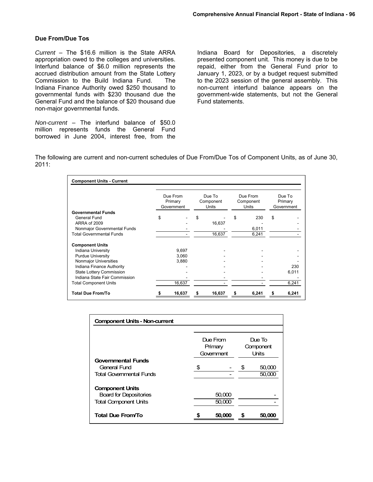#### **Due From/Due Tos**

*Current* – The \$16.6 million is the State ARRA appropriation owed to the colleges and universities. Interfund balance of \$6.0 million represents the accrued distribution amount from the State Lottery Commission to the Build Indiana Fund. The Indiana Finance Authority owed \$250 thousand to governmental funds with \$230 thousand due the General Fund and the balance of \$20 thousand due non-major governmental funds.

*Non-current* – The interfund balance of \$50.0 million represents funds the General Fund borrowed in June 2004, interest free, from the

Indiana Board for Depositories, a discretely presented component unit. This money is due to be repaid, either from the General Fund prior to January 1, 2023, or by a budget request submitted to the 2023 session of the general assembly. This non-current interfund balance appears on the government-wide statements, but not the General Fund statements.

The following are current and non-current schedules of Due From/Due Tos of Component Units, as of June 30, 2011:

| <b>Component Units - Current</b> |                                   |        |                              |        |                                |       |                                 |
|----------------------------------|-----------------------------------|--------|------------------------------|--------|--------------------------------|-------|---------------------------------|
|                                  | Due From<br>Primary<br>Government |        | Due To<br>Component<br>Units |        | Due From<br>Component<br>Units |       | Due To<br>Primary<br>Government |
| <b>Governmental Funds</b>        |                                   |        |                              |        |                                |       |                                 |
| General Fund                     | \$                                |        | \$                           |        | \$                             | 230   | \$                              |
| ARRA of 2009                     |                                   |        |                              | 16,637 |                                |       |                                 |
| Nonmajor Governmental Funds      |                                   |        |                              |        |                                | 6,011 |                                 |
| <b>Total Governmental Funds</b>  |                                   |        |                              | 16,637 |                                | 6,241 |                                 |
| <b>Component Units</b>           |                                   |        |                              |        |                                |       |                                 |
| Indiana University               |                                   | 9,697  |                              |        |                                |       |                                 |
| <b>Purdue University</b>         |                                   | 3,060  |                              |        |                                |       |                                 |
| Nonmajor Universities            |                                   | 3,880  |                              |        |                                |       |                                 |
| Indiana Finance Authority        |                                   |        |                              |        |                                |       | 230                             |
| State Lottery Commission         |                                   |        |                              |        |                                |       | 6,011                           |
| Indiana State Fair Commission    |                                   |        |                              |        |                                |       |                                 |
| <b>Total Component Units</b>     |                                   | 16,637 |                              |        |                                |       | 6,241                           |
| <b>Total Due From/To</b>         |                                   | 16,637 | s                            | 16,637 | S                              | 6,241 | 6,241                           |

| <b>Component Units - Non-current</b> |                                   |    |                                     |
|--------------------------------------|-----------------------------------|----|-------------------------------------|
|                                      | Due From<br>Primary<br>Government |    | Due To<br>Component<br><b>Units</b> |
| <b>Governmental Funds</b>            |                                   |    |                                     |
| General Fund                         | \$                                | \$ | 50,000                              |
| <b>Total Governmental Funds</b>      |                                   |    | 50,000                              |
| <b>Component Units</b>               |                                   |    |                                     |
| <b>Board for Depositories</b>        | 50,000                            |    |                                     |
| <b>Total Component Units</b>         | 50,000                            |    |                                     |
| Total Due From/To                    | 50,000                            | S  | 50,000                              |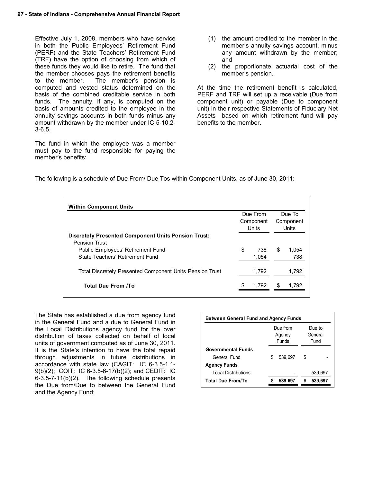Effective July 1, 2008, members who have service in both the Public Employees' Retirement Fund (PERF) and the State Teachers' Retirement Fund (TRF) have the option of choosing from which of these funds they would like to retire. The fund that the member chooses pays the retirement benefits to the member. The member's pension is computed and vested status determined on the basis of the combined creditable service in both funds. The annuity, if any, is computed on the basis of amounts credited to the employee in the annuity savings accounts in both funds minus any amount withdrawn by the member under IC 5-10.2- 3-6.5.

The fund in which the employee was a member must pay to the fund responsible for paying the member's benefits:

- (1) the amount credited to the member in the member's annuity savings account, minus any amount withdrawn by the member; and
- (2) the proportionate actuarial cost of the member's pension.

At the time the retirement benefit is calculated, PERF and TRF will set up a receivable (Due from component unit) or payable (Due to component unit) in their respective Statements of Fiduciary Net Assets based on which retirement fund will pay benefits to the member.

The following is a schedule of Due From/ Due Tos within Component Units, as of June 30, 2011:

|                                                                                    | Due From<br>Component<br>Units |              |   | Due To<br>Component<br>Units |  |
|------------------------------------------------------------------------------------|--------------------------------|--------------|---|------------------------------|--|
| <b>Discretely Presented Component Units Pension Trust:</b><br><b>Pension Trust</b> |                                |              |   |                              |  |
| Public Employees' Retirement Fund<br>State Teachers' Retirement Fund               | \$                             | 738<br>1.054 | S | 1.054<br>738                 |  |
| Total Discretely Presented Component Units Pension Trust                           |                                | 1.792        |   | 1.792                        |  |
| Total Due From /To                                                                 | \$                             | 1.792        |   | 1,792                        |  |

The State has established a due from agency fund in the General Fund and a due to General Fund in the Local Distributions agency fund for the over distribution of taxes collected on behalf of local units of government computed as of June 30, 2011. It is the State's intention to have the total repaid through adjustments in future distributions in accordance with state law (CAGIT: IC 6-3.5-1.1- 9(b)(2); COIT: IC 6-3.5-6-17(b)(2); and CEDIT: IC 6-3.5-7-11(b)(2). The following schedule presents the Due from/Due to between the General Fund and the Agency Fund:

| <b>Between General Fund and Agency Funds</b> |   |          |        |         |  |
|----------------------------------------------|---|----------|--------|---------|--|
|                                              |   | Due from | Due to |         |  |
|                                              |   | Agency   |        | General |  |
|                                              |   | Funds    | Fund   |         |  |
| <b>Governmental Funds</b>                    |   |          |        |         |  |
| General Fund                                 | S | 539.697  | S      |         |  |
| <b>Agency Funds</b>                          |   |          |        |         |  |
| <b>Local Distributions</b>                   |   |          |        | 539,697 |  |
| <b>Total Due From/To</b>                     |   | 539,697  |        |         |  |
|                                              |   |          |        |         |  |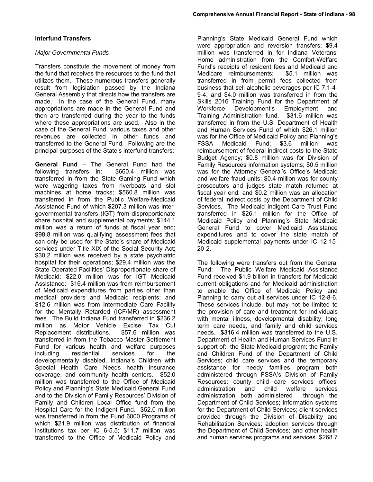#### *Major Governmental Funds*

Transfers constitute the movement of money from the fund that receives the resources to the fund that utilizes them. These numerous transfers generally result from legislation passed by the Indiana General Assembly that directs how the transfers are made. In the case of the General Fund, many appropriations are made in the General Fund and then are transferred during the year to the funds where these appropriations are used. Also in the case of the General Fund, various taxes and other revenues are collected in other funds and transferred to the General Fund. Following are the principal purposes of the State's interfund transfers:

**General Fund** – The General Fund had the following transfers in: \$660.4 million was following transfers in: transferred in from the State Gaming Fund which were wagering taxes from riverboats and slot machines at horse tracks; \$560.8 million was transferred in from the Public Welfare-Medicaid Assistance Fund of which \$207.3 million was intergovernmental transfers (IGT) from disproportionate share hospital and supplemental payments; \$144.1 million was a return of funds at fiscal year end; \$98.8 million was qualifying assessment fees that can only be used for the State's share of Medicaid services under Title XIX of the Social Security Act; \$30.2 million was received by a state psychiatric hospital for their operations; \$29.4 million was the State Operated Facilities' Disproportionate share of Medicaid; \$22.0 million was for IGT Medicaid Assistance; \$16.4 million was from reimbursement of Medicaid expenditures from parties other than medical providers and Medicaid recipients; and \$12.6 million was from Intermediate Care Facility for the Mentally Retarded (ICF/MR) assessment fees. The Build Indiana Fund transferred in \$236.2 million as Motor Vehicle Excise Tax Cut Replacement distributions. \$57.6 million was transferred in from the Tobacco Master Settlement Fund for various health and welfare purposes including residential services for the developmentally disabled, Indiana's Children with Special Health Care Needs health insurance coverage, and community health centers. \$52.0 million was transferred to the Office of Medicaid Policy and Planning's State Medicaid General Fund and to the Division of Family Resources' Division of Family and Children Local Office fund from the Hospital Care for the Indigent Fund. \$52.0 million was transferred in from the Fund 6000 Programs of which \$21.9 million was distribution of financial institutions tax per IC 6-5.5; \$11.7 million was transferred to the Office of Medicaid Policy and

Planning's State Medicaid General Fund which were appropriation and reversion transfers; \$9.4 million was transferred in for Indiana Veterans' Home administration from the Comfort-Welfare Fund's receipts of resident fees and Medicaid and Medicare reimbursements; \$5.1 million was transferred in from permit fees collected from business that sell alcoholic beverages per IC 7.1-4- 9-4; and \$4.0 million was transferred in from the Skills 2016 Training Fund for the Department of Workforce Development's Employment and Training Administration fund. \$31.6 million was transferred in from the U.S. Department of Health and Human Services Fund of which \$26.1 million was for the Office of Medicaid Policy and Planning's FSSA Medicaid Fund; \$3.6 million was reimbursement of federal indirect costs to the State Budget Agency; \$0.8 million was for Division of Family Resources information systems; \$0.5 million was for the Attorney General's Office's Medicaid and welfare fraud units; \$0.4 million was for county prosecutors and judges state match returned at fiscal year end; and \$0.2 million was an allocation of federal indirect costs by the Department of Child Services. The Medicaid Indigent Care Trust Fund transferred in \$26.1 million for the Office of Medicaid Policy and Planning's State Medicaid General Fund to cover Medicaid Assistance expenditures and to cover the state match of Medicaid supplemental payments under IC 12-15- 20-2.

The following were transfers out from the General Fund: The Public Welfare Medicaid Assistance Fund received \$1.9 billion in transfers for Medicaid current obligations and for Medicaid administration to enable the Office of Medicaid Policy and Planning to carry out all services under IC 12-8-6. These services include, but may not be limited to the provision of care and treatment for individuals with mental illness, developmental disability, long term care needs, and family and child services needs. \$316.4 million was transferred to the U.S. Department of Health and Human Services Fund in support of: the State Medicaid program; the Family and Children Fund of the Department of Child Services; child care services and the temporary assistance for needy families program both administered through FSSA's Division of Family Resources; county child care services offices' administration and child welfare services administration both administered through the Department of Child Services; information systems for the Department of Child Services; client services provided through the Division of Disability and Rehabilitation Services; adoption services through the Department of Child Services; and other health and human services programs and services. \$268.7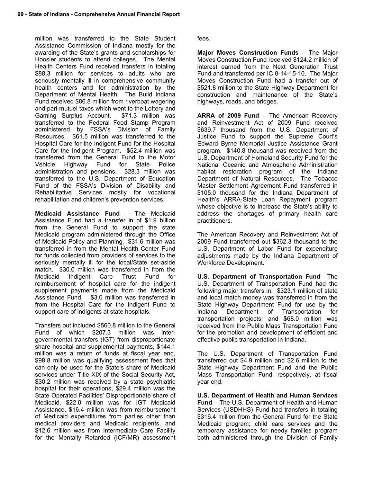million was transferred to the State Student Assistance Commission of Indiana mostly for the awarding of the State's grants and scholarships for Hoosier students to attend colleges. The Mental Health Centers Fund received transfers in totaling \$88.3 million for services to adults who are seriously mentally ill in comprehensive community health centers and for administration by the Department of Mental Health. The Build Indiana Fund received \$86.8 million from riverboat wagering and pari-mutuel taxes which went to the Lottery and Gaming Surplus Account. \$71.3 million was transferred to the Federal Food Stamp Program administered by FSSA's Division of Family Resources. \$61.5 million was transferred to the Hospital Care for the Indigent Fund for the Hospital Care for the Indigent Program. \$52.4 million was transferred from the General Fund to the Motor Vehicle Highway Fund for State Police administration and pensions. \$28.3 million was transferred to the U.S. Department of Education Fund of the FSSA's Division of Disability and Rehabilitative Services mostly for vocational rehabilitation and children's prevention services.

**Medicaid Assistance Fund** – The Medicaid Assistance Fund had a transfer in of \$1.9 billion from the General Fund to support the state Medicaid program administered through the Office of Medicaid Policy and Planning. \$31.6 million was transferred in from the Mental Health Center Fund for funds collected from providers of services to the seriously mentally ill for the local/State set-aside match. \$30.0 million was transferred in from the Medicaid Indigent Care Trust Fund for reimbursement of hospital care for the indigent supplement payments made from the Medicaid Assistance Fund. \$3.0 million was transferred in from the Hospital Care for the Indigent Fund to support care of indigents at state hospitals.

Transfers out included \$560.8 million to the General Fund of which \$207.3 million was intergovernmental transfers (IGT) from disproportionate share hospital and supplemental payments, \$144.1 million was a return of funds at fiscal year end, \$98.8 million was qualifying assessment fees that can only be used for the State's share of Medicaid services under Title XIX of the Social Security Act, \$30.2 million was received by a state psychiatric hospital for their operations, \$29.4 million was the State Operated Facilities' Disproportionate share of Medicaid, \$22.0 million was for IGT Medicaid Assistance, \$16.4 million was from reimbursement of Medicaid expenditures from parties other than medical providers and Medicaid recipients, and \$12.6 million was from Intermediate Care Facility for the Mentally Retarded (ICF/MR) assessment fees.

**Major Moves Construction Funds –** The Major Moves Construction Fund received \$124.2 million of interest earned from the Next Generation Trust Fund and transferred per IC 8-14-15-10. The Major Moves Construction Fund had a transfer out of \$521.8 million to the State Highway Department for construction and maintenance of the State's highways, roads, and bridges.

**ARRA of 2009 Fund** – The American Recovery and Reinvestment Act of 2009 Fund received \$639.7 thousand from the U.S. Department of Justice Fund to support the Supreme Court's Edward Byrne Memorial Justice Assistance Grant program. \$140.8 thousand was received from the U.S. Department of Homeland Security Fund for the National Oceanic and Atmospheric Administration habitat restoration program of the Indiana Department of Natural Resources. The Tobacco Master Settlement Agreement Fund transferred in \$105.0 thousand for the Indiana Department of Health's ARRA-State Loan Repayment program whose objective is to increase the State's ability to address the shortages of primary health care practitioners.

The American Recovery and Reinvestment Act of 2009 Fund transferred out \$362.3 thousand to the U.S. Department of Labor Fund for expenditure adjustments made by the Indiana Department of Workforce Development.

**U.S. Department of Transportation Fund**– The U.S. Department of Transportation Fund had the following major transfers in: \$323.1 million of state and local match money was transferred in from the State Highway Department Fund for use by the Indiana Department of Transportation for transportation projects; and \$68.0 million was received from the Public Mass Transportation Fund for the promotion and development of efficient and effective public transportation in Indiana.

The U.S. Department of Transportation Fund transferred out \$4.9 million and \$2.6 million to the State Highway Department Fund and the Public Mass Transportation Fund, respectively, at fiscal year end.

**U.S. Department of Health and Human Services Fund** – The U.S. Department of Health and Human Services (USDHHS) Fund had transfers in totaling \$316.4 million from the General Fund for the State Medicaid program; child care services and the temporary assistance for needy families program both administered through the Division of Family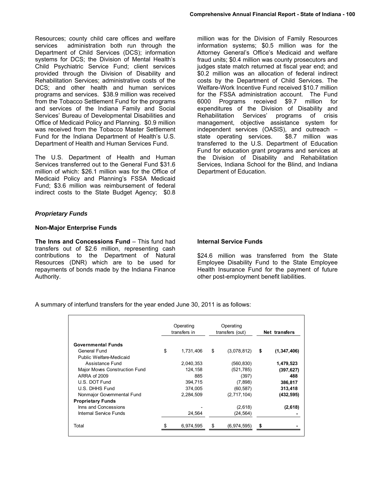Resources; county child care offices and welfare services administration both run through the Department of Child Services (DCS); information systems for DCS; the Division of Mental Health's Child Psychiatric Service Fund; client services provided through the Division of Disability and Rehabilitation Services; administrative costs of the DCS; and other health and human services programs and services. \$38.9 million was received from the Tobacco Settlement Fund for the programs and services of the Indiana Family and Social Services' Bureau of Developmental Disabilities and Office of Medicaid Policy and Planning. \$0.9 million was received from the Tobacco Master Settlement Fund for the Indiana Department of Health's U.S. Department of Health and Human Services Fund.

The U.S. Department of Health and Human Services transferred out to the General Fund \$31.6 million of which: \$26.1 million was for the Office of Medicaid Policy and Planning's FSSA Medicaid Fund; \$3.6 million was reimbursement of federal indirect costs to the State Budget Agency; \$0.8

million was for the Division of Family Resources information systems; \$0.5 million was for the Attorney General's Office's Medicaid and welfare fraud units; \$0.4 million was county prosecutors and judges state match returned at fiscal year end; and \$0.2 million was an allocation of federal indirect costs by the Department of Child Services. The Welfare-Work Incentive Fund received \$10.7 million for the FSSA administration account. The Fund 6000 Programs received \$9.7 million for expenditures of the Division of Disability and Rehabilitation Services' programs of crisis management, objective assistance system for independent services (OASIS), and outreach – state operating services. \$8.7 million was transferred to the U.S. Department of Education Fund for education grant programs and services at the Division of Disability and Rehabilitation Services, Indiana School for the Blind, and Indiana Department of Education.

### *Proprietary Funds*

#### **Non-Major Enterprise Funds**

**The Inns and Concessions Fund** – This fund had transfers out of \$2.6 million, representing cash contributions to the Department of Natural Resources (DNR) which are to be used for repayments of bonds made by the Indiana Finance Authority.

#### **Internal Service Funds**

\$24.6 million was transferred from the State Employee Disability Fund to the State Employee Health Insurance Fund for the payment of future other post-employment benefit liabilities.

A summary of interfund transfers for the year ended June 30, 2011 is as follows:

|                               | Operating<br>transfers in |    | Operating<br>transfers (out) | Net transfers |               |  |
|-------------------------------|---------------------------|----|------------------------------|---------------|---------------|--|
| <b>Governmental Funds</b>     |                           |    |                              |               |               |  |
| General Fund                  | \$<br>1,731,406           | \$ | (3,078,812)                  | \$            | (1, 347, 406) |  |
| Public Welfare-Medicaid       |                           |    |                              |               |               |  |
| Assistance Fund               | 2,040,353                 |    | (560, 830)                   |               | 1,479,523     |  |
| Major Moves Construction Fund | 124.158                   |    | (521, 785)                   |               | (397, 627)    |  |
| ARRA of 2009                  | 885                       |    | (397)                        |               | 488           |  |
| U.S. DOT Fund                 | 394,715                   |    | (7,898)                      |               | 386,817       |  |
| U.S. DHHS Fund                | 374.005                   |    | (60, 587)                    |               | 313,418       |  |
| Nonmajor Governmental Fund    | 2.284.509                 |    | (2,717,104)                  |               | (432, 595)    |  |
| <b>Proprietary Funds</b>      |                           |    |                              |               |               |  |
| Inns and Concessions          |                           |    | (2,618)                      |               | (2,618)       |  |
| Internal Service Funds        | 24,564                    |    | (24, 564)                    |               |               |  |
| Total                         | 6,974,595                 | \$ | (6,974,595)                  | S             |               |  |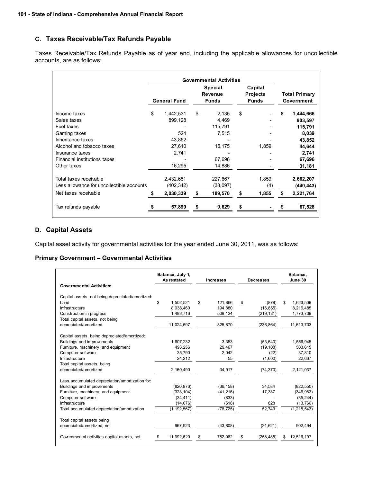# **C. Taxes Receivable/Tax Refunds Payable**

Taxes Receivable/Tax Refunds Payable as of year end, including the applicable allowances for uncollectible accounts, are as follows:

|                                                                     | <b>Governmental Activities</b> |                         |                                                  |                     |                                            |              |                                    |
|---------------------------------------------------------------------|--------------------------------|-------------------------|--------------------------------------------------|---------------------|--------------------------------------------|--------------|------------------------------------|
|                                                                     | <b>General Fund</b>            |                         | <b>Special</b><br><b>Revenue</b><br><b>Funds</b> |                     | Capital<br><b>Projects</b><br><b>Funds</b> |              | <b>Total Primary</b><br>Government |
| Income taxes<br>Sales taxes                                         | \$                             | 1,442,531<br>899,128    | \$                                               | 2,135<br>4,469      | \$                                         |              | \$<br>1,444,666<br>903,597         |
| Fuel taxes<br>Gaming taxes                                          |                                | 524                     |                                                  | 115,791<br>7,515    |                                            |              | 115,791<br>8,039                   |
| Inheritance taxes<br>Alcohol and tobacco taxes                      |                                | 43,852<br>27,610        |                                                  | 15,175              |                                            | 1,859        | 43,852<br>44,644                   |
| Insurance taxes<br>Financial institutions taxes                     |                                | 2,741                   |                                                  | 67,696              |                                            |              | 2,741<br>67,696                    |
| Other taxes                                                         |                                | 16,295                  |                                                  | 14,886              |                                            |              | 31,181                             |
| Total taxes receivable<br>Less allowance for uncollectible accounts |                                | 2,432,681<br>(402, 342) |                                                  | 227,667<br>(38,097) |                                            | 1,859<br>(4) | 2,662,207<br>(440,443)             |
| Net taxes receivable                                                |                                | 2,030,339               | \$                                               | 189,570             |                                            | 1,855        | \$<br>2,221,764                    |
| Tax refunds payable                                                 |                                | 57,899                  | \$                                               | 9,629               |                                            |              | 67,528                             |

### **D. Capital Assets**

Capital asset activity for governmental activities for the year ended June 30, 2011, was as follows:

#### **Primary Government – Governmental Activities**

| <b>Governmental Activities:</b>                          | Balance, July 1,<br>As restated |               | <b>Increases</b> |           | <b>Decreases</b> |            | Balance,<br>June 30 |               |
|----------------------------------------------------------|---------------------------------|---------------|------------------|-----------|------------------|------------|---------------------|---------------|
|                                                          |                                 |               |                  |           |                  |            |                     |               |
| Capital assets, not being depreciated/amortized:         |                                 |               |                  |           |                  |            |                     |               |
| Land                                                     | \$                              | 1,502,521     | \$               | 121,866   | \$               | (878)      | \$                  | 1,623,509     |
| Infrastructure                                           |                                 | 8,038,460     |                  | 194,880   |                  | (16, 855)  |                     | 8,216,485     |
| Construction in progress                                 |                                 | 1,483,716     |                  | 509,124   |                  | (219, 131) |                     | 1,773,709     |
| Total capital assets, not being                          |                                 |               |                  |           |                  |            |                     |               |
| depreciated/amortized                                    |                                 | 11,024,697    |                  | 825,870   |                  | (236, 864) |                     | 11,613,703    |
| Capital assets, being depreciated/amortized:             |                                 |               |                  |           |                  |            |                     |               |
| Buildings and improvements                               |                                 | 1.607.232     |                  | 3.353     |                  | (53, 640)  |                     | 1,556,945     |
| Furniture, machinery, and equipment                      |                                 | 493,256       |                  | 29,467    |                  | (19, 108)  |                     | 503,615       |
| Computer software                                        |                                 | 35.790        |                  | 2.042     |                  | (22)       |                     | 37.810        |
| Infrastructure                                           |                                 | 24,212        |                  | 55        |                  | (1,600)    |                     | 22,667        |
| Total capital assets, being                              |                                 |               |                  |           |                  |            |                     |               |
| depreciated/amortized                                    |                                 | 2,160,490     |                  | 34,917    |                  | (74, 370)  |                     | 2,121,037     |
|                                                          |                                 |               |                  |           |                  |            |                     |               |
| Less accumulated depreciation/amortization for:          |                                 |               |                  |           |                  |            |                     |               |
| Buildings and improvements                               |                                 | (820, 976)    |                  | (36, 158) |                  | 34,584     |                     | (822, 550)    |
| Furniture, machinery, and equipment                      |                                 | (323, 104)    |                  | (41, 216) |                  | 17,337     |                     | (346, 983)    |
| Computer software                                        |                                 | (34, 411)     |                  | (833)     |                  |            |                     | (35, 244)     |
| Infrastructure                                           |                                 | (14,076)      |                  | (518)     |                  | 828        |                     | (13,766)      |
| Total accumulated depreciation/amortization              |                                 | (1, 192, 567) |                  | (78, 725) |                  | 52,749     |                     | (1, 218, 543) |
|                                                          |                                 |               |                  |           |                  |            |                     |               |
| Total capital assets being<br>depreciated/amortized, net |                                 | 967,923       |                  |           |                  |            |                     | 902,494       |
|                                                          |                                 |               |                  | (43, 808) |                  | (21, 621)  |                     |               |
| Governmental activities capital assets, net              |                                 | 11,992,620    | \$               | 782,062   | \$               | (258, 485) |                     | 12,516,197    |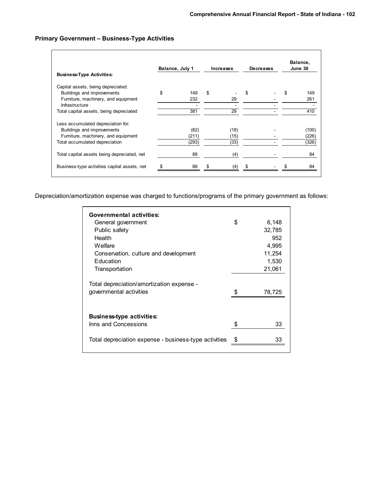## **Primary Government – Business-Type Activities**

| <b>Business-Type Activities:</b>                                                                        | Balance, July 1 |               |   | Increases    | <b>Decreases</b> |  | Balance,<br>June 30 |
|---------------------------------------------------------------------------------------------------------|-----------------|---------------|---|--------------|------------------|--|---------------------|
| Capital assets, being depreciated:                                                                      |                 |               |   |              |                  |  |                     |
| Buildings and improvements                                                                              | \$              | 149           | S |              | S                |  | 149                 |
| Furniture, machinery, and equipment                                                                     |                 | 232           |   | 29           |                  |  | 261                 |
| Infrastructure                                                                                          |                 |               |   |              |                  |  |                     |
| Total capital assets, being depreciated                                                                 |                 | 381           |   | 29           |                  |  | 410                 |
| Less accumulated depreciation for:<br>Buildings and improvements<br>Furniture, machinery, and equipment |                 | (82)<br>(211) |   | (18)<br>(15) |                  |  | (100)<br>(226)      |
| Total accumulated depreciation                                                                          |                 | (293)         |   | (33)         |                  |  | (326)               |
| Total capital assets being depreciated, net                                                             |                 | 88            |   | (4)          |                  |  | 84                  |
| Business-type activities capital assets, net                                                            |                 | 88            |   | (4)          |                  |  | 84                  |
|                                                                                                         |                 |               |   |              |                  |  |                     |

Depreciation/amortization expense was charged to functions/programs of the primary government as follows:

| Governmental activities:<br>General government                       | \$<br>6,148 |
|----------------------------------------------------------------------|-------------|
| Public safety                                                        | 32,785      |
| Health                                                               | 952         |
| Welfare                                                              | 4,995       |
| Conservation, culture and development                                | 11,254      |
| <b>Education</b>                                                     | 1,530       |
| Transportation                                                       | 21,061      |
| Total depreciation/amortization expense -<br>governmental activities | 78,725      |
| <b>Business-type activities:</b><br>Inns and Concessions             | 33          |
| Total depreciation expense - business-type activities                | 33          |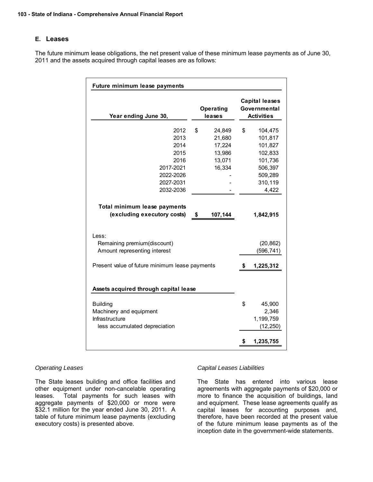### **E. Leases**

The future minimum lease obligations, the net present value of these minimum lease payments as of June 30, 2011 and the assets acquired through capital leases are as follows:

| Future minimum lease payments                                                                                                          |                                                                |    |                                                                                               |
|----------------------------------------------------------------------------------------------------------------------------------------|----------------------------------------------------------------|----|-----------------------------------------------------------------------------------------------|
| Year ending June 30,                                                                                                                   | Operating<br>leases                                            |    | <b>Capital leases</b><br>Governmental<br><b>Activities</b>                                    |
| 2012<br>2013<br>2014<br>2015<br>2016<br>2017-2021<br>2022-2026<br>2027-2031<br>2032-2036                                               | \$<br>24,849<br>21,680<br>17,224<br>13,986<br>13,071<br>16,334 | \$ | 104,475<br>101,817<br>101,827<br>102,833<br>101,736<br>506,397<br>509,289<br>310,119<br>4,422 |
| Total minimum lease payments<br>(excluding executory costs)                                                                            | \$<br>107,144                                                  |    | 1,842,915                                                                                     |
| Less:<br>Remaining premium(discount)<br>Amount representing interest<br>Present value of future minimum lease payments                 |                                                                | 5  | (20, 862)<br>(596, 741)<br>1,225,312                                                          |
| Assets acquired through capital lease<br><b>Building</b><br>Machinery and equipment<br>Infrastructure<br>less accumulated depreciation |                                                                | \$ | 45,900<br>2,346<br>1,199,759<br>(12, 250)                                                     |
|                                                                                                                                        |                                                                | \$ | 1,235,755                                                                                     |

#### *Operating Leases*

The State leases building and office facilities and other equipment under non-cancelable operating leases. Total payments for such leases with aggregate payments of \$20,000 or more were \$32.1 million for the year ended June 30, 2011. A table of future minimum lease payments (excluding executory costs) is presented above.

#### *Capital Leases Liabilities*

The State has entered into various lease agreements with aggregate payments of \$20,000 or more to finance the acquisition of buildings, land and equipment. These lease agreements qualify as capital leases for accounting purposes and, therefore, have been recorded at the present value of the future minimum lease payments as of the inception date in the government-wide statements.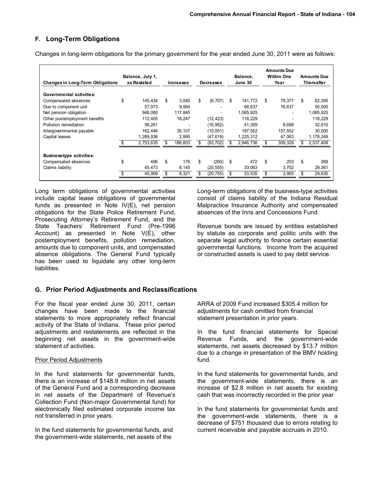# **F. Long-Term Obligations**

Changes in long-term obligations for the primary government for the year ended June 30, 2011 were as follows:

| <b>Changes in Long-Term Obligations</b> | Balance, July 1,<br>as Restated |           | Increases |         | <b>Decreases</b> |                          | Balance,<br>June 30 |           | <b>Amounts Due</b><br><b>Within One</b><br>Year |         | <b>Amounts Due</b><br>Thereafter |           |
|-----------------------------------------|---------------------------------|-----------|-----------|---------|------------------|--------------------------|---------------------|-----------|-------------------------------------------------|---------|----------------------------------|-----------|
| Governmental activities:                |                                 |           |           |         |                  |                          |                     |           |                                                 |         |                                  |           |
| Compensated absences                    | \$                              | 145.434   | \$        | 3.045   | S                | (6, 707)                 | \$                  | 141.772   | \$                                              | 79.377  | \$                               | 62,395    |
| Due to component unit                   |                                 | 57.073    |           | 9,564   |                  |                          |                     | 66.637    |                                                 | 16.637  |                                  | 50,000    |
| Net pension obligation                  |                                 | 948.080   |           | 117.845 |                  | $\overline{\phantom{0}}$ |                     | 1,065,925 |                                                 |         |                                  | 1,065,925 |
| Other postemployment benefits           |                                 | 112.405   |           | 18,247  |                  | (12, 423)                |                     | 118,229   |                                                 |         |                                  | 118.229   |
| Pollution remediation                   |                                 | 58.261    |           |         |                  | (16, 952)                |                     | 41,309    |                                                 | 8,699   |                                  | 32,610    |
| Intergovernmental payable               |                                 | 162.446   |           | 35.107  |                  | (10,001)                 |                     | 187,552   |                                                 | 157,552 |                                  | 30,000    |
| Capital leases                          |                                 | 1,269,936 |           | 2,995   |                  | (47, 619)                |                     | 1,225,312 |                                                 | 47,063  |                                  | 1,178,249 |
|                                         |                                 | 2,753,635 | \$        | 186,803 |                  | (93, 702)                |                     | 2,846,736 |                                                 | 309,328 |                                  | 2,537,408 |
| <b>Business-type activities:</b>        |                                 |           |           |         |                  |                          |                     |           |                                                 |         |                                  |           |
| Compensated absences                    | \$                              | 496       | \$        | 176     | \$               | (200)                    | \$                  | 472       | \$                                              | 203     | S                                | 269       |
| Claims liability                        |                                 | 45.473    |           | 8,145   |                  | (20, 555)                |                     | 33,063    |                                                 | 3,702   |                                  | 29,361    |
|                                         |                                 | 45,969    | \$        | 8,321   |                  | (20, 755)                |                     | 33,535    | £.                                              | 3,905   |                                  | 29,630    |

Long term obligations of governmental activities include capital lease obligations of governmental funds as presented in Note IV(E), net pension obligations for the State Police Retirement Fund, Prosecuting Attorney's Retirement Fund, and the State Teachers' Retirement Fund (Pre-1996 Account) as presented in Note V(E), other postemployment benefits, pollution remediation, amounts due to component units, and compensated absence obligations. The General Fund typically has been used to liquidate any other long-term liabilities.

### **G. Prior Period Adjustments and Reclassifications**

For the fiscal year ended June 30, 2011, certain changes have been made to the financial statements to more appropriately reflect financial activity of the State of Indiana. These prior period adjustments and restatements are reflected in the beginning net assets in the government-wide statement of activities.

### Prior Period Adjustments

In the fund statements for governmental funds, there is an increase of \$148.9 million in net assets of the General Fund and a corresponding decrease in net assets of the Department of Revenue's Collection Fund (Non-major Governmental fund) for electronically filed estimated corporate income tax not transferred in prior years.

In the fund statements for governmental funds, and the government-wide statements, net assets of the

Long-term obligations of the business-type activities consist of claims liability of the Indiana Residual Malpractice Insurance Authority and compensated absences of the Inns and Concessions Fund.

Revenue bonds are issued by entities established by statute as corporate and politic units with the separate legal authority to finance certain essential governmental functions. Income from the acquired or constructed assets is used to pay debt service.

ARRA of 2009 Fund increased \$305.4 million for adjustments for cash omitted from financial statement presentation in prior years.

In the fund financial statements for Special Revenue Funds, and the government-wide statements, net assets decreased by \$13.7 million due to a change in presentation of the BMV holding fund.

In the fund statements for governmental funds, and the government-wide statements, there is an increase of \$2.8 million in net assets for existing cash that was incorrectly recorded in the prior year .

In the fund statements for governmental funds and the government-wide statements, there is a decrease of \$751 thousand due to errors relating to current receivable and payable accruals in 2010.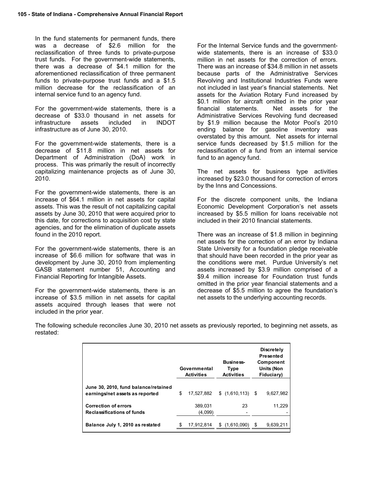In the fund statements for permanent funds, there was a decrease of \$2.6 million for the reclassification of three funds to private-purpose trust funds. For the government-wide statements, there was a decrease of \$4.1 million for the aforementioned reclassification of three permanent funds to private-purpose trust funds and a \$1.5 million decrease for the reclassification of an internal service fund to an agency fund.

For the government-wide statements, there is a decrease of \$33.0 thousand in net assets for infrastructure assets included in INDOT infrastructure as of June 30, 2010.

For the government-wide statements, there is a decrease of \$11.8 million in net assets for Department of Administration (DoA) work in process. This was primarily the result of incorrectly capitalizing maintenance projects as of June 30, 2010.

For the government-wide statements, there is an increase of \$64.1 million in net assets for capital assets. This was the result of not capitalizing capital assets by June 30, 2010 that were acquired prior to this date, for corrections to acquisition cost by state agencies, and for the elimination of duplicate assets found in the 2010 report.

For the government-wide statements, there is an increase of \$6.6 million for software that was in development by June 30, 2010 from implementing GASB statement number 51, Accounting and Financial Reporting for Intangible Assets.

For the government-wide statements, there is an increase of \$3.5 million in net assets for capital assets acquired through leases that were not included in the prior year.

For the Internal Service funds and the governmentwide statements, there is an increase of \$33.0 million in net assets for the correction of errors. There was an increase of \$34.8 million in net assets because parts of the Administrative Services Revolving and Institutional Industries Funds were not included in last year's financial statements. Net assets for the Aviation Rotary Fund increased by \$0.1 million for aircraft omitted in the prior year financial statements. Net assets for the Administrative Services Revolving fund decreased by \$1.9 million because the Motor Pool's 2010 ending balance for gasoline inventory was overstated by this amount. Net assets for internal service funds decreased by \$1.5 million for the reclassification of a fund from an internal service fund to an agency fund.

The net assets for business type activities increased by \$23.0 thousand for correction of errors by the Inns and Concessions.

For the discrete component units, the Indiana Economic Development Corporation's net assets increased by \$5.5 million for loans receivable not included in their 2010 financial statements.

There was an increase of \$1.8 million in beginning net assets for the correction of an error by Indiana State University for a foundation pledge receivable that should have been recorded in the prior year as the conditions were met. Purdue University's net assets increased by \$3.9 million comprised of a \$9.4 million increase for Foundation trust funds omitted in the prior year financial statements and a decrease of \$5.5 million to agree the foundation's net assets to the underlying accounting records.

The following schedule reconciles June 30, 2010 net assets as previously reported, to beginning net assets, as restated:

|                                                                         | Governmental<br><b>Activities</b> |   | <b>Business-</b><br>Type<br><b>Activities</b> |   | <b>Discretely</b><br>Presented<br>Component<br><b>Units (Non</b><br>Fiduciary) |
|-------------------------------------------------------------------------|-----------------------------------|---|-----------------------------------------------|---|--------------------------------------------------------------------------------|
| June 30, 2010, fund balance/retained<br>earnings/net assets as reported | \$<br>17,527,882                  |   |                                               |   | 9,627,982                                                                      |
| <b>Correction of errors</b><br><b>Reclassifications of funds</b>        | 389,031<br>(4,099)                |   | 23                                            |   | 11.229                                                                         |
| Balance July 1, 2010 as restated                                        | 17,912,814                        | S | (1,610,090)                                   | S | 9,639,211                                                                      |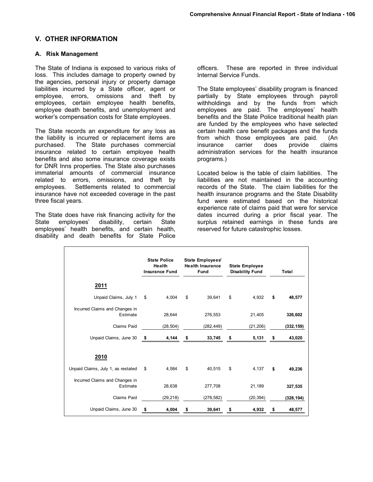### **V. OTHER INFORMATION**

#### **A. Risk Management**

The State of Indiana is exposed to various risks of loss. This includes damage to property owned by the agencies, personal injury or property damage liabilities incurred by a State officer, agent or employee, errors, omissions and theft by employees, certain employee health benefits, employee death benefits, and unemployment and worker's compensation costs for State employees.

The State records an expenditure for any loss as the liability is incurred or replacement items are purchased. The State purchases commercial insurance related to certain employee health benefits and also some insurance coverage exists for DNR Inns properties. The State also purchases immaterial amounts of commercial insurance related to errors, omissions, and theft by employees. Settlements related to commercial insurance have not exceeded coverage in the past three fiscal years.

The State does have risk financing activity for the State employees' disability, certain State State employees' disability, certain State employees' health benefits, and certain health, disability and death benefits for State Police officers. These are reported in three individual Internal Service Funds.

The State employees' disability program is financed partially by State employees through payroll withholdings and by the funds from which employees are paid. The employees' health benefits and the State Police traditional health plan are funded by the employees who have selected certain health care benefit packages and the funds from which those employees are paid. (An insurance carrier does provide claims insurance carrier does provide claims administration services for the health insurance programs.)

Located below is the table of claim liabilities. The liabilities are not maintained in the accounting records of the State. The claim liabilities for the health insurance programs and the State Disability fund were estimated based on the historical experience rate of claims paid that were for service dates incurred during a prior fiscal year. The surplus retained earnings in these funds are reserved for future catastrophic losses.

|                                            | <b>State Police</b><br>Health<br><b>Insurance Fund</b> |           | <b>State Employees'</b><br><b>Health Insurance</b><br><b>Fund</b> |            | <b>State Employee</b><br><b>Disability Fund</b> |           | Total        |
|--------------------------------------------|--------------------------------------------------------|-----------|-------------------------------------------------------------------|------------|-------------------------------------------------|-----------|--------------|
| <u>2011</u>                                |                                                        |           |                                                                   |            |                                                 |           |              |
| Unpaid Claims, July 1                      | \$                                                     | 4,004     | \$                                                                | 39,641     | \$                                              | 4,932     | \$<br>48,577 |
| Incurred Claims and Changes in<br>Estimate |                                                        | 28,644    |                                                                   | 276,553    |                                                 | 21,405    | 326,602      |
| Claims Paid                                |                                                        | (28, 504) |                                                                   | (282, 449) |                                                 | (21, 206) | (332, 159)   |
| Unpaid Claims, June 30                     | \$                                                     | 4,144     | \$                                                                | 33,745     | \$                                              | 5,131     | \$<br>43,020 |
| 2010                                       |                                                        |           |                                                                   |            |                                                 |           |              |
| Unpaid Claims, July 1, as restated         | \$                                                     | 4,584     | \$                                                                | 40,515     | \$                                              | 4,137     | \$<br>49,236 |
| Incurred Claims and Changes in<br>Estimate |                                                        | 28,638    |                                                                   | 277,708    |                                                 | 21,189    | 327,535      |
| Claims Paid                                |                                                        | (29, 218) |                                                                   | (278, 582) |                                                 | (20, 394) | (328, 194)   |
| Unpaid Claims, June 30                     | \$                                                     | 4,004     | \$                                                                | 39,641     | \$                                              | 4,932     | \$<br>48,577 |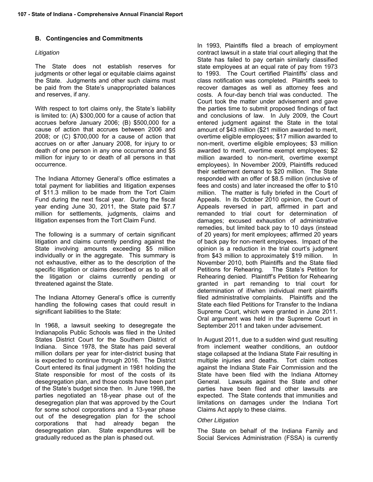# **B. Contingencies and Commitments**

### *Litigation*

The State does not establish reserves for judgments or other legal or equitable claims against the State. Judgments and other such claims must be paid from the State's unappropriated balances and reserves, if any.

With respect to tort claims only, the State's liability is limited to: (A) \$300,000 for a cause of action that accrues before January 2006; (B) \$500,000 for a cause of action that accrues between 2006 and 2008; or (C) \$700,000 for a cause of action that accrues on or after January 2008, for injury to or death of one person in any one occurrence and \$5 million for injury to or death of all persons in that occurrence.

The Indiana Attorney General's office estimates a total payment for liabilities and litigation expenses of \$11.3 million to be made from the Tort Claim Fund during the next fiscal year. During the fiscal year ending June 30, 2011, the State paid \$7.7 million for settlements, judgments, claims and litigation expenses from the Tort Claim Fund.

The following is a summary of certain significant litigation and claims currently pending against the State involving amounts exceeding \$5 million individually or in the aggregate. This summary is not exhaustive, either as to the description of the specific litigation or claims described or as to all of the litigation or claims currently pending or threatened against the State.

The Indiana Attorney General's office is currently handling the following cases that could result in significant liabilities to the State:

In 1968, a lawsuit seeking to desegregate the Indianapolis Public Schools was filed in the United States District Court for the Southern District of Indiana. Since 1978, the State has paid several million dollars per year for inter-district busing that is expected to continue through 2016. The District Court entered its final judgment in 1981 holding the State responsible for most of the costs of its desegregation plan, and those costs have been part of the State's budget since then. In June 1998, the parties negotiated an 18-year phase out of the desegregation plan that was approved by the Court for some school corporations and a 13-year phase out of the desegregation plan for the school corporations that had already began the desegregation plan. State expenditures will be gradually reduced as the plan is phased out.

In 1993, Plaintiffs filed a breach of employment contract lawsuit in a state trial court alleging that the State has failed to pay certain similarly classified state employees at an equal rate of pay from 1973 to 1993. The Court certified Plaintiffs' class and class notification was completed. Plaintiffs seek to recover damages as well as attorney fees and costs. A four-day bench trial was conducted. The Court took the matter under advisement and gave the parties time to submit proposed findings of fact and conclusions of law. In July 2009, the Court entered judgment against the State in the total amount of \$43 million (\$21 million awarded to merit, overtime eligible employees; \$17 million awarded to non-merit, overtime eligible employees; \$3 million awarded to merit, overtime exempt employees; \$2 million awarded to non-merit, overtime exempt employees). In November 2009, Plaintiffs reduced their settlement demand to \$20 million. The State responded with an offer of \$8.5 million (inclusive of fees and costs) and later increased the offer to \$10 million. The matter is fully briefed in the Court of Appeals. In its October 2010 opinion, the Court of Appeals reversed in part, affirmed in part and remanded to trial court for determination of damages; excused exhaustion of administrative remedies, but limited back pay to 10 days (instead of 20 years) for merit employees; affirmed 20 years of back pay for non-merit employees. Impact of the opinion is a reduction in the trial court's judgment from \$43 million to approximately \$19 million. In November 2010, both Plaintiffs and the State filed Petitions for Rehearing. The State's Petition for Rehearing denied. Plaintiff's Petition for Rehearing granted in part remanding to trial court for determination of if/when individual merit plaintiffs filed administrative complaints. Plaintiffs and the State each filed Petitions for Transfer to the Indiana Supreme Court, which were granted in June 2011. Oral argument was held in the Supreme Court in September 2011 and taken under advisement.

In August 2011, due to a sudden wind gust resulting from inclement weather conditions, an outdoor stage collapsed at the Indiana State Fair resulting in multiple injuries and deaths. Tort claim notices against the Indiana State Fair Commission and the State have been filed with the Indiana Attorney General. Lawsuits against the State and other parties have been filed and other lawsuits are expected. The State contends that immunities and limitations on damages under the Indiana Tort Claims Act apply to these claims.

#### *Other Litigation*

The State on behalf of the Indiana Family and Social Services Administration (FSSA) is currently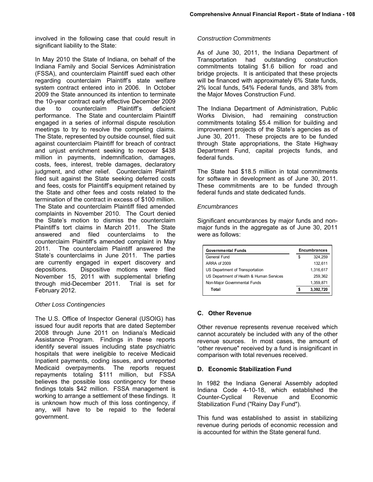involved in the following case that could result in significant liability to the State:

In May 2010 the State of Indiana, on behalf of the Indiana Family and Social Services Administration (FSSA), and counterclaim Plaintiff sued each other regarding counterclaim Plaintiff's state welfare system contract entered into in 2006. In October 2009 the State announced its intention to terminate the 10-year contract early effective December 2009 due to counterclaim Plaintiff's deficient performance. The State and counterclaim Plaintiff engaged in a series of informal dispute resolution meetings to try to resolve the competing claims. The State, represented by outside counsel, filed suit against counterclaim Plaintiff for breach of contract and unjust enrichment seeking to recover \$438 million in payments, indemnification, damages, costs, fees, interest, treble damages, declaratory judgment, and other relief. Counterclaim Plaintiff filed suit against the State seeking deferred costs and fees, costs for Plaintiff's equipment retained by the State and other fees and costs related to the termination of the contract in excess of \$100 million. The State and counterclaim Plaintiff filed amended complaints in November 2010. The Court denied the State's motion to dismiss the counterclaim Plaintiff's tort claims in March 2011. The State answered and filed counterclaims to the counterclaim Plaintiff's amended complaint in May 2011. The counterclaim Plaintiff answered the State's counterclaims in June 2011. The parties are currently engaged in expert discovery and depositions. Dispositive motions were filed November 15, 2011 with supplemental briefing through mid-December 2011. Trial is set for February 2012.

### *Other Loss Contingencies*

The U.S. Office of Inspector General (USOIG) has issued four audit reports that are dated September 2008 through June 2011 on Indiana's Medicaid Assistance Program. Findings in these reports identify several issues including state psychiatric hospitals that were ineligible to receive Medicaid Inpatient payments, coding issues, and unreported Medicaid overpayments. The reports request repayments totaling \$111 million, but FSSA believes the possible loss contingency for these findings totals \$42 million. FSSA management is working to arrange a settlement of these findings. It is unknown how much of this loss contingency, if any, will have to be repaid to the federal government.

#### *Construction Commitments*

As of June 30, 2011, the Indiana Department of Transportation had outstanding construction commitments totaling \$1.6 billion for road and bridge projects. It is anticipated that these projects will be financed with approximately 6% State funds, 2% local funds, 54% Federal funds, and 38% from the Major Moves Construction Fund.

The Indiana Department of Administration, Public Works Division, had remaining construction commitments totaling \$5.4 million for building and improvement projects of the State's agencies as of June 30, 2011. These projects are to be funded through State appropriations, the State Highway Department Fund, capital projects funds, and federal funds.

The State had \$18.5 million in total commitments for software in development as of June 30, 2011. These commitments are to be funded through federal funds and state dedicated funds.

#### *Encumbrances*

Significant encumbrances by major funds and nonmajor funds in the aggregate as of June 30, 2011 were as follows:

| <b>Governmental Funds</b>                | <b>Encumbrances</b> |
|------------------------------------------|---------------------|
| General Fund                             | \$<br>324.259       |
| ARRA of 2009                             | 132.611             |
| US Department of Transportation          | 1,316,617           |
| US Department of Health & Human Services | 259.362             |
| Non-Major Governmental Funds             | 1,359,871           |
| Total                                    | 3,392,720           |

#### **C. Other Revenue**

Other revenue represents revenue received which cannot accurately be included with any of the other revenue sources. In most cases, the amount of "other revenue" received by a fund is insignificant in comparison with total revenues received.

#### **D. Economic Stabilization Fund**

In 1982 the Indiana General Assembly adopted Indiana Code 4-10-18, which established the Counter-Cyclical Revenue and Economic Stabilization Fund ("Rainy Day Fund").

This fund was established to assist in stabilizing revenue during periods of economic recession and is accounted for within the State general fund.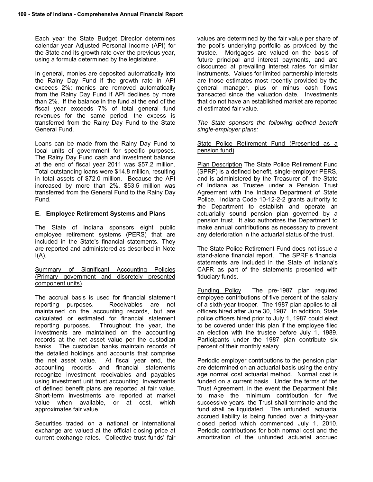Each year the State Budget Director determines calendar year Adjusted Personal Income (API) for the State and its growth rate over the previous year, using a formula determined by the legislature.

In general, monies are deposited automatically into the Rainy Day Fund if the growth rate in API exceeds 2%; monies are removed automatically from the Rainy Day Fund if API declines by more than 2%. If the balance in the fund at the end of the fiscal year exceeds 7% of total general fund revenues for the same period, the excess is transferred from the Rainy Day Fund to the State General Fund.

Loans can be made from the Rainy Day Fund to local units of government for specific purposes. The Rainy Day Fund cash and investment balance at the end of fiscal year 2011 was \$57.2 million. Total outstanding loans were \$14.8 million, resulting in total assets of \$72.0 million. Because the API increased by more than 2%, \$53.5 million was transferred from the General Fund to the Rainy Day Fund.

#### **E. Employee Retirement Systems and Plans**

The State of Indiana sponsors eight public employee retirement systems (PERS) that are included in the State's financial statements. They are reported and administered as described in Note  $I(A)$ .

Summary of Significant Accounting Policies (Primary government and discretely presented component units)

The accrual basis is used for financial statement reporting purposes. Receivables are not maintained on the accounting records, but are calculated or estimated for financial statement reporting purposes. Throughout the year, the investments are maintained on the accounting records at the net asset value per the custodian banks. The custodian banks maintain records of the detailed holdings and accounts that comprise the net asset value. At fiscal year end, the accounting records and financial statements recognize investment receivables and payables using investment unit trust accounting. Investments of defined benefit plans are reported at fair value. Short-term investments are reported at market value when available, or at cost, which approximates fair value.

Securities traded on a national or international exchange are valued at the official closing price at current exchange rates. Collective trust funds' fair

values are determined by the fair value per share of the pool's underlying portfolio as provided by the trustee. Mortgages are valued on the basis of future principal and interest payments, and are discounted at prevailing interest rates for similar instruments. Values for limited partnership interests are those estimates most recently provided by the general manager, plus or minus cash flows transacted since the valuation date. Investments that do not have an established market are reported at estimated fair value.

*The State sponsors the following defined benefit single-employer plans:* 

#### State Police Retirement Fund (Presented as a pension fund)

Plan Description The State Police Retirement Fund (SPRF) is a defined benefit, single-employer PERS, and is administered by the Treasurer of the State of Indiana as Trustee under a Pension Trust Agreement with the Indiana Department of State Police. Indiana Code 10-12-2-2 grants authority to the Department to establish and operate an actuarially sound pension plan governed by a pension trust. It also authorizes the Department to make annual contributions as necessary to prevent any deterioration in the actuarial status of the trust.

The State Police Retirement Fund does not issue a stand-alone financial report. The SPRF's financial statements are included in the State of Indiana's CAFR as part of the statements presented with fiduciary funds.

Funding Policy The pre-1987 plan required employee contributions of five percent of the salary of a sixth-year trooper. The 1987 plan applies to all officers hired after June 30, 1987. In addition, State police officers hired prior to July 1, 1987 could elect to be covered under this plan if the employee filed an election with the trustee before July 1, 1989. Participants under the 1987 plan contribute six percent of their monthly salary.

Periodic employer contributions to the pension plan are determined on an actuarial basis using the entry age normal cost actuarial method. Normal cost is funded on a current basis. Under the terms of the Trust Agreement, in the event the Department fails to make the minimum contribution for five successive years, the Trust shall terminate and the fund shall be liquidated. The unfunded actuarial accrued liability is being funded over a thirty-year closed period which commenced July 1, 2010. Periodic contributions for both normal cost and the amortization of the unfunded actuarial accrued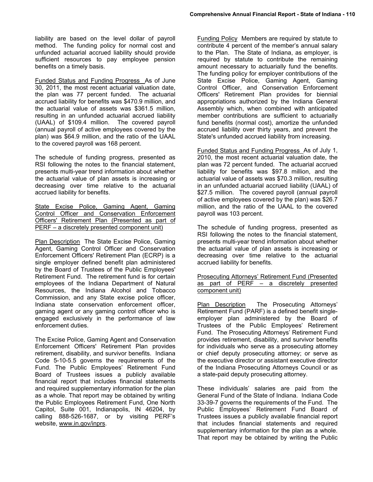liability are based on the level dollar of payroll method. The funding policy for normal cost and unfunded actuarial accrued liability should provide sufficient resources to pay employee pension benefits on a timely basis.

Funded Status and Funding Progress As of June 30, 2011, the most recent actuarial valuation date, the plan was 77 percent funded. The actuarial accrued liability for benefits was \$470.9 million, and the actuarial value of assets was \$361.5 million, resulting in an unfunded actuarial accrued liability (UAAL) of \$109.4 million. The covered payroll (annual payroll of active employees covered by the plan) was \$64.9 million, and the ratio of the UAAL to the covered payroll was 168 percent.

The schedule of funding progress, presented as RSI following the notes to the financial statement, presents multi-year trend information about whether the actuarial value of plan assets is increasing or decreasing over time relative to the actuarial accrued liability for benefits.

State Excise Police, Gaming Agent, Gaming Control Officer and Conservation Enforcement Officers' Retirement Plan (Presented as part of PERF – a discretely presented component unit)

Plan Description The State Excise Police, Gaming Agent, Gaming Control Officer and Conservation Enforcement Officers' Retirement Plan (ECRP) is a single employer defined benefit plan administered by the Board of Trustees of the Public Employees' Retirement Fund. The retirement fund is for certain employees of the Indiana Department of Natural Resources, the Indiana Alcohol and Tobacco Commission, and any State excise police officer, Indiana state conservation enforcement officer, gaming agent or any gaming control officer who is engaged exclusively in the performance of law enforcement duties.

The Excise Police, Gaming Agent and Conservation Enforcement Officers' Retirement Plan provides retirement, disability, and survivor benefits. Indiana Code 5-10-5.5 governs the requirements of the Fund. The Public Employees' Retirement Fund Board of Trustees issues a publicly available financial report that includes financial statements and required supplementary information for the plan as a whole. That report may be obtained by writing the Public Employees Retirement Fund, One North Capitol, Suite 001, Indianapolis, IN 46204, by calling 888-526-1687, or by visiting PERF's website, www.in.gov/inprs.

Funding Policy Members are required by statute to contribute 4 percent of the member's annual salary to the Plan. The State of Indiana, as employer, is required by statute to contribute the remaining amount necessary to actuarially fund the benefits. The funding policy for employer contributions of the State Excise Police, Gaming Agent, Gaming Control Officer, and Conservation Enforcement Officers' Retirement Plan provides for biennial appropriations authorized by the Indiana General Assembly which, when combined with anticipated member contributions are sufficient to actuarially fund benefits (normal cost), amortize the unfunded accrued liability over thirty years, and prevent the State's unfunded accrued liability from increasing.

Funded Status and Funding Progress As of July 1, 2010, the most recent actuarial valuation date, the plan was 72 percent funded. The actuarial accrued liability for benefits was \$97.8 million, and the actuarial value of assets was \$70.3 million, resulting in an unfunded actuarial accrued liability (UAAL) of \$27.5 million. The covered payroll (annual payroll of active employees covered by the plan) was \$26.7 million, and the ratio of the UAAL to the covered payroll was 103 percent.

The schedule of funding progress, presented as RSI following the notes to the financial statement, presents multi-year trend information about whether the actuarial value of plan assets is increasing or decreasing over time relative to the actuarial accrued liability for benefits.

Prosecuting Attorneys' Retirement Fund (Presented as part of PERF – a discretely presented component unit)

Plan Description The Prosecuting Attorneys' Retirement Fund (PARF) is a defined benefit singleemployer plan administered by the Board of Trustees of the Public Employees' Retirement Fund. The Prosecuting Attorneys' Retirement Fund provides retirement, disability, and survivor benefits for individuals who serve as a prosecuting attorney or chief deputy prosecuting attorney; or serve as the executive director or assistant executive director of the Indiana Prosecuting Attorneys Council or as a state-paid deputy prosecuting attorney.

These individuals' salaries are paid from the General Fund of the State of Indiana. Indiana Code 33-39-7 governs the requirements of the Fund. The Public Employees' Retirement Fund Board of Trustees issues a publicly available financial report that includes financial statements and required supplementary information for the plan as a whole. That report may be obtained by writing the Public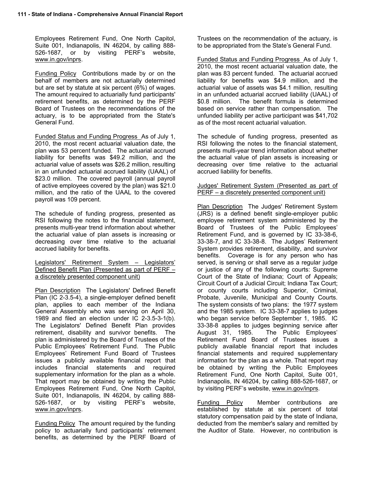Employees Retirement Fund, One North Capitol, Suite 001, Indianapolis, IN 46204, by calling 888- 526-1687, or by visiting PERF's website, www.in.gov/inprs.

Funding Policy Contributions made by or on the behalf of members are not actuarially determined but are set by statute at six percent (6%) of wages. The amount required to actuarially fund participants' retirement benefits, as determined by the PERF Board of Trustees on the recommendations of the actuary, is to be appropriated from the State's General Fund.

Funded Status and Funding Progress As of July 1, 2010, the most recent actuarial valuation date, the plan was 53 percent funded. The actuarial accrued liability for benefits was \$49.2 million, and the actuarial value of assets was \$26.2 million, resulting in an unfunded actuarial accrued liability (UAAL) of \$23.0 million. The covered payroll (annual payroll of active employees covered by the plan) was \$21.0 million, and the ratio of the UAAL to the covered payroll was 109 percent.

The schedule of funding progress, presented as RSI following the notes to the financial statement, presents multi-year trend information about whether the actuarial value of plan assets is increasing or decreasing over time relative to the actuarial accrued liability for benefits.

Legislators' Retirement System – Legislators' Defined Benefit Plan (Presented as part of PERF – a discretely presented component unit)

Plan Description The Legislators' Defined Benefit Plan (IC 2-3.5-4), a single-employer defined benefit plan, applies to each member of the Indiana General Assembly who was serving on April 30, 1989 and filed an election under IC 2-3.5-3-1(b). The Legislators' Defined Benefit Plan provides retirement, disability and survivor benefits. The plan is administered by the Board of Trustees of the Public Employees' Retirement Fund. The Public Employees' Retirement Fund Board of Trustees issues a publicly available financial report that includes financial statements and required supplementary information for the plan as a whole. That report may be obtained by writing the Public Employees Retirement Fund, One North Capitol, Suite 001, Indianapolis, IN 46204, by calling 888- 526-1687, or by visiting PERF's website, www.in.gov/inprs.

Funding Policy The amount required by the funding policy to actuarially fund participants' retirement benefits, as determined by the PERF Board of

Trustees on the recommendation of the actuary, is to be appropriated from the State's General Fund.

Funded Status and Funding Progress As of July 1, 2010, the most recent actuarial valuation date, the plan was 83 percent funded. The actuarial accrued liability for benefits was \$4.9 million, and the actuarial value of assets was \$4.1 million, resulting in an unfunded actuarial accrued liability (UAAL) of \$0.8 million. The benefit formula is determined based on service rather than compensation. The unfunded liability per active participant was \$41,702 as of the most recent actuarial valuation.

The schedule of funding progress, presented as RSI following the notes to the financial statement, presents multi-year trend information about whether the actuarial value of plan assets is increasing or decreasing over time relative to the actuarial accrued liability for benefits.

#### Judges' Retirement System (Presented as part of PERF – a discretely presented component unit)

Plan Description The Judges' Retirement System (JRS) is a defined benefit single-employer public employee retirement system administered by the Board of Trustees of the Public Employees' Retirement Fund, and is governed by IC 33-38-6, 33-38-7, and IC 33-38-8. The Judges' Retirement System provides retirement, disability, and survivor benefits. Coverage is for any person who has served, is serving or shall serve as a regular judge or justice of any of the following courts: Supreme Court of the State of Indiana; Court of Appeals; Circuit Court of a Judicial Circuit; Indiana Tax Court; or county courts including Superior, Criminal, Probate, Juvenile, Municipal and County Courts. The system consists of two plans: the 1977 system and the 1985 system. IC 33-38-7 applies to judges who began service before September 1, 1985. IC 33-38-8 applies to judges beginning service after August 31, 1985. The Public Employees' Retirement Fund Board of Trustees issues a publicly available financial report that includes financial statements and required supplementary information for the plan as a whole. That report may be obtained by writing the Public Employees Retirement Fund, One North Capitol, Suite 001, Indianapolis, IN 46204, by calling 888-526-1687, or by visiting PERF's website, www.in.gov/inprs.

Funding Policy Member contributions are established by statute at six percent of total statutory compensation paid by the state of Indiana, deducted from the member's salary and remitted by the Auditor of State. However, no contribution is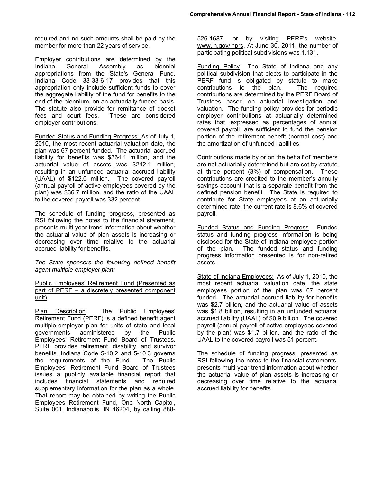required and no such amounts shall be paid by the member for more than 22 years of service.

Employer contributions are determined by the Indiana General Assembly as biennial appropriations from the State's General Fund. Indiana Code 33-38-6-17 provides that this appropriation only include sufficient funds to cover the aggregate liability of the fund for benefits to the end of the biennium, on an actuarially funded basis. The statute also provide for remittance of docket fees and court fees. These are considered employer contributions.

Funded Status and Funding Progress As of July 1, 2010, the most recent actuarial valuation date, the plan was 67 percent funded. The actuarial accrued liability for benefits was \$364.1 million, and the actuarial value of assets was \$242.1 million, resulting in an unfunded actuarial accrued liability (UAAL) of \$122.0 million. The covered payroll (annual payroll of active employees covered by the plan) was \$36.7 million, and the ratio of the UAAL to the covered payroll was 332 percent.

The schedule of funding progress, presented as RSI following the notes to the financial statement, presents multi-year trend information about whether the actuarial value of plan assets is increasing or decreasing over time relative to the actuarial accrued liability for benefits.

*The State sponsors the following defined benefit agent multiple-employer plan:* 

Public Employees' Retirement Fund (Presented as part of PERF – a discretely presented component unit)

Plan Description The Public Employees' Retirement Fund (PERF) is a defined benefit agent multiple-employer plan for units of state and local governments administered by the Public Employees' Retirement Fund Board of Trustees. PERF provides retirement, disability, and survivor benefits. Indiana Code 5-10.2 and 5-10.3 governs the requirements of the Fund. The Public Employees' Retirement Fund Board of Trustees issues a publicly available financial report that includes financial statements and required supplementary information for the plan as a whole. That report may be obtained by writing the Public Employees Retirement Fund, One North Capitol, Suite 001, Indianapolis, IN 46204, by calling 888-

526-1687, or by visiting PERF's website, www.in.gov/inprs. At June 30, 2011, the number of participating political subdivisions was 1,131.

Funding Policy The State of Indiana and any political subdivision that elects to participate in the PERF fund is obligated by statute to make contributions to the plan. The required contributions are determined by the PERF Board of Trustees based on actuarial investigation and valuation. The funding policy provides for periodic employer contributions at actuarially determined rates that, expressed as percentages of annual covered payroll, are sufficient to fund the pension portion of the retirement benefit (normal cost) and the amortization of unfunded liabilities.

Contributions made by or on the behalf of members are not actuarially determined but are set by statute at three percent (3%) of compensation. These contributions are credited to the member's annuity savings account that is a separate benefit from the defined pension benefit. The State is required to contribute for State employees at an actuarially determined rate; the current rate is 8.6% of covered payroll.

Funded Status and Funding Progress Funded status and funding progress information is being disclosed for the State of Indiana employee portion of the plan. The funded status and funding progress information presented is for non-retired assets.

State of Indiana Employees: As of July 1, 2010, the most recent actuarial valuation date, the state employees portion of the plan was 67 percent funded. The actuarial accrued liability for benefits was \$2.7 billion, and the actuarial value of assets was \$1.8 billion, resulting in an unfunded actuarial accrued liability (UAAL) of \$0.9 billion. The covered payroll (annual payroll of active employees covered by the plan) was \$1.7 billion, and the ratio of the UAAL to the covered payroll was 51 percent.

The schedule of funding progress, presented as RSI following the notes to the financial statements, presents multi-year trend information about whether the actuarial value of plan assets is increasing or decreasing over time relative to the actuarial accrued liability for benefits.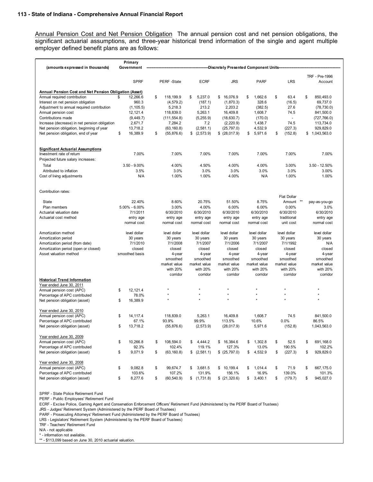Annual Pension Cost and Net Pension Obligation The annual pension cost and net pension obligations, the significant actuarial assumptions, and three-year historical trend information of the single and agent multiple employer defined benefit plans are as follows:

| (amounts expressed in thousands)                       | Primary<br>Government |                   |                  | -Discretely Presented Component Units- |               |                          |                                  |
|--------------------------------------------------------|-----------------------|-------------------|------------------|----------------------------------------|---------------|--------------------------|----------------------------------|
|                                                        |                       |                   |                  |                                        |               |                          |                                  |
|                                                        | <b>SPRF</b>           | PERF-State        | <b>ECRF</b>      | <b>JRS</b>                             | <b>PARF</b>   | <b>LRS</b>               | <b>TRF - Pre-1996</b><br>Account |
|                                                        |                       |                   |                  |                                        |               |                          |                                  |
| Annual Pension Cost and Net Pension Obligation (Asset) |                       |                   |                  |                                        |               |                          |                                  |
| Annual required contribution                           | 12,266.6<br>\$        | \$<br>118,199.9   | 5,237.0<br>\$    | 16,076.9<br>\$                         | 1,662.6<br>\$ | \$<br>63.4               | \$<br>850,493.0                  |
| Interest on net pension obligation                     | 960.3                 | (4, 579.2)        | (187.1)          | (1,870.3)                              | 328.6         | (16.5)                   | 69.737.0                         |
| Adjustment to annual required contribution             | (1, 105.5)            | 5,218.3           | 213.2            | 2,203.2                                | (382.5)       | 27.6                     | (78, 730.0)                      |
| Annual pension cost                                    | 12, 121.4             | 118,839.0         | 5,263.1          | 16,409.8                               | 1,608.7       | 74.5                     | 841,500.0                        |
| Contributions made                                     | (9,449.7)             | (111, 554.8)      | (5, 255.9)       | (18, 630.7)                            | (170.0)       | $\overline{\phantom{a}}$ | (727, 766.0)                     |
| Increase (decrease) in net pension obligation          | 2,671.7               | 7,284.2           | 7.2              | (2, 220.9)                             | 1,438.7       | 74.5                     | 113,734.0                        |
| Net pension obligation, beginning of year              | 13.718.2              | (63, 160.8)       | (2, 581.1)       | (25, 797.0)                            | 4,532.9       | (227.3)                  | 929.829.0                        |
| Net pension obligation, end of year                    | \$<br>16,389.9        | \$<br>(55, 876.6) | \$<br>(2, 573.9) | $$$ (28,017.9)                         | 5,971.6<br>\$ | \$<br>(152.8)            | \$1,043,563.0                    |
| <b>Significant Actuarial Assumptions</b>               |                       |                   |                  |                                        |               |                          |                                  |
| Investment rate of return                              | 7.00%                 |                   | 7.00%<br>7.00%   | 7.00%                                  | 7.00%         | 7.00%                    | 7.00%                            |
| Projected future salary increases:                     |                       |                   |                  |                                        |               |                          |                                  |
| Total                                                  | $3.50 - 9.00\%$       |                   | 4.00%<br>4.50%   | 4.00%                                  | 4.00%         | 3.00%                    | $3.50 - 12.50\%$                 |
| Attributed to inflation                                | 3.5%                  |                   | 3.0%<br>3.0%     | 3.0%                                   | 3.0%          | 3.0%                     | 3.00%                            |
| Cost of living adjustments                             | N/A                   |                   | 1.00%<br>1.00%   | 4.00%                                  | N/A           | 1.00%                    | 1.00%                            |
|                                                        |                       |                   |                  |                                        |               |                          |                                  |
| Contribution rates:                                    |                       |                   |                  |                                        |               |                          |                                  |
|                                                        |                       |                   |                  |                                        |               | <b>Flat Dollar</b>       |                                  |
| State                                                  | 22.40%                |                   | 8.60%<br>20.75%  | 51.50%                                 | 8.75%         | Amount                   | $***$<br>pay-as-you-go           |
| Plan members                                           | $5.00\% - 6.00\%$     |                   | 3.00%<br>4.00%   | 6.00%                                  | 6.00%         | 0.00%                    | 3.0%                             |
| Actuarial valuation date                               | 7/1/2011              | 6/30/2010         | 6/30/2010        | 6/30/2010                              | 6/30/2010     | 6/30/2010                | 6/30/2010                        |
| Actuarial cost method                                  | entry age             | entry age         | entry age        | entry age                              | entry age     | traditional              | entry age                        |
|                                                        | normal cost           | normal cost       | normal cost      | normal cost                            | normal cost   | unit cost                | normal cost                      |
| Amortization method                                    | level dollar          | level dollar      | level dollar     | level dollar                           | level dollar  | level dollar             | level dollar                     |
| Amortization period                                    | 30 years              | 30 years          | 30 years         | 30 years                               | 30 years      | 30 years                 | 30 years                         |
| Amortization period (from date)                        | 7/1/2010              | 7/1/2008          | 7/1/2007         | 7/1/2006                               | 7/1/2007      | 7/1/1992                 | N/A                              |
| Amortization period (open or closed)                   | closed                | closed            | closed           | closed                                 | closed        | closed                   | closed                           |
| Asset valuation method                                 | smoothed basis        |                   | 4-year<br>4-year | 4-year                                 | 4-year        | 4-year                   | 4-year                           |
|                                                        |                       | smoothed          | smoothed         | smoothed                               | smoothed      | smoothed                 | smoothed                         |
|                                                        |                       | market value      | market value     | market value                           | market value  | market value             | market value                     |
|                                                        |                       | with 20%          | with 20%         | with 20%                               | with 20%      | with 20%                 | with 20%                         |
|                                                        |                       | corridor          | corridor         | corridor                               | corridor      | corridor                 | corridor                         |
| <b>Historical Trend Information</b>                    |                       |                   |                  |                                        |               |                          |                                  |
| Year ended June 30, 2011                               |                       |                   |                  |                                        |               |                          |                                  |
| Annual pension cost (APC)                              | \$<br>12, 121.4       |                   |                  |                                        |               |                          |                                  |
| Percentage of APC contributed                          | 78.0%                 |                   |                  |                                        |               |                          |                                  |
| Net pension obligation (asset)                         | \$<br>16,389.9        |                   |                  |                                        |               |                          |                                  |
| Year ended June 30, 2010                               |                       |                   |                  |                                        |               |                          |                                  |
| Annual pension cost (APC)                              | 14, 117.4<br>\$       | 118,839.0         | 5,263.1          | 16,409.8                               | 1.608.7       | 74.5                     | 841,500.0                        |
| Percentage of APC contributed                          | 67.1%                 | 93.9%             | 99.9%            | 113.5%                                 | 10.6%         | 0.0%                     | 86.5%                            |
| Net pension obligation (asset)                         | \$<br>13,718.2        | (55, 876.6)       | (2, 573.9)       | (28, 017.9)                            | 5,971.6       | (152.8)                  | 1,043,563.0                      |
| Year ended June 30, 2009                               |                       |                   |                  |                                        |               |                          |                                  |
| Annual pension cost (APC)                              | 10,266.8<br>\$        | 108,594.0<br>\$   | 4,444.2<br>\$    | \$16,384.6                             | 1,302.8<br>\$ | \$<br>52.5               | \$<br>691,168.0                  |
| Percentage of APC contributed                          | 92.3%                 | 102.4%            | 119.1%           | 127.3%                                 | 13.0%         | 190.5%                   | 102.2%                           |
| Net pension obligation (asset)                         | \$<br>9,071.9         | \$<br>(63, 160.8) | \$<br>(2,581.1)  | \$ (25,797.0)                          | \$<br>4,532.9 | \$<br>(227.3)            | \$<br>929,829.0                  |
| Year ended June 30, 2008                               |                       |                   |                  |                                        |               |                          |                                  |
| Annual pension cost (APC)                              | \$<br>9,082.8         | \$<br>99,674.7    | 3,681.5<br>\$    | \$10,199.4                             | \$<br>1,014.4 | \$<br>71.9               | \$<br>667,175.0                  |
| Percentage of APC contributed                          | 103.6%                | 107.2%            | 131.9%           | 156.1%                                 | 16.9%         | 139.0%                   | 101.3%                           |
| Net pension obligation (asset)                         | \$<br>8,277.6         | \$<br>(60, 540.9) | \$(1,731.8)      | $$$ (21,320.6)                         | \$<br>3,400.1 | \$<br>(179.7)            | 945,027.0<br>\$                  |

SPRF - State Police Retirement Fund

PERF - Public Employees' Retirement Fund

ECRF - Excise Police, Gaming Agent and Conservation Enforcement Officers' Retirement Fund (Administered by the PERF Board of Trustees)

JRS - Judges' Retirement System (Administered by the PERF Board of Trustees)

PARF - Prosecuting Attorneys' Retirement Fund (Administered by the PERF Board of Trustees)

LRS - Legislators' Retirement System (Administered by the PERF Board of Trustees)

TRF - Teachers' Retirement Fund

N/A - not applicable

\* - information not available.

\*\* - \$113,099 based on June 30, 2010 actuarial valuation.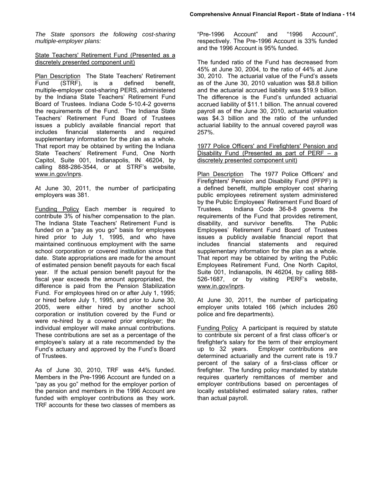*The State sponsors the following cost-sharing multiple-employer plans:* 

#### State Teachers' Retirement Fund (Presented as a discretely presented component unit)

Plan Description The State Teachers' Retirement Fund (STRF), is a defined benefit, multiple-employer cost-sharing PERS, administered by the Indiana State Teachers' Retirement Fund Board of Trustees. Indiana Code 5-10.4-2 governs the requirements of the Fund. The Indiana State Teachers' Retirement Fund Board of Trustees issues a publicly available financial report that includes financial statements and required supplementary information for the plan as a whole. That report may be obtained by writing the Indiana State Teachers' Retirement Fund, One North Capitol, Suite 001, Indianapolis, IN 46204, by calling 888-286-3544, or at STRF's website, www.in.gov/inprs.

At June 30, 2011, the number of participating employers was 381.

Funding Policy Each member is required to contribute 3% of his/her compensation to the plan. The Indiana State Teachers' Retirement Fund is funded on a "pay as you go" basis for employees hired prior to July 1, 1995, and who have maintained continuous employment with the same school corporation or covered institution since that date. State appropriations are made for the amount of estimated pension benefit payouts for each fiscal year. If the actual pension benefit payout for the fiscal year exceeds the amount appropriated, the difference is paid from the Pension Stabilization Fund. For employees hired on or after July 1, 1995; or hired before July 1, 1995, and prior to June 30, 2005, were either hired by another school corporation or institution covered by the Fund or were re-hired by a covered prior employer; the individual employer will make annual contributions. These contributions are set as a percentage of the employee's salary at a rate recommended by the Fund's actuary and approved by the Fund's Board of Trustees.

As of June 30, 2010, TRF was 44% funded. Members in the Pre-1996 Account are funded on a "pay as you go" method for the employer portion of the pension and members in the 1996 Account are funded with employer contributions as they work. TRF accounts for these two classes of members as

"Pre-1996 Account" and "1996 Account", respectively. The Pre-1996 Account is 33% funded and the 1996 Account is 95% funded.

The funded ratio of the Fund has decreased from 45% at June 30, 2004, to the ratio of 44% at June 30, 2010. The actuarial value of the Fund's assets as of the June 30, 2010 valuation was \$8.8 billion and the actuarial accrued liability was \$19.9 billion. The difference is the Fund's unfunded actuarial accrued liability of \$11.1 billion. The annual covered payroll as of the June 30, 2010, actuarial valuation was \$4.3 billion and the ratio of the unfunded actuarial liability to the annual covered payroll was 257%.

1977 Police Officers' and Firefighters' Pension and Disability Fund (Presented as part of PERF  $-$  a discretely presented component unit)

Plan Description The 1977 Police Officers' and Firefighters' Pension and Disability Fund (PFPF) is a defined benefit, multiple employer cost sharing public employees retirement system administered by the Public Employees' Retirement Fund Board of Trustees. Indiana Code 36-8-8 governs the requirements of the Fund that provides retirement, disability, and survivor benefits. The Public Employees' Retirement Fund Board of Trustees issues a publicly available financial report that includes financial statements and required supplementary information for the plan as a whole. That report may be obtained by writing the Public Employees Retirement Fund, One North Capitol, Suite 001, Indianapolis, IN 46204, by calling 888- 526-1687, or by visiting PERF's website, www.in.gov/inprs.

At June 30, 2011, the number of participating employer units totaled 166 (which includes 260 police and fire departments).

Funding Policy A participant is required by statute to contribute six percent of a first class officer's or firefighter's salary for the term of their employment up to 32 years. Employer contributions are determined actuarially and the current rate is 19.7 percent of the salary of a first-class officer or firefighter. The funding policy mandated by statute requires quarterly remittances of member and employer contributions based on percentages of locally established estimated salary rates, rather than actual payroll.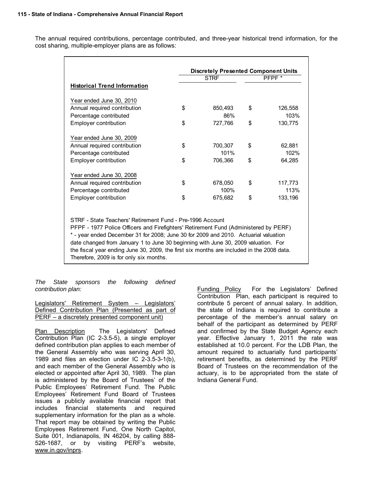The annual required contributions, percentage contributed, and three-year historical trend information, for the cost sharing, multiple-employer plans are as follows:

| <b>STRF</b> |         |                                                                      |                                                                                                                                                                                                                                                                                                                                                                |
|-------------|---------|----------------------------------------------------------------------|----------------------------------------------------------------------------------------------------------------------------------------------------------------------------------------------------------------------------------------------------------------------------------------------------------------------------------------------------------------|
|             |         |                                                                      | PFPF <sup>*</sup>                                                                                                                                                                                                                                                                                                                                              |
|             |         |                                                                      |                                                                                                                                                                                                                                                                                                                                                                |
|             |         |                                                                      |                                                                                                                                                                                                                                                                                                                                                                |
| \$          | 850,493 | \$                                                                   | 126,558                                                                                                                                                                                                                                                                                                                                                        |
|             | 86%     |                                                                      | 103%                                                                                                                                                                                                                                                                                                                                                           |
| \$          | 727,766 | \$                                                                   | 130,775                                                                                                                                                                                                                                                                                                                                                        |
|             |         |                                                                      |                                                                                                                                                                                                                                                                                                                                                                |
| \$          | 700,307 | \$                                                                   | 62,881                                                                                                                                                                                                                                                                                                                                                         |
|             | 101%    |                                                                      | 102%                                                                                                                                                                                                                                                                                                                                                           |
| \$          | 706,366 | \$                                                                   | 64,285                                                                                                                                                                                                                                                                                                                                                         |
|             |         |                                                                      |                                                                                                                                                                                                                                                                                                                                                                |
| \$          | 678,050 | \$                                                                   | 117,773                                                                                                                                                                                                                                                                                                                                                        |
|             | 100%    |                                                                      | 113%                                                                                                                                                                                                                                                                                                                                                           |
| \$          |         | \$                                                                   | 133,196                                                                                                                                                                                                                                                                                                                                                        |
|             |         |                                                                      |                                                                                                                                                                                                                                                                                                                                                                |
|             |         |                                                                      |                                                                                                                                                                                                                                                                                                                                                                |
|             |         |                                                                      |                                                                                                                                                                                                                                                                                                                                                                |
|             |         |                                                                      |                                                                                                                                                                                                                                                                                                                                                                |
|             |         |                                                                      |                                                                                                                                                                                                                                                                                                                                                                |
|             |         |                                                                      |                                                                                                                                                                                                                                                                                                                                                                |
|             |         | 675,682<br>STRF - State Teachers' Retirement Fund - Pre-1996 Account | PFPF - 1977 Police Officers and Firefighters' Retirement Fund (Administered by PERF)<br>* - year ended December 31 for 2008; June 30 for 2009 and 2010. Actuarial valuation<br>date changed from January 1 to June 30 beginning with June 30, 2009 valuation. For<br>the fiscal year ending June 30, 2009, the first six months are included in the 2008 data. |

*The State sponsors the following defined contribution plan:* 

Legislators' Retirement System – Legislators' Defined Contribution Plan (Presented as part of PERF – a discretely presented component unit)

Plan Description The Legislators' Defined Contribution Plan (IC 2-3.5-5), a single employer defined contribution plan applies to each member of the General Assembly who was serving April 30, 1989 and files an election under IC 2-3.5-3-1(b), and each member of the General Assembly who is elected or appointed after April 30, 1989. The plan is administered by the Board of Trustees' of the Public Employees' Retirement Fund. The Public Employees' Retirement Fund Board of Trustees issues a publicly available financial report that includes financial statements and required supplementary information for the plan as a whole. That report may be obtained by writing the Public Employees Retirement Fund, One North Capitol, Suite 001, Indianapolis, IN 46204, by calling 888- 526-1687, or by visiting PERF's website, www.in.gov/inprs.

Funding Policy For the Legislators' Defined Contribution Plan, each participant is required to contribute 5 percent of annual salary. In addition, the state of Indiana is required to contribute a percentage of the member's annual salary on behalf of the participant as determined by PERF and confirmed by the State Budget Agency each year. Effective January 1, 2011 the rate was established at 10.0 percent. For the LDB Plan, the amount required to actuarially fund participants' retirement benefits, as determined by the PERF Board of Trustees on the recommendation of the actuary, is to be appropriated from the state of Indiana General Fund.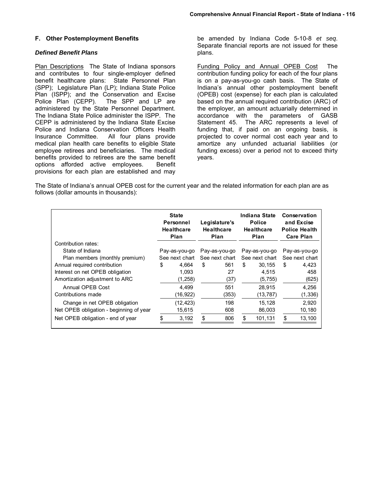#### **F. Other Postemployment Benefits**

#### *Defined Benefit Plans*

Plan Descriptions The State of Indiana sponsors and contributes to four single-employer defined benefit healthcare plans: State Personnel Plan (SPP); Legislature Plan (LP); Indiana State Police Plan (ISPP); and the Conservation and Excise Police Plan (CEPP). The SPP and LP are administered by the State Personnel Department. The Indiana State Police administer the ISPP. The CEPP is administered by the Indiana State Excise Police and Indiana Conservation Officers Health Insurance Committee. All four plans provide medical plan health care benefits to eligible State employee retirees and beneficiaries. The medical benefits provided to retirees are the same benefit options afforded active employees. Benefit options afforded active employees. provisions for each plan are established and may

be amended by Indiana Code 5-10-8 *et seq*. Separate financial reports are not issued for these plans.

Funding Policy and Annual OPEB Cost The contribution funding policy for each of the four plans is on a pay-as-you-go cash basis. The State of Indiana's annual other postemployment benefit (OPEB) cost (expense) for each plan is calculated based on the annual required contribution (ARC) of the employer, an amount actuarially determined in accordance with the parameters of GASB Statement 45. The ARC represents a level of funding that, if paid on an ongoing basis, is projected to cover normal cost each year and to amortize any unfunded actuarial liabilities (or funding excess) over a period not to exceed thirty years.

The State of Indiana's annual OPEB cost for the current year and the related information for each plan are as follows (dollar amounts in thousands):

| <b>State</b><br>Personnel<br><b>Healthcare</b><br>Plan | Legislature's<br><b>Healthcare</b><br>Plan | Indiana State<br><b>Police</b><br><b>Healthcare</b><br>Plan | Conservation<br>and Excise<br><b>Police Health</b><br><b>Care Plan</b> |  |
|--------------------------------------------------------|--------------------------------------------|-------------------------------------------------------------|------------------------------------------------------------------------|--|
|                                                        |                                            |                                                             |                                                                        |  |
| Pay-as-you-go                                          | Pay-as-you-go                              | Pay-as-you-go                                               | Pay-as-you-go                                                          |  |
| See next chart                                         | See next chart                             | See next chart                                              | See next chart                                                         |  |
| \$<br>4.664                                            | 561<br>\$                                  | 30.155<br>\$                                                | \$<br>4,423                                                            |  |
| 1.093                                                  | 27                                         | 4.515                                                       | 458                                                                    |  |
| (1,258)                                                | (37)                                       | (5, 755)                                                    | (625)                                                                  |  |
| 4.499                                                  | 551                                        | 28,915                                                      | 4,256                                                                  |  |
| (16, 922)                                              | (353)                                      | (13, 787)                                                   | (1, 336)                                                               |  |
| (12, 423)                                              | 198                                        | 15.128                                                      | 2.920                                                                  |  |
| 15,615                                                 | 608                                        | 86,003                                                      | 10,180                                                                 |  |
| \$<br>3,192                                            | \$<br>806                                  | \$<br>101,131                                               | \$<br>13,100                                                           |  |
|                                                        |                                            |                                                             |                                                                        |  |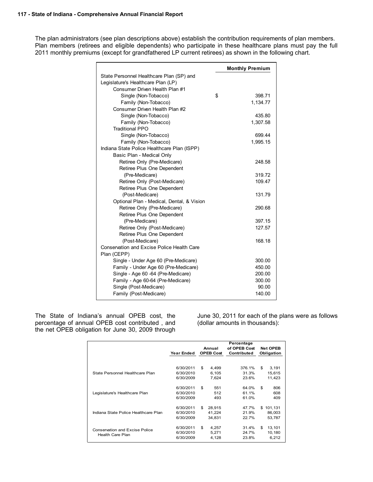The plan administrators (see plan descriptions above) establish the contribution requirements of plan members. Plan members (retirees and eligible dependents) who participate in these healthcare plans must pay the full 2011 monthly premiums (except for grandfathered LP current retirees) as shown in the following chart.

|                                                   | <b>Monthly Premium</b> |
|---------------------------------------------------|------------------------|
| State Personnel Healthcare Plan (SP) and          |                        |
| Legislature's Healthcare Plan (LP)                |                        |
| Consumer Driven Health Plan #1                    |                        |
| Single (Non-Tobacco)                              | \$<br>398.71           |
| Family (Non-Tobacco)                              | 1,134.77               |
| Consumer Driven Health Plan #2                    |                        |
| Single (Non-Tobacco)                              | 435.80                 |
| Family (Non-Tobacco)                              | 1,307.58               |
| <b>Traditional PPO</b>                            |                        |
| Single (Non-Tobacco)                              | 699.44                 |
| Family (Non-Tobacco)                              | 1,995.15               |
| Indiana State Police Healthcare Plan (ISPP)       |                        |
| Basic Plan - Medical Only                         |                        |
| Retiree Only (Pre-Medicare)                       | 248.58                 |
| Retiree Plus One Dependent                        |                        |
| (Pre-Medicare)                                    | 319.72                 |
| Retiree Only (Post-Medicare)                      | 109.47                 |
| Retiree Plus One Dependent                        |                        |
| (Post-Medicare)                                   | 131.79                 |
| Optional Plan - Medical, Dental, & Vision         |                        |
| Retiree Only (Pre-Medicare)                       | 290.68                 |
| Retiree Plus One Dependent                        |                        |
| (Pre-Medicare)                                    | 397.15                 |
| Retiree Only (Post-Medicare)                      | 127.57                 |
| Retiree Plus One Dependent                        |                        |
| (Post-Medicare)                                   | 168.18                 |
| <b>Conservation and Excise Police Health Care</b> |                        |
| Plan (CEPP)                                       |                        |
| Single - Under Age 60 (Pre-Medicare)              | 300.00                 |
| Family - Under Age 60 (Pre-Medicare)              | 450.00                 |
| Single - Age 60 -64 (Pre-Medicare)                | 200.00                 |
| Family - Age 60-64 (Pre-Medicare)                 | 300.00                 |
| Single (Post-Medicare)                            | 90.00                  |
| Family (Post-Medicare)                            | 140.00                 |

The State of Indiana's annual OPEB cost, the percentage of annual OPEB cost contributed , and the net OPEB obligation for June 30, 2009 through

June 30, 2011 for each of the plans were as follows (dollar amounts in thousands):

|                                                           | Year Ended                          | Annual<br><b>OPEB Cost</b> |                            | Percentage<br>of OPEB Cost<br>Contributed | <b>Net OPEB</b><br>Obligation |                             |
|-----------------------------------------------------------|-------------------------------------|----------------------------|----------------------------|-------------------------------------------|-------------------------------|-----------------------------|
| State Personnel Healthcare Plan                           | 6/30/2011<br>6/30/2010<br>6/30/2009 | \$                         | 4,499<br>6.105<br>7,624    | 376.1%<br>31.3%<br>23.6%                  | \$                            | 3,191<br>15,615<br>11,423   |
| Legislature's Healthcare Plan                             | 6/30/2011<br>6/30/2010<br>6/30/2009 | \$                         | 551<br>512<br>493          | 64.0%<br>61.1%<br>61.0%                   | \$                            | 806<br>608<br>409           |
| Indiana State Police Healthcare Plan                      | 6/30/2011<br>6/30/2010<br>6/30/2009 | \$                         | 28,915<br>41.224<br>34.831 | 47.7%<br>21.9%<br>22.7%                   | \$                            | 101,131<br>86.003<br>53.787 |
| Conservation and Excise Police<br><b>Health Care Plan</b> | 6/30/2011<br>6/30/2010<br>6/30/2009 | \$                         | 4,257<br>5.271<br>4,128    | 31.4%<br>24.7%<br>23.8%                   | \$                            | 13,101<br>10,180<br>6,212   |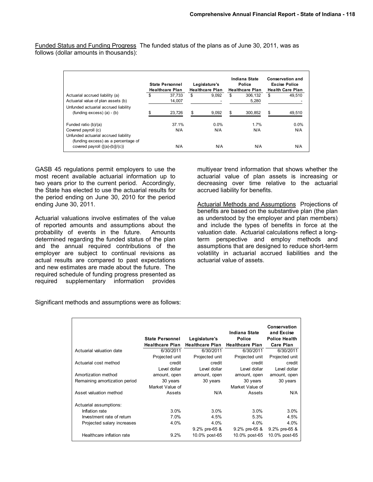Funded Status and Funding Progress The funded status of the plans as of June 30, 2011, was as follows (dollar amounts in thousands):

|                                                                        | <b>State Personnel</b><br><b>Healthcare Plan</b> | Legislature's<br><b>Healthcare Plan</b> |    | Indiana State<br>Police<br><b>Healthcare Plan</b> | <b>Conservation and</b><br><b>Excise Police</b><br><b>Health Care Plan</b> |
|------------------------------------------------------------------------|--------------------------------------------------|-----------------------------------------|----|---------------------------------------------------|----------------------------------------------------------------------------|
| Actuarial accrued liability (a)                                        | \$<br>37.733                                     | \$<br>9.092                             | S  | 306.132                                           | \$<br>49.510                                                               |
| Actuarial value of plan assets (b)                                     | 14.007                                           |                                         |    | 5,280                                             |                                                                            |
| Unfunded actuarial accrued liability                                   |                                                  |                                         |    |                                                   |                                                                            |
| $(funding excess)$ (a) - (b)                                           | \$<br>23,726                                     | \$<br>9,092                             | \$ | 300,852                                           | \$<br>49,510                                                               |
| Funded ratio (b)/(a)                                                   | 37.1%                                            | $0.0\%$                                 |    | 1.7%                                              | $0.0\%$                                                                    |
| Covered payroll (c)                                                    | N/A                                              | N/A                                     |    | N/A                                               | N/A                                                                        |
| Unfunded actuarial accrued liability                                   |                                                  |                                         |    |                                                   |                                                                            |
| (funding excess) as a percentage of<br>covered payroll $([a)-(b)]/(c)$ | N/A                                              | N/A                                     |    | N/A                                               | N/A                                                                        |

GASB 45 regulations permit employers to use the most recent available actuarial information up to two years prior to the current period. Accordingly, the State has elected to use the actuarial results for the period ending on June 30, 2010 for the period ending June 30, 2011.

Actuarial valuations involve estimates of the value of reported amounts and assumptions about the probability of events in the future. Amounts determined regarding the funded status of the plan and the annual required contributions of the employer are subject to continual revisions as actual results are compared to past expectations and new estimates are made about the future. The required schedule of funding progress presented as required supplementary information provides

multiyear trend information that shows whether the actuarial value of plan assets is increasing or decreasing over time relative to the actuarial accrued liability for benefits.

Actuarial Methods and Assumptions Projections of benefits are based on the substantive plan (the plan as understood by the employer and plan members) and include the types of benefits in force at the valuation date. Actuarial calculations reflect a longterm perspective and employ methods and assumptions that are designed to reduce short-term volatility in actuarial accrued liabilities and the actuarial value of assets.

| Significant methods and assumptions were as follows: |
|------------------------------------------------------|
|                                                      |

|                               | <b>State Personnel</b><br><b>Healthcare Plan</b> | Legislature's<br><b>Healthcare Plan</b> | Indiana State<br><b>Police</b><br><b>Healthcare Plan</b> | Conservation<br>and Excise<br><b>Police Health</b><br><b>Care Plan</b> |
|-------------------------------|--------------------------------------------------|-----------------------------------------|----------------------------------------------------------|------------------------------------------------------------------------|
| Actuarial valuation date      | 6/30/2011                                        | 6/30/2011                               | 6/30/2011                                                | 6/30/2011                                                              |
|                               | Projected unit                                   | Projected unit                          | Projected unit                                           | Projected unit                                                         |
| Actuarial cost method         | credit                                           | credit                                  | credit                                                   | credit                                                                 |
|                               | Level dollar                                     | Level dollar                            | Level dollar                                             | Level dollar                                                           |
| Amortization method           | amount, open                                     | amount, open                            | amount, open                                             | amount, open                                                           |
| Remaining amortization period | 30 years                                         | 30 years                                | 30 years                                                 | 30 years                                                               |
|                               | Market Value of                                  |                                         | Market Value of                                          |                                                                        |
| Asset valuation method        | Assets                                           | N/A                                     | Assets                                                   | N/A                                                                    |
| Actuarial assumptions:        |                                                  |                                         |                                                          |                                                                        |
| Inflation rate                | 3.0%                                             | 3.0%                                    | 3.0%                                                     | 3.0%                                                                   |
| Investment rate of return     | 7.0%                                             | 4.5%                                    | 5.3%                                                     | 4.5%                                                                   |
| Projected salary increases    | 4.0%                                             | 4.0%                                    | 4.0%                                                     | 4.0%                                                                   |
|                               |                                                  | $9.2\%$ pre-65 &                        | $9.2\%$ pre-65 &                                         | $9.2\%$ pre-65 &                                                       |
| Healthcare inflation rate     | 9.2%                                             | 10.0% post-65                           | 10.0% post-65                                            | 10.0% post-65                                                          |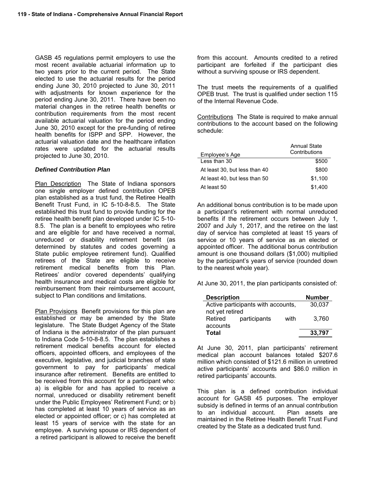GASB 45 regulations permit employers to use the most recent available actuarial information up to two years prior to the current period. The State elected to use the actuarial results for the period ending June 30, 2010 projected to June 30, 2011 with adjustments for known experience for the period ending June 30, 2011. There have been no material changes in the retiree health benefits or contribution requirements from the most recent available actuarial valuation for the period ending June 30, 2010 except for the pre-funding of retiree health benefits for ISPP and SPP. However, the actuarial valuation date and the healthcare inflation rates were updated for the actuarial results projected to June 30, 2010.

#### *Defined Contribution Plan*

Plan Description The State of Indiana sponsors one single employer defined contribution OPEB plan established as a trust fund, the Retiree Health Benefit Trust Fund, in IC 5-10-8-8.5. The State established this trust fund to provide funding for the retiree health benefit plan developed under IC 5-10- 8.5. The plan is a benefit to employees who retire and are eligible for and have received a normal, unreduced or disability retirement benefit (as determined by statutes and codes governing a State public employee retirement fund). Qualified retirees of the State are eligible to receive retirement medical benefits from this Plan. Retirees' and/or covered dependents' qualifying health insurance and medical costs are eligible for reimbursement from their reimbursement account, subject to Plan conditions and limitations.

Plan Provisions Benefit provisions for this plan are established or may be amended by the State legislature. The State Budget Agency of the State of Indiana is the administrator of the plan pursuant to Indiana Code 5-10-8-8.5. The plan establishes a retirement medical benefits account for elected officers, appointed officers, and employees of the executive, legislative, and judicial branches of state government to pay for participants' medical insurance after retirement. Benefits are entitled to be received from this account for a participant who: a) is eligible for and has applied to receive a normal, unreduced or disability retirement benefit under the Public Employees' Retirement Fund; or b) has completed at least 10 years of service as an elected or appointed officer; or c) has completed at least 15 years of service with the state for an employee. A surviving spouse or IRS dependent of a retired participant is allowed to receive the benefit

from this account. Amounts credited to a retired participant are forfeited if the participant dies without a surviving spouse or IRS dependent.

The trust meets the requirements of a qualified OPEB trust. The trust is qualified under section 115 of the Internal Revenue Code.

Contributions The State is required to make annual contributions to the account based on the following schedule:

| Employee's Age                | <b>Annual State</b><br>Contributions |
|-------------------------------|--------------------------------------|
| Less than 30                  | \$500                                |
| At least 30, but less than 40 | \$800                                |
| At least 40, but less than 50 | \$1,100                              |
| At least 50                   | \$1.400                              |

An additional bonus contribution is to be made upon a participant's retirement with normal unreduced benefits if the retirement occurs between July 1, 2007 and July 1, 2017, and the retiree on the last day of service has completed at least 15 years of service or 10 years of service as an elected or appointed officer. The additional bonus contribution amount is one thousand dollars (\$1,000) multiplied by the participant's years of service (rounded down to the nearest whole year).

At June 30, 2011, the plan participants consisted of:

| <b>Description</b>                 |              |      | <b>Number</b> |
|------------------------------------|--------------|------|---------------|
| Active participants with accounts, |              |      | 30,037        |
| not yet retired                    |              |      |               |
| Retired                            | participants | with | 3.760         |
| accounts                           |              |      |               |
| Total                              |              |      | 33,797        |

At June 30, 2011, plan participants' retirement medical plan account balances totaled \$207.6 million which consisted of \$121.6 million in unretired active participants' accounts and \$86.0 million in retired participants' accounts.

This plan is a defined contribution individual account for GASB 45 purposes. The employer subsidy is defined in terms of an annual contribution<br>to an individual account. Plan assets are to an individual account. maintained in the Retiree Health Benefit Trust Fund created by the State as a dedicated trust fund.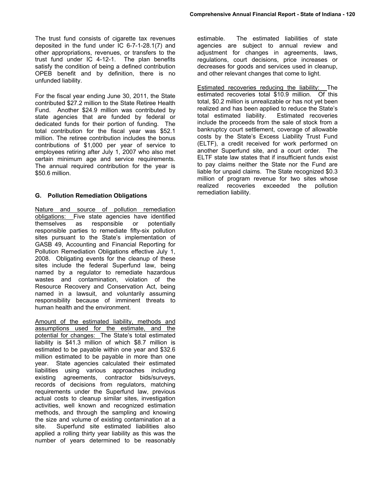The trust fund consists of cigarette tax revenues deposited in the fund under IC 6-7-1-28.1(7) and other appropriations, revenues, or transfers to the trust fund under IC 4-12-1. The plan benefits satisfy the condition of being a defined contribution OPEB benefit and by definition, there is no unfunded liability.

For the fiscal year ending June 30, 2011, the State contributed \$27.2 million to the State Retiree Health Fund. Another \$24.9 million was contributed by state agencies that are funded by federal or dedicated funds for their portion of funding. The total contribution for the fiscal year was \$52.1 million. The retiree contribution includes the bonus contributions of \$1,000 per year of service to employees retiring after July 1, 2007 who also met certain minimum age and service requirements. The annual required contribution for the year is \$50.6 million.

#### **G. Pollution Remediation Obligations**

Nature and source of pollution remediation obligations: Five state agencies have identified themselves as responsible or potentially responsible parties to remediate fifty-six pollution sites pursuant to the State's implementation of GASB 49, Accounting and Financial Reporting for Pollution Remediation Obligations effective July 1, 2008. Obligating events for the cleanup of these sites include the federal Superfund law, being named by a regulator to remediate hazardous wastes and contamination, violation of the Resource Recovery and Conservation Act, being named in a lawsuit, and voluntarily assuming responsibility because of imminent threats to human health and the environment.

Amount of the estimated liability, methods and assumptions used for the estimate, and the potential for changes: The State's total estimated liability is \$41.3 million of which \$8.7 million is estimated to be payable within one year and \$32.6 million estimated to be payable in more than one year. State agencies calculated their estimated liabilities using various approaches including existing agreements, contractor bids/surveys, records of decisions from regulators, matching requirements under the Superfund law, previous actual costs to cleanup similar sites, investigation activities, well known and recognized estimation methods, and through the sampling and knowing the size and volume of existing contamination at a site. Superfund site estimated liabilities also applied a rolling thirty year liability as this was the number of years determined to be reasonably

estimable. The estimated liabilities of state agencies are subject to annual review and adjustment for changes in agreements, laws, regulations, court decisions, price increases or decreases for goods and services used in cleanup, and other relevant changes that come to light.

Estimated recoveries reducing the liability: The estimated recoveries total \$10.9 million. Of this total, \$0.2 million is unrealizable or has not yet been realized and has been applied to reduce the State's total estimated liability. Estimated recoveries include the proceeds from the sale of stock from a bankruptcy court settlement, coverage of allowable costs by the State's Excess Liability Trust Fund (ELTF), a credit received for work performed on another Superfund site, and a court order. The ELTF state law states that if insufficient funds exist to pay claims neither the State nor the Fund are liable for unpaid claims. The State recognized \$0.3 million of program revenue for two sites whose realized recoveries exceeded the pollution remediation liability.